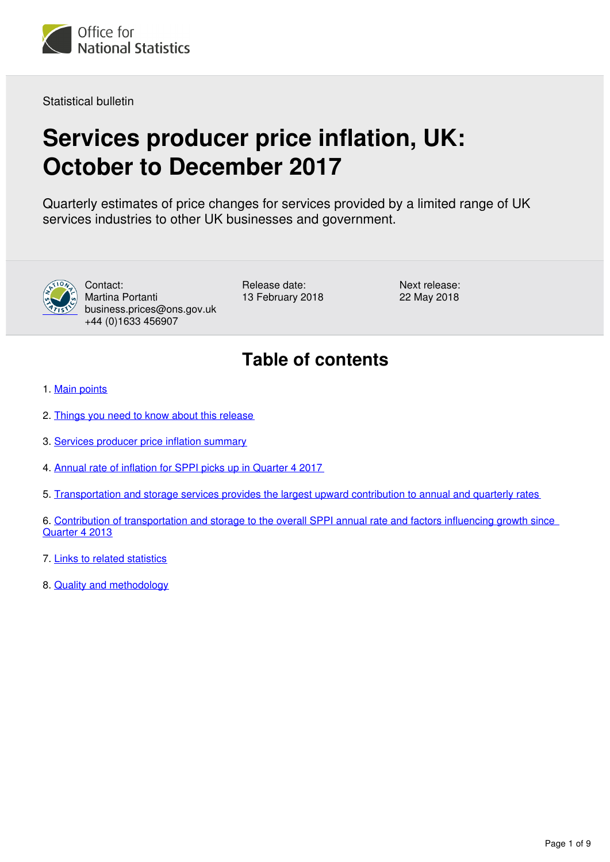

Statistical bulletin

## **Services producer price inflation, UK: October to December 2017**

Quarterly estimates of price changes for services provided by a limited range of UK services industries to other UK businesses and government.



Contact: Martina Portanti business.prices@ons.gov.uk +44 (0)1633 456907

Release date: 13 February 2018 Next release: 22 May 2018

## **Table of contents**

- 1. [Main points](#page-1-0)
- 2. [Things you need to know about this release](#page-1-1)
- 3. [Services producer price inflation summary](#page-2-0)
- 4. [Annual rate of inflation for SPPI picks up in Quarter 4 2017](#page-3-0)
- 5. [Transportation and storage services provides the largest upward contribution to annual and quarterly rates](#page-3-1)
- 6. [Contribution of transportation and storage to the overall SPPI annual rate and factors influencing growth since](#page-5-0)  [Quarter 4 2013](#page-5-0)
- 7. [Links to related statistics](#page-7-0)
- 8. [Quality and methodology](#page-8-0)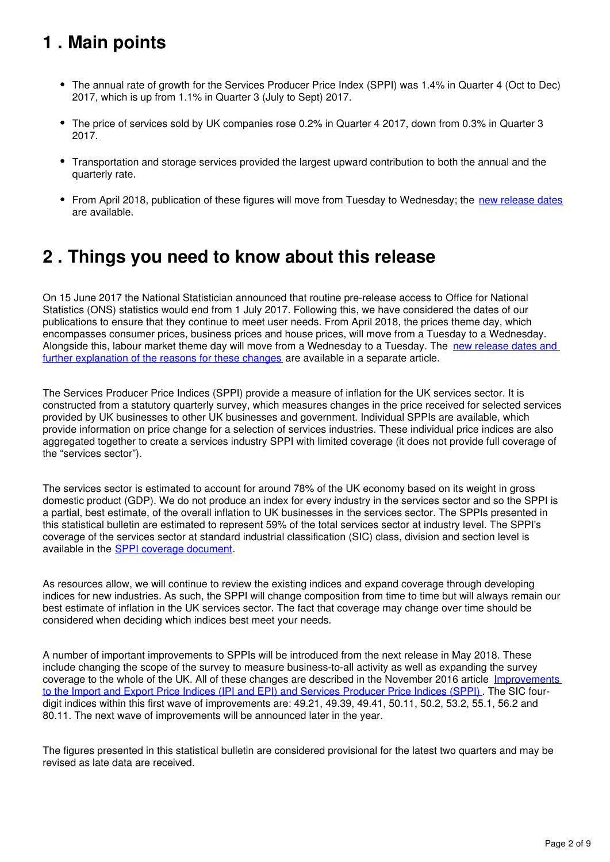## <span id="page-1-0"></span>**1 . Main points**

- The annual rate of growth for the Services Producer Price Index (SPPI) was 1.4% in Quarter 4 (Oct to Dec) 2017, which is up from 1.1% in Quarter 3 (July to Sept) 2017.
- The price of services sold by UK companies rose 0.2% in Quarter 4 2017, down from 0.3% in Quarter 3 2017.
- Transportation and storage services provided the largest upward contribution to both the annual and the quarterly rate.
- From April 2018, publication of these figures will move from Tuesday to Wednesday; the [new release dates](https://www.ons.gov.uk/news/statementsandletters/changestoonsreleasetimetable) are available.

## <span id="page-1-1"></span>**2 . Things you need to know about this release**

On 15 June 2017 the National Statistician announced that routine pre-release access to Office for National Statistics (ONS) statistics would end from 1 July 2017. Following this, we have considered the dates of our publications to ensure that they continue to meet user needs. From April 2018, the prices theme day, which encompasses consumer prices, business prices and house prices, will move from a Tuesday to a Wednesday. Alongside this, labour market theme day will move from a Wednesday to a Tuesday. The new release dates and [further explanation of the reasons for these changes](https://www.ons.gov.uk/news/statementsandletters/changestoonsreleasetimetable) are available in a separate article.

The Services Producer Price Indices (SPPI) provide a measure of inflation for the UK services sector. It is constructed from a statutory quarterly survey, which measures changes in the price received for selected services provided by UK businesses to other UK businesses and government. Individual SPPIs are available, which provide information on price change for a selection of services industries. These individual price indices are also aggregated together to create a services industry SPPI with limited coverage (it does not provide full coverage of the "services sector").

The services sector is estimated to account for around 78% of the UK economy based on its weight in gross domestic product (GDP). We do not produce an index for every industry in the services sector and so the SPPI is a partial, best estimate, of the overall inflation to UK businesses in the services sector. The SPPIs presented in this statistical bulletin are estimated to represent 59% of the total services sector at industry level. The SPPI's coverage of the services sector at standard industrial classification (SIC) class, division and section level is available in the SPPI coverage document.

As resources allow, we will continue to review the existing indices and expand coverage through developing indices for new industries. As such, the SPPI will change composition from time to time but will always remain our best estimate of inflation in the UK services sector. The fact that coverage may change over time should be considered when deciding which indices best meet your needs.

A number of important improvements to SPPIs will be introduced from the next release in May 2018. These include changing the scope of the survey to measure business-to-all activity as well as expanding the survey coverage to the whole of the UK. All of these changes are described in the November 2016 article Improvements [to the Import and Export Price Indices \(IPI and EPI\) and Services Producer Price Indices \(SPPI\)](https://www.ons.gov.uk/economy/inflationandpriceindices/articles/improvementstotheimportandexportpriceindicesipiandepiandservicesproducerpriceindicessppi/november2016). The SIC fourdigit indices within this first wave of improvements are: 49.21, 49.39, 49.41, 50.11, 50.2, 53.2, 55.1, 56.2 and 80.11. The next wave of improvements will be announced later in the year.

The figures presented in this statistical bulletin are considered provisional for the latest two quarters and may be revised as late data are received.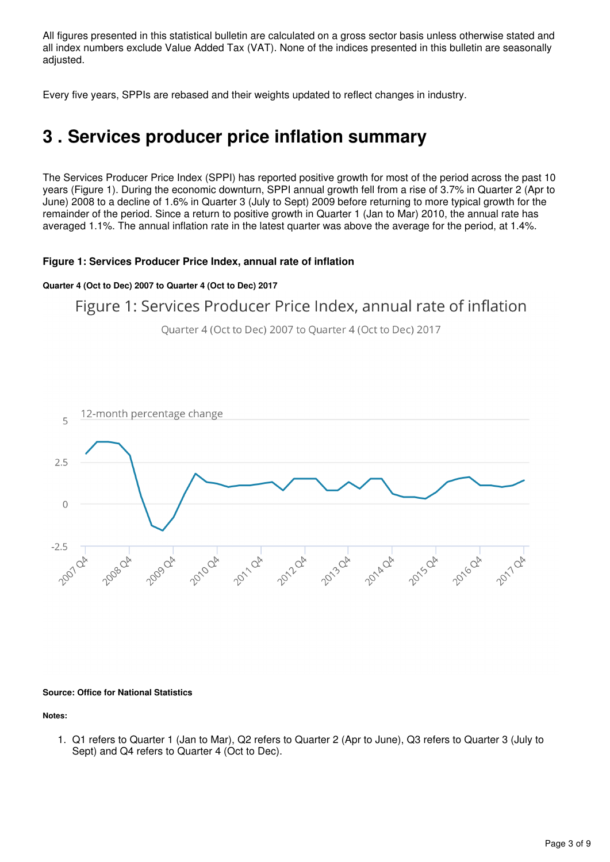All figures presented in this statistical bulletin are calculated on a gross sector basis unless otherwise stated and all index numbers exclude Value Added Tax (VAT). None of the indices presented in this bulletin are seasonally adjusted.

Every five years, SPPIs are rebased and their weights updated to reflect changes in industry.

## <span id="page-2-0"></span>**3 . Services producer price inflation summary**

The Services Producer Price Index (SPPI) has reported positive growth for most of the period across the past 10 years (Figure 1). During the economic downturn, SPPI annual growth fell from a rise of 3.7% in Quarter 2 (Apr to June) 2008 to a decline of 1.6% in Quarter 3 (July to Sept) 2009 before returning to more typical growth for the remainder of the period. Since a return to positive growth in Quarter 1 (Jan to Mar) 2010, the annual rate has averaged 1.1%. The annual inflation rate in the latest quarter was above the average for the period, at 1.4%.

#### **Figure 1: Services Producer Price Index, annual rate of inflation**

#### **Quarter 4 (Oct to Dec) 2007 to Quarter 4 (Oct to Dec) 2017**

### Figure 1: Services Producer Price Index, annual rate of inflation

Quarter 4 (Oct to Dec) 2007 to Quarter 4 (Oct to Dec) 2017



#### **Source: Office for National Statistics**

**Notes:**

1. Q1 refers to Quarter 1 (Jan to Mar), Q2 refers to Quarter 2 (Apr to June), Q3 refers to Quarter 3 (July to Sept) and Q4 refers to Quarter 4 (Oct to Dec).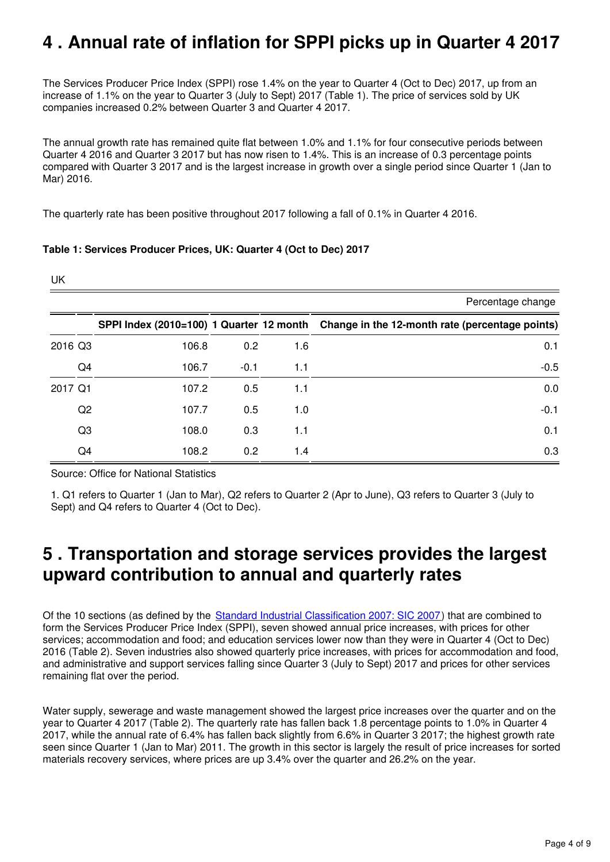## <span id="page-3-0"></span>**4 . Annual rate of inflation for SPPI picks up in Quarter 4 2017**

The Services Producer Price Index (SPPI) rose 1.4% on the year to Quarter 4 (Oct to Dec) 2017, up from an increase of 1.1% on the year to Quarter 3 (July to Sept) 2017 (Table 1). The price of services sold by UK companies increased 0.2% between Quarter 3 and Quarter 4 2017.

The annual growth rate has remained quite flat between 1.0% and 1.1% for four consecutive periods between Quarter 4 2016 and Quarter 3 2017 but has now risen to 1.4%. This is an increase of 0.3 percentage points compared with Quarter 3 2017 and is the largest increase in growth over a single period since Quarter 1 (Jan to Mar) 2016.

The quarterly rate has been positive throughout 2017 following a fall of 0.1% in Quarter 4 2016.

#### **Table 1: Services Producer Prices, UK: Quarter 4 (Oct to Dec) 2017**

| <b>UK</b> |                |       |        |     |                                                                                          |
|-----------|----------------|-------|--------|-----|------------------------------------------------------------------------------------------|
|           |                |       |        |     | Percentage change                                                                        |
|           |                |       |        |     | SPPI Index (2010=100) 1 Quarter 12 month Change in the 12-month rate (percentage points) |
| 2016 Q3   |                | 106.8 | 0.2    | 1.6 | 0.1                                                                                      |
|           | Q <sub>4</sub> | 106.7 | $-0.1$ | 1.1 | $-0.5$                                                                                   |
| 2017 Q1   |                | 107.2 | 0.5    | 1.1 | 0.0                                                                                      |
|           | Q2             | 107.7 | 0.5    | 1.0 | $-0.1$                                                                                   |
|           | Q3             | 108.0 | 0.3    | 1.1 | 0.1                                                                                      |
|           | Q4             | 108.2 | 0.2    | 1.4 | 0.3                                                                                      |

Source: Office for National Statistics

1. Q1 refers to Quarter 1 (Jan to Mar), Q2 refers to Quarter 2 (Apr to June), Q3 refers to Quarter 3 (July to Sept) and Q4 refers to Quarter 4 (Oct to Dec).

## <span id="page-3-1"></span>**5 . Transportation and storage services provides the largest upward contribution to annual and quarterly rates**

Of the 10 sections (as defined by the [Standard Industrial Classification 2007: SIC 2007\)](https://www.ons.gov.uk/methodology/classificationsandstandards/ukstandardindustrialclassificationofeconomicactivities/uksic2007) that are combined to form the Services Producer Price Index (SPPI), seven showed annual price increases, with prices for other services; accommodation and food; and education services lower now than they were in Quarter 4 (Oct to Dec) 2016 (Table 2). Seven industries also showed quarterly price increases, with prices for accommodation and food, and administrative and support services falling since Quarter 3 (July to Sept) 2017 and prices for other services remaining flat over the period.

Water supply, sewerage and waste management showed the largest price increases over the quarter and on the year to Quarter 4 2017 (Table 2). The quarterly rate has fallen back 1.8 percentage points to 1.0% in Quarter 4 2017, while the annual rate of 6.4% has fallen back slightly from 6.6% in Quarter 3 2017; the highest growth rate seen since Quarter 1 (Jan to Mar) 2011. The growth in this sector is largely the result of price increases for sorted materials recovery services, where prices are up 3.4% over the quarter and 26.2% on the year.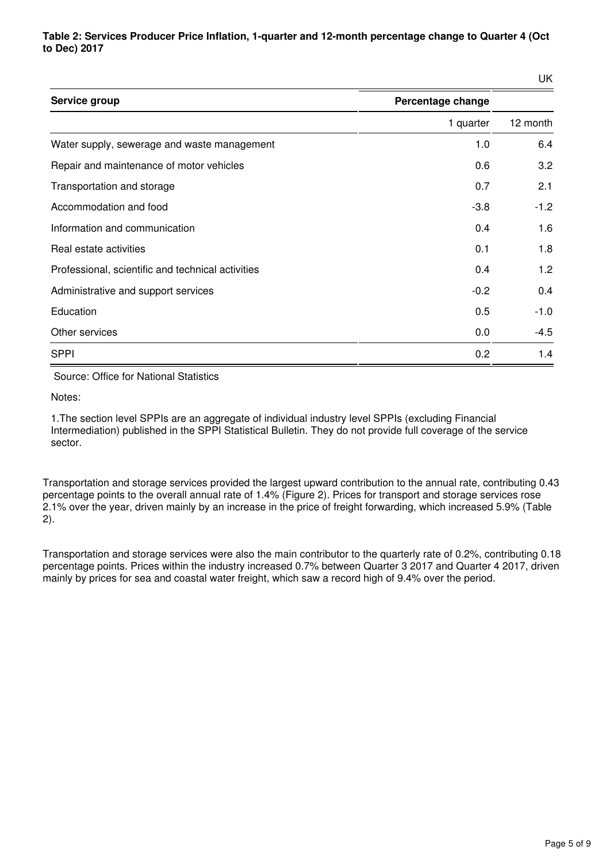**Table 2: Services Producer Price Inflation, 1-quarter and 12-month percentage change to Quarter 4 (Oct to Dec) 2017**

UK

| Service group                                     | Percentage change |          |
|---------------------------------------------------|-------------------|----------|
|                                                   | 1 quarter         | 12 month |
| Water supply, sewerage and waste management       | 1.0               | 6.4      |
| Repair and maintenance of motor vehicles          | 0.6               | 3.2      |
| Transportation and storage                        | 0.7               | 2.1      |
| Accommodation and food                            | $-3.8$            | $-1.2$   |
| Information and communication                     | 0.4               | 1.6      |
| Real estate activities                            | 0.1               | 1.8      |
| Professional, scientific and technical activities | 0.4               | 1.2      |
| Administrative and support services               | $-0.2$            | 0.4      |
| Education                                         | 0.5               | $-1.0$   |
| Other services                                    | 0.0               | $-4.5$   |
| <b>SPPI</b>                                       | 0.2               | 1.4      |

Source: Office for National Statistics

Notes:

1.The section level SPPIs are an aggregate of individual industry level SPPIs (excluding Financial Intermediation) published in the SPPI Statistical Bulletin. They do not provide full coverage of the service sector.

Transportation and storage services provided the largest upward contribution to the annual rate, contributing 0.43 percentage points to the overall annual rate of 1.4% (Figure 2). Prices for transport and storage services rose 2.1% over the year, driven mainly by an increase in the price of freight forwarding, which increased 5.9% (Table 2).

Transportation and storage services were also the main contributor to the quarterly rate of 0.2%, contributing 0.18 percentage points. Prices within the industry increased 0.7% between Quarter 3 2017 and Quarter 4 2017, driven mainly by prices for sea and coastal water freight, which saw a record high of 9.4% over the period.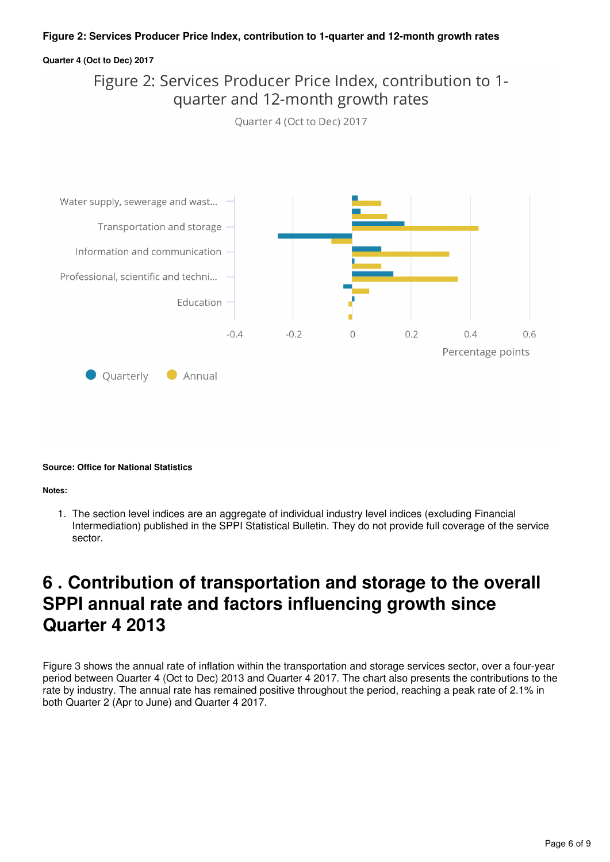#### **Figure 2: Services Producer Price Index, contribution to 1-quarter and 12-month growth rates**

#### **Quarter 4 (Oct to Dec) 2017**

Figure 2: Services Producer Price Index, contribution to 1quarter and 12-month growth rates





#### **Source: Office for National Statistics**

#### **Notes:**

1. The section level indices are an aggregate of individual industry level indices (excluding Financial Intermediation) published in the SPPI Statistical Bulletin. They do not provide full coverage of the service sector.

## <span id="page-5-0"></span>**6 . Contribution of transportation and storage to the overall SPPI annual rate and factors influencing growth since Quarter 4 2013**

Figure 3 shows the annual rate of inflation within the transportation and storage services sector, over a four-year period between Quarter 4 (Oct to Dec) 2013 and Quarter 4 2017. The chart also presents the contributions to the rate by industry. The annual rate has remained positive throughout the period, reaching a peak rate of 2.1% in both Quarter 2 (Apr to June) and Quarter 4 2017.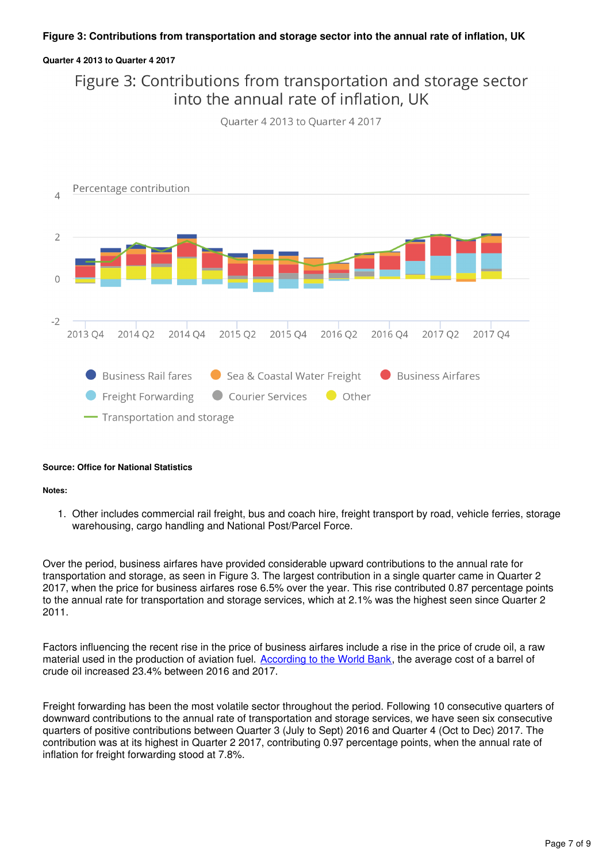#### **Figure 3: Contributions from transportation and storage sector into the annual rate of inflation, UK**

#### **Quarter 4 2013 to Quarter 4 2017**

### Figure 3: Contributions from transportation and storage sector into the annual rate of inflation. UK

Ouarter 4 2013 to Ouarter 4 2017



#### **Source: Office for National Statistics**

#### **Notes:**

1. Other includes commercial rail freight, bus and coach hire, freight transport by road, vehicle ferries, storage warehousing, cargo handling and National Post/Parcel Force.

Over the period, business airfares have provided considerable upward contributions to the annual rate for transportation and storage, as seen in Figure 3. The largest contribution in a single quarter came in Quarter 2 2017, when the price for business airfares rose 6.5% over the year. This rise contributed 0.87 percentage points to the annual rate for transportation and storage services, which at 2.1% was the highest seen since Quarter 2 2011.

Factors influencing the recent rise in the price of business airfares include a rise in the price of crude oil, a raw material used in the production of aviation fuel. According to the World Bank[,](http://www.worldbank.org/en/research/commodity-markets) the average cost of a barrel of crude oil increased 23.4% between 2016 and 2017.

Freight forwarding has been the most volatile sector throughout the period. Following 10 consecutive quarters of downward contributions to the annual rate of transportation and storage services, we have seen six consecutive quarters of positive contributions between Quarter 3 (July to Sept) 2016 and Quarter 4 (Oct to Dec) 2017. The contribution was at its highest in Quarter 2 2017, contributing 0.97 percentage points, when the annual rate of inflation for freight forwarding stood at 7.8%.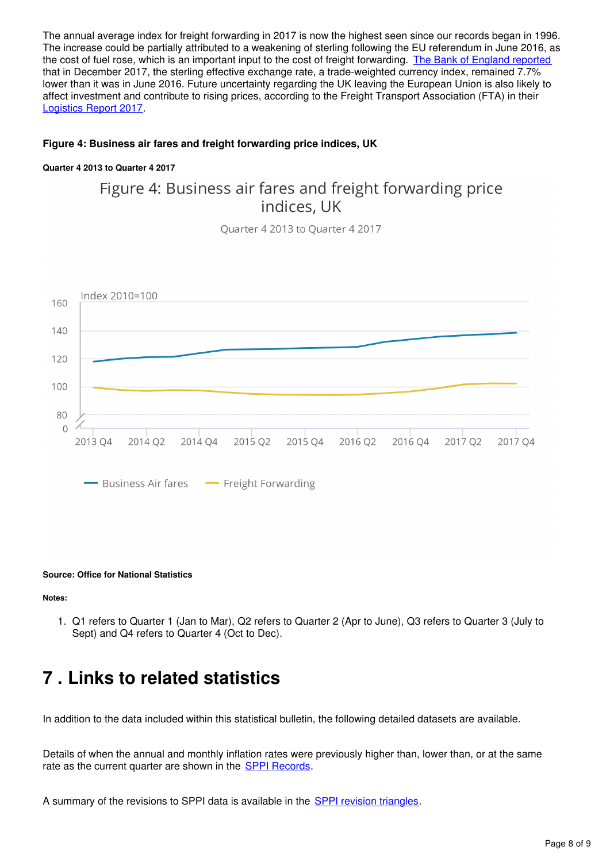The annual average index for freight forwarding in 2017 is now the highest seen since our records began in 1996. The increase could be partially attributed to a weakening of sterling following the EU referendum in June 2016, as the cost of fuel rose, which is an important input to the cost of freight forwarding. [The Bank of England reported](http://www.bankofengland.co.uk/boeapps/iadb/index.asp?first=yes&SectionRequired=I&HideNums=-1&ExtraInfo=true&Travel=NIxSSx) that in December 2017, the sterling effective exchange rate, a trade-weighted currency index, remained 7.7% lower than it was in June 2016. Future uncertainty regarding the UK leaving the European Union is also likely to affect investment and contribute to rising prices, according to the Freight Transport Association (FTA) in their [Logistics Report 2017.](http://www.fta.co.uk/export/sites/fta/_t/2017/logistics-report-2017.pdf)

#### **Figure 4: Business air fares and freight forwarding price indices, UK**

#### **Quarter 4 2013 to Quarter 4 2017**

### Figure 4: Business air fares and freight forwarding price indices, UK

Quarter 4 2013 to Quarter 4 2017



#### **Source: Office for National Statistics**

**Notes:**

1. Q1 refers to Quarter 1 (Jan to Mar), Q2 refers to Quarter 2 (Apr to June), Q3 refers to Quarter 3 (July to Sept) and Q4 refers to Quarter 4 (Oct to Dec).

## <span id="page-7-0"></span>**7 . Links to related statistics**

In addition to the data included within this statistical bulletin, the following detailed datasets are available.

Details of when the annual and monthly inflation rates were previously higher than, lower than, or at the same rate as the current quarter are shown in the **SPPI Records**.

A summary of the revisions to SPPI data is available in the **SPPI revision triangles**[.](https://www.ons.gov.uk/economy/inflationandpriceindices/datasets/servicesproducerpriceindexsppirevisionstriangle)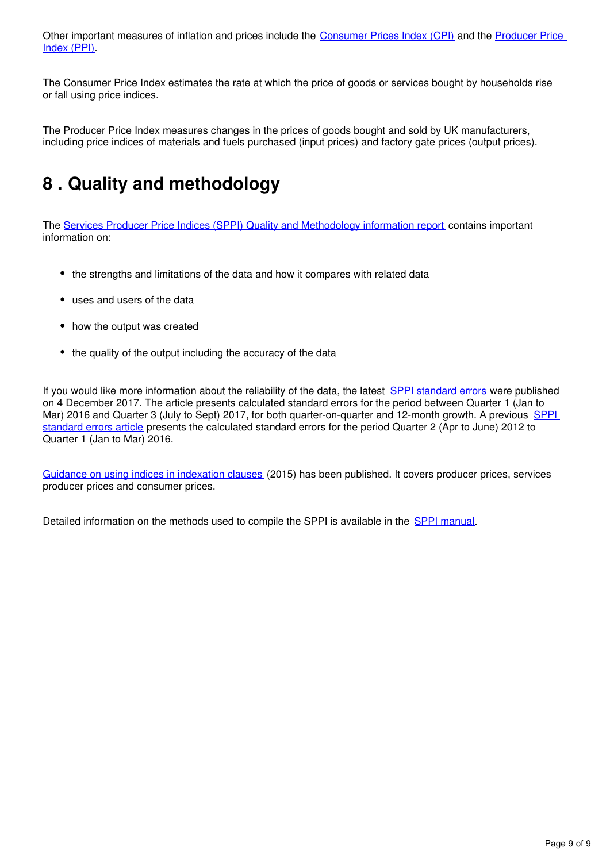Other important measures of inflation and prices include the [Consumer Prices Index \(CPI\)](https://www.ons.gov.uk/economy/inflationandpriceindices/bulletins/consumerpriceinflation/previousReleases) and the Producer Price [Index \(PPI\)](https://www.ons.gov.uk/economy/inflationandpriceindices/bulletins/producerpriceinflation/previousReleases).

The Consumer Price Index estimates the rate at which the price of goods or services bought by households rise or fall using price indices.

The Producer Price Index measures changes in the prices of goods bought and sold by UK manufacturers, including price indices of materials and fuels purchased (input prices) and factory gate prices (output prices).

## <span id="page-8-0"></span>**8 . Quality and methodology**

The [Services Producer Price Indices \(SPPI\) Quality and Methodology information report](https://www.ons.gov.uk/economy/inflationandpriceindices/qmis/servicesproducerpriceindicesqmi) contains important information on:

- the strengths and limitations of the data and how it compares with related data
- uses and users of the data
- how the output was created
- the quality of the output including the accuracy of the data

If you would like more information about the reliability of the data, the latest [SPPI standard errors](https://www.ons.gov.uk/economy/inflationandpriceindices/articles/ukservicesproducerpriceindexsppistandarderrors/2016to2017) were published on 4 December 2017. The article presents calculated standard errors for the period between Quarter 1 (Jan to Mar) 2016 and Quarter 3 (July to Sept) 2017, for both quarter-on-quarter and 12-month growth. A previous SPPI [standard errors article](https://www.ons.gov.uk/releases/ukservicesproducerpriceindexsppi2012to2016) presents the calculated standard errors for the period Quarter 2 (Apr to June) 2012 to Quarter 1 (Jan to Mar) 2016.

[Guidance on using indices in indexation clauses](https://www.ons.gov.uk/economy/inflationandpriceindices/methodologies/pricesuserguidancemethodologyanddevelopments) (2015) has been published. It covers producer prices, services producer prices and consumer prices.

Detailed information on the methods used to compile the SPPI is available in the SPPI manual.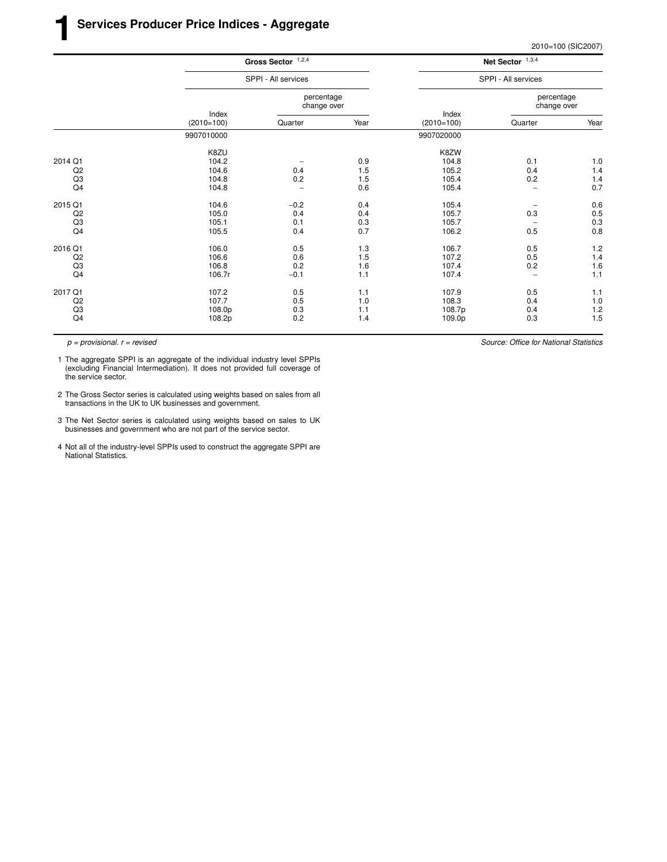|                           | Net Sector $1,3,4$       |                       |                           | Gross Sector $1,2,4$ |                       |                |
|---------------------------|--------------------------|-----------------------|---------------------------|----------------------|-----------------------|----------------|
| SPPI - All services       |                          |                       |                           | SPPI - All services  |                       |                |
| percentage<br>change over |                          |                       | percentage<br>change over |                      |                       |                |
| Year                      | Quarter                  | Index<br>$(2010=100)$ | Year                      | Quarter              | Index<br>$(2010=100)$ |                |
|                           |                          | 9907020000            |                           |                      | 9907010000            |                |
|                           |                          | K8ZW                  |                           |                      | K8ZU                  |                |
| 1.0                       | 0.1                      | 104.8                 | 0.9                       |                      | 104.2                 | 2014 Q1        |
| $1.4$                     | 0.4                      | 105.2                 | 1.5                       | 0.4                  | 104.6                 | Q2             |
| 1.4                       | 0.2                      | 105.4                 | 1.5                       | 0.2                  | 104.8                 | Q <sub>3</sub> |
| 0.7                       | $\qquad \qquad -$        | 105.4                 | 0.6                       |                      | 104.8                 | Q4             |
| 0.6                       | $\qquad \qquad -$        | 105.4                 | 0.4                       | $-0.2$               | 104.6                 | 2015 Q1        |
| 0.5                       | 0.3                      | 105.7                 | 0.4                       | 0.4                  | 105.0                 | Q2             |
| $0.3\,$                   | $\qquad \qquad -$        | 105.7                 | 0.3                       | 0.1                  | 105.1                 | Q <sub>3</sub> |
| 0.8                       | 0.5                      | 106.2                 | 0.7                       | 0.4                  | 105.5                 | Q4             |
| 1.2                       | 0.5                      | 106.7                 | 1.3                       | 0.5                  | 106.0                 | 2016 Q1        |
| 1.4                       | 0.5                      | 107.2                 | 1.5                       | 0.6                  | 106.6                 | Q <sub>2</sub> |
| 1.6                       | 0.2                      | 107.4                 | 1.6                       | 0.2                  | 106.8                 | Q <sub>3</sub> |
| 1.1                       | $\overline{\phantom{0}}$ | 107.4                 | 1.1                       | $-0.1$               | 106.7r                | Q4             |
| 1.1                       | 0.5                      | 107.9                 | 1.1                       | 0.5                  | 107.2                 | 2017 Q1        |
| $1.0\,$                   | 0.4                      | 108.3                 | 1.0                       | 0.5                  | 107.7                 | Q <sub>2</sub> |
| 1.2                       | 0.4                      | 108.7p                | 1.1                       | 0.3                  | 108.0p                | Q <sub>3</sub> |
| 1.5                       | 0.3                      | 109.0p                | 1.4                       | 0.2                  | 108.2p                | Q4             |
|                           |                          |                       |                           |                      |                       |                |

1 The aggregate SPPI is an aggregate of the individual industry level SPPIs (excluding Financial Intermediation). It does not provided full coverage of the service sector.

2 The Gross Sector series is calculated using weights based on sales from all transactions in the UK to UK businesses and government.

3 The Net Sector series is calculated using weights based on sales to UK businesses and government who are not part of the service sector.

4 Not all of the industry-level SPPIs used to construct the aggregate SPPI are National Statistics.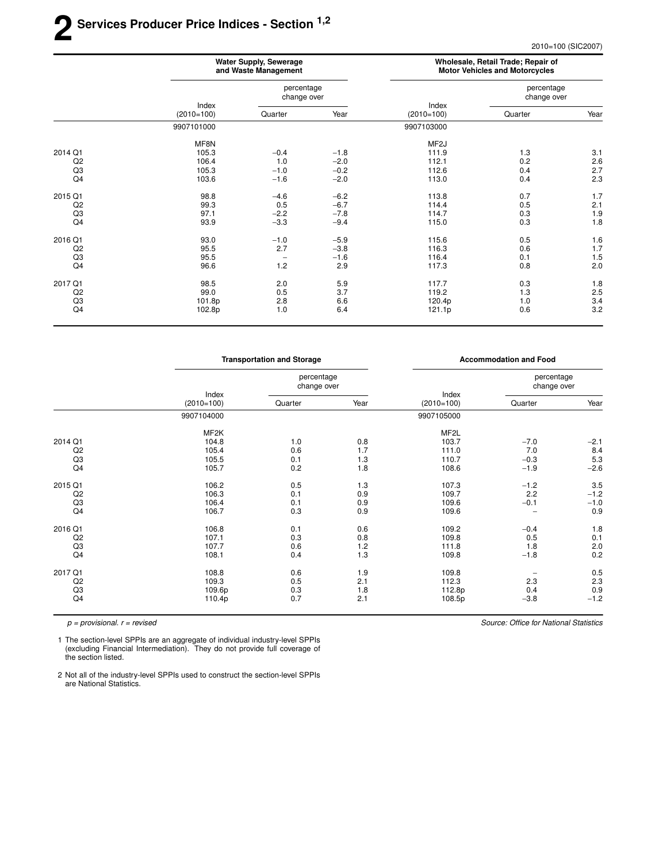## **2 Ser vices Producer Price Indices - Section 1,2**

2010=100 (SIC2007)

|                |                                  | <b>Water Supply, Sewerage</b><br>and Waste Management |        | Wholesale, Retail Trade; Repair of<br><b>Motor Vehicles and Motorcycles</b> |                           |      |
|----------------|----------------------------------|-------------------------------------------------------|--------|-----------------------------------------------------------------------------|---------------------------|------|
|                |                                  | percentage<br>change over                             |        |                                                                             | percentage<br>change over |      |
|                | Index<br>$(2010=100)$<br>Quarter |                                                       | Year   | Index<br>$(2010=100)$                                                       | Quarter                   | Year |
|                | 9907101000                       |                                                       |        | 9907103000                                                                  |                           |      |
|                | MF8N                             |                                                       |        | MF <sub>2</sub> J                                                           |                           |      |
| 2014 Q1        | 105.3                            | $-0.4$                                                | $-1.8$ | 111.9                                                                       | 1.3                       | 3.1  |
| Q <sub>2</sub> | 106.4                            | 1.0                                                   | $-2.0$ | 112.1                                                                       | 0.2                       | 2.6  |
| Q3             | 105.3                            | $-1.0$                                                | $-0.2$ | 112.6                                                                       | 0.4                       | 2.7  |
| Q <sub>4</sub> | 103.6                            | $-1.6$                                                | $-2.0$ | 113.0                                                                       | 0.4                       | 2.3  |
| 2015 Q1        | 98.8                             | $-4.6$                                                | $-6.2$ | 113.8                                                                       | 0.7                       | 1.7  |
| Q <sub>2</sub> | 99.3                             | 0.5                                                   | $-6.7$ | 114.4                                                                       | 0.5                       | 2.1  |
| Q3             | 97.1                             | $-2.2$                                                | $-7.8$ | 114.7                                                                       | 0.3                       | 1.9  |
| Q4             | 93.9                             | $-3.3$                                                | $-9.4$ | 115.0                                                                       | 0.3                       | 1.8  |
| 2016 Q1        | 93.0                             | $-1.0$                                                | $-5.9$ | 115.6                                                                       | 0.5                       | 1.6  |
| Q <sub>2</sub> | 95.5                             | 2.7                                                   | $-3.8$ | 116.3                                                                       | 0.6                       | 1.7  |
| Q3             | 95.5                             | $\overline{\phantom{0}}$                              | $-1.6$ | 116.4                                                                       | 0.1                       | 1.5  |
| Q4             | 96.6                             | 1.2                                                   | 2.9    | 117.3                                                                       | 0.8                       | 2.0  |
| 2017 Q1        | 98.5                             | 2.0                                                   | 5.9    | 117.7                                                                       | 0.3                       | 1.8  |
| Q <sub>2</sub> | 99.0                             | 0.5                                                   | 3.7    | 119.2                                                                       | 1.3                       | 2.5  |
| Q3             | 101.8p                           | 2.8                                                   | 6.6    | 120.4p                                                                      | 1.0                       | 3.4  |
| Q4             | 102.8p                           | 1.0                                                   | 6.4    | 121.1p                                                                      | 0.6                       | 3.2  |

|                |                       | <b>Transportation and Storage</b> |      |                       | <b>Accommodation and Food</b> |        |
|----------------|-----------------------|-----------------------------------|------|-----------------------|-------------------------------|--------|
|                |                       | percentage<br>change over         |      |                       | percentage<br>change over     |        |
|                | Index<br>$(2010=100)$ | Quarter                           | Year | Index<br>$(2010=100)$ | Quarter                       | Year   |
|                | 9907104000            |                                   |      | 9907105000            |                               |        |
|                | MF <sub>2</sub> K     |                                   |      | MF <sub>2</sub> L     |                               |        |
| 2014 Q1        | 104.8                 | 1.0                               | 0.8  | 103.7                 | $-7.0$                        | $-2.1$ |
| Q2             | 105.4                 | 0.6                               | 1.7  | 111.0                 | 7.0                           | 8.4    |
| Q <sub>3</sub> | 105.5                 | 0.1                               | 1.3  | 110.7                 | $-0.3$                        | 5.3    |
| Q <sub>4</sub> | 105.7                 | 0.2                               | 1.8  | 108.6                 | $-1.9$                        | $-2.6$ |
| 2015 Q1        | 106.2                 | 0.5                               | 1.3  | 107.3                 | $-1.2$                        | 3.5    |
| Q2             | 106.3                 | 0.1                               | 0.9  | 109.7                 | 2.2                           | $-1.2$ |
| Q3             | 106.4                 | 0.1                               | 0.9  | 109.6                 | $-0.1$                        | $-1.0$ |
| Q <sub>4</sub> | 106.7                 | 0.3                               | 0.9  | 109.6                 |                               | 0.9    |
| 2016 Q1        | 106.8                 | 0.1                               | 0.6  | 109.2                 | $-0.4$                        | 1.8    |
| Q <sub>2</sub> | 107.1                 | 0.3                               | 0.8  | 109.8                 | 0.5                           | 0.1    |
| Q3             | 107.7                 | 0.6                               | 1.2  | 111.8                 | 1.8                           | 2.0    |
| Q <sub>4</sub> | 108.1                 | 0.4                               | 1.3  | 109.8                 | $-1.8$                        | 0.2    |
| 2017 Q1        | 108.8                 | 0.6                               | 1.9  | 109.8                 |                               | 0.5    |
| Q2             | 109.3                 | 0.5                               | 2.1  | 112.3                 | 2.3                           | 2.3    |
| Q3             | 109.6p                | 0.3                               | 1.8  | 112.8p                | 0.4                           | 0.9    |
| Q4             | 110.4p                | 0.7                               | 2.1  | 108.5p                | $-3.8$                        | $-1.2$ |
|                |                       |                                   |      |                       |                               |        |

 $p =$  provisional.  $r =$  revised

1 The section-level SPPIs are an aggregate of individual industry-level SPPIs (excluding Financial Intermediation). They do not provide full coverage of the section listed.

2 Not all of the industry-level SPPIs used to construct the section-level SPPIs are National Statistics.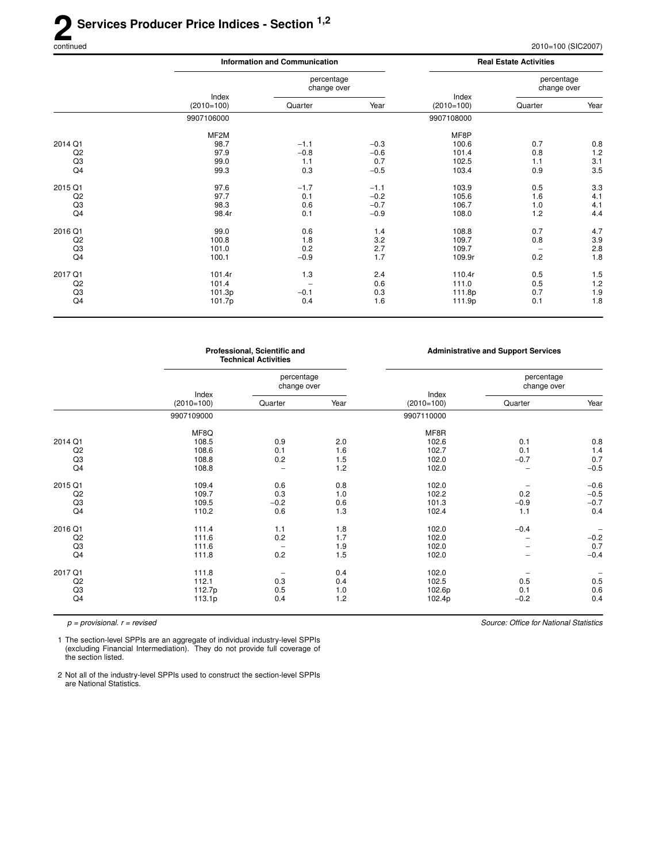### 2<sup>Se</sup> **Ser vices Producer Price Indices - Section 1,2**

2010=100 (SIC2007)

|                |                       | <b>Information and Communication</b> |        |                       |                           |         |
|----------------|-----------------------|--------------------------------------|--------|-----------------------|---------------------------|---------|
|                |                       | percentage<br>change over            |        |                       | percentage<br>change over |         |
|                | Index<br>$(2010=100)$ | Quarter                              | Year   | Index<br>$(2010=100)$ | Quarter                   | Year    |
|                | 9907106000            |                                      |        | 9907108000            |                           |         |
|                | MF <sub>2</sub> M     |                                      |        | MF8P                  |                           |         |
| 2014 Q1        | 98.7                  | $-1.1$                               | $-0.3$ | 100.6                 | 0.7                       | 0.8     |
| Q <sub>2</sub> | 97.9                  | $-0.8$                               | $-0.6$ | 101.4                 | 0.8                       | 1.2     |
| Q <sub>3</sub> | 99.0                  | 1.1                                  | 0.7    | 102.5                 | 1.1                       | 3.1     |
| Q4             | 99.3                  | 0.3                                  | $-0.5$ | 103.4                 | 0.9                       | 3.5     |
| 2015 Q1        | 97.6                  | $-1.7$                               | $-1.1$ | 103.9                 | 0.5                       | 3.3     |
| Q2             | 97.7                  | 0.1                                  | $-0.2$ | 105.6                 | 1.6                       | 4.1     |
| Q <sub>3</sub> | 98.3                  | 0.6                                  | $-0.7$ | 106.7                 | 1.0                       | 4.1     |
| Q4             | 98.4r                 | 0.1                                  | $-0.9$ | 108.0                 | 1.2                       | 4.4     |
| 2016 Q1        | 99.0                  | 0.6                                  | 1.4    | 108.8                 | 0.7                       | 4.7     |
| Q <sub>2</sub> | 100.8                 | 1.8                                  | 3.2    | 109.7                 | 0.8                       | 3.9     |
| Q <sub>3</sub> | 101.0                 | 0.2                                  | 2.7    | 109.7                 | $\overline{\phantom{a}}$  | $2.8\,$ |
| Q4             | 100.1                 | $-0.9$                               | 1.7    | 109.9r                | 0.2                       | 1.8     |
| 2017 Q1        | 101.4r                | 1.3                                  | 2.4    | 110.4r                | 0.5                       | 1.5     |
| Q <sub>2</sub> | 101.4                 | $\overline{\phantom{0}}$             | 0.6    | 111.0                 | 0.5                       | 1.2     |
| Q <sub>3</sub> | 101.3p                | $-0.1$                               | 0.3    | 111.8p                | 0.7                       | 1.9     |
| Q4             | 101.7p                | 0.4                                  | 1.6    | 111.9p                | 0.1                       | 1.8     |
|                |                       |                                      |        |                       |                           |         |

|                |                       | Professional, Scientific and<br><b>Technical Activities</b> |      |                       | <b>Administrative and Support Services</b> |                          |
|----------------|-----------------------|-------------------------------------------------------------|------|-----------------------|--------------------------------------------|--------------------------|
|                |                       | percentage<br>change over                                   |      |                       | percentage<br>change over                  |                          |
|                | Index<br>$(2010=100)$ | Quarter                                                     | Year | Index<br>$(2010=100)$ | Quarter                                    | Year                     |
|                | 9907109000            |                                                             |      | 9907110000            |                                            |                          |
|                | MF8Q                  |                                                             |      | MF8R                  |                                            |                          |
| 2014 Q1        | 108.5                 | 0.9                                                         | 2.0  | 102.6                 | 0.1                                        | 0.8                      |
| Q <sub>2</sub> | 108.6                 | 0.1                                                         | 1.6  | 102.7                 | 0.1                                        | 1.4                      |
| Q <sub>3</sub> | 108.8                 | 0.2                                                         | 1.5  | 102.0                 | $-0.7$                                     | 0.7                      |
| Q4             | 108.8                 | $\overline{\phantom{0}}$                                    | 1.2  | 102.0                 | $\overline{\phantom{0}}$                   | $-0.5$                   |
| 2015 Q1        | 109.4                 | 0.6                                                         | 0.8  | 102.0                 |                                            | $-0.6$                   |
| Q2             | 109.7                 | 0.3                                                         | 1.0  | 102.2                 | 0.2                                        | $-0.5$                   |
| Q <sub>3</sub> | 109.5                 | $-0.2$                                                      | 0.6  | 101.3                 | $-0.9$                                     | $-0.7$                   |
| Q4             | 110.2                 | 0.6                                                         | 1.3  | 102.4                 | 1.1                                        | 0.4                      |
| 2016 Q1        | 111.4                 | 1.1                                                         | 1.8  | 102.0                 | $-0.4$                                     | $\overline{\phantom{a}}$ |
| Q2             | 111.6                 | 0.2                                                         | 1.7  | 102.0                 | $\overline{\phantom{0}}$                   | $-0.2$                   |
| Q <sub>3</sub> | 111.6                 | $\qquad \qquad$                                             | 1.9  | 102.0                 | -                                          | 0.7                      |
| Q4             | 111.8                 | 0.2                                                         | 1.5  | 102.0                 |                                            | $-0.4$                   |
| 2017 Q1        | 111.8                 | $\overline{\phantom{0}}$                                    | 0.4  | 102.0                 |                                            |                          |
| Q2             | 112.1                 | 0.3                                                         | 0.4  | 102.5                 | 0.5                                        | 0.5                      |
| Q <sub>3</sub> | 112.7p                | 0.5                                                         | 1.0  | 102.6p                | 0.1                                        | 0.6                      |
| Q4             | 113.1p                | 0.4                                                         | 1.2  | 102.4p                | $-0.2$                                     | 0.4                      |
|                |                       |                                                             |      |                       |                                            |                          |

 $p =$  provisional.  $r =$  revised

Source: Office for National Statistics

1 The section-level SPPIs are an aggregate of individual industry-level SPPIs (excluding Financial Intermediation). They do not provide full coverage of the section listed.

2 Not all of the industry-level SPPIs used to construct the section-level SPPIs are National Statistics.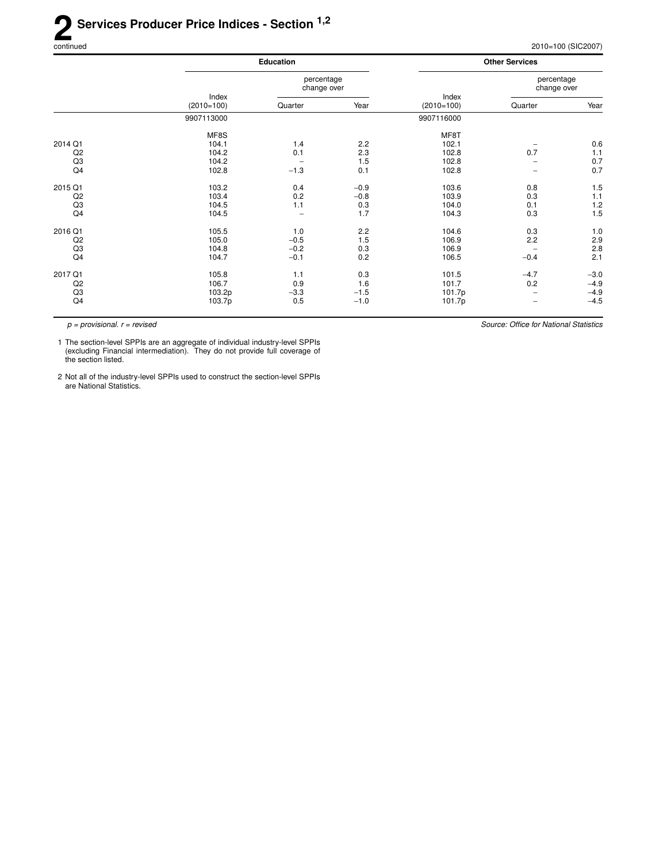## **2** Services Producer Price Indices - Section <sup>1,2</sup><br> **2** Serviced continued 2010=100 (SIC2007)

|                |                       | <b>Education</b>          |        |                       | <b>Other Services</b>     |                  |
|----------------|-----------------------|---------------------------|--------|-----------------------|---------------------------|------------------|
|                |                       | percentage<br>change over |        |                       | percentage<br>change over |                  |
|                | Index<br>$(2010=100)$ | Quarter                   | Year   | Index<br>$(2010=100)$ | Quarter                   | Year             |
|                | 9907113000            |                           |        | 9907116000            |                           |                  |
|                | MF8S                  |                           |        | MF8T                  |                           |                  |
| 2014 Q1        | 104.1                 | 1.4                       | 2.2    | 102.1                 |                           | 0.6              |
| Q2             | 104.2                 | 0.1                       | 2.3    | 102.8                 | 0.7                       | 1.1              |
| Q <sub>3</sub> | 104.2                 | $\qquad \qquad -$         | 1.5    | 102.8                 | $\overline{\phantom{0}}$  | 0.7              |
| Q4             | 102.8                 | $-1.3$                    | 0.1    | 102.8                 | $\qquad \qquad$           | 0.7              |
| 2015 Q1        | 103.2                 | 0.4                       | $-0.9$ | 103.6                 | 0.8                       | 1.5              |
| Q2             | 103.4                 | 0.2                       | $-0.8$ | 103.9                 | 0.3                       | 1.1              |
| Q3             | 104.5                 | 1.1                       | 0.3    | 104.0                 | 0.1                       | 1.2              |
| Q4             | 104.5                 | $\overline{\phantom{a}}$  | 1.7    | 104.3                 | 0.3                       | 1.5              |
| 2016 Q1        | 105.5                 | 1.0                       | 2.2    | 104.6                 | 0.3                       | 1.0              |
| Q2             | 105.0                 | $-0.5$                    | 1.5    | 106.9                 | 2.2                       | 2.9              |
| Q <sub>3</sub> | 104.8                 | $-0.2$                    | 0.3    | 106.9                 | $\qquad \qquad -$         | $2.\overline{8}$ |
| Q4             | 104.7                 | $-0.1$                    | 0.2    | 106.5                 | $-0.4$                    | 2.1              |
| 2017 Q1        | 105.8                 | 1.1                       | 0.3    | 101.5                 | $-4.7$                    | $-3.0$           |
| Q <sub>2</sub> | 106.7                 | 0.9                       | 1.6    | 101.7                 | 0.2                       | $-4.9$           |
| Q <sub>3</sub> | 103.2p                | $-3.3$                    | $-1.5$ | 101.7p                |                           | $-4.9$           |
| Q4             | 103.7p                | 0.5                       | $-1.0$ | 101.7p                | $\qquad \qquad -$         | $-4.5$           |

 $p =$  provisional.  $r =$  revised

Source: Office for National Statistics

1 The section-level SPPIs are an aggregate of individual industry-level SPPIs (excluding Financial intermediation). They do not provide full coverage of the section listed.

2 Not all of the industry-level SPPIs used to construct the section-level SPPIs are National Statistics.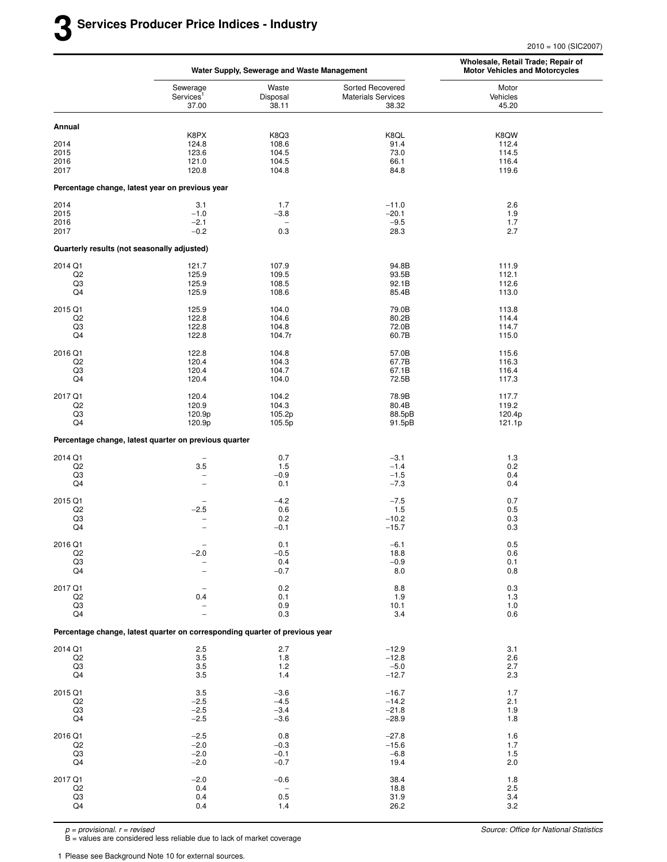2010 = 100 (SIC2007)

|                      |                                                                             | Water Supply, Sewerage and Waste Management |                                                        | Wholesale, Retail Trade; Repair of<br><b>Motor Vehicles and Motorcycles</b> |  |  |
|----------------------|-----------------------------------------------------------------------------|---------------------------------------------|--------------------------------------------------------|-----------------------------------------------------------------------------|--|--|
|                      | Sewerage<br>Services <sup>1</sup><br>37.00                                  | Waste<br>Disposal<br>38.11                  | Sorted Recovered<br><b>Materials Services</b><br>38.32 | Motor<br>Vehicles<br>45.20                                                  |  |  |
| Annual               |                                                                             |                                             |                                                        |                                                                             |  |  |
| 2014                 | K8PX<br>124.8                                                               | K8Q3<br>108.6                               | K8QL<br>91.4                                           | K8QW<br>112.4                                                               |  |  |
| 2015                 | 123.6                                                                       | 104.5                                       | 73.0                                                   | 114.5                                                                       |  |  |
| 2016                 | 121.0                                                                       | 104.5                                       | 66.1                                                   | 116.4                                                                       |  |  |
| 2017                 | 120.8                                                                       | 104.8                                       | 84.8                                                   | 119.6                                                                       |  |  |
|                      | Percentage change, latest year on previous year                             |                                             |                                                        |                                                                             |  |  |
| 2014                 | 3.1                                                                         | 1.7                                         | $-11.0$                                                | 2.6                                                                         |  |  |
| 2015<br>2016         | $-1.0$<br>$-2.1$                                                            | $-3.8$                                      | $-20.1$<br>$-9.5$                                      | 1.9<br>1.7                                                                  |  |  |
| 2017                 | $-0.2$                                                                      | 0.3                                         | 28.3                                                   | 2.7                                                                         |  |  |
|                      | Quarterly results (not seasonally adjusted)                                 |                                             |                                                        |                                                                             |  |  |
| 2014 Q1              | 121.7                                                                       | 107.9                                       | 94.8B                                                  | 111.9                                                                       |  |  |
| Q <sub>2</sub><br>Q3 | 125.9<br>125.9                                                              | 109.5<br>108.5                              | 93.5B<br>92.1B                                         | 112.1<br>112.6                                                              |  |  |
| Q4                   | 125.9                                                                       | 108.6                                       | 85.4B                                                  | 113.0                                                                       |  |  |
| 2015 Q1              | 125.9                                                                       | 104.0                                       | 79.0B                                                  | 113.8                                                                       |  |  |
| Q <sub>2</sub><br>Q3 | 122.8<br>122.8                                                              | 104.6<br>104.8                              | 80.2B<br>72.0B                                         | 114.4<br>114.7                                                              |  |  |
| Q4                   | 122.8                                                                       | 104.7r                                      | 60.7B                                                  | 115.0                                                                       |  |  |
| 2016 Q1              | 122.8                                                                       | 104.8                                       | 57.0B                                                  | 115.6                                                                       |  |  |
| Q <sub>2</sub><br>Q3 | 120.4<br>120.4                                                              | 104.3<br>104.7                              | 67.7B<br>67.1B                                         | 116.3<br>116.4                                                              |  |  |
| Q4                   | 120.4                                                                       | 104.0                                       | 72.5B                                                  | 117.3                                                                       |  |  |
| 2017 Q1              | 120.4                                                                       | 104.2                                       | 78.9B                                                  | 117.7                                                                       |  |  |
| Q2<br>Q3             | 120.9<br>120.9p                                                             | 104.3<br>105.2p                             | 80.4B<br>88.5pB                                        | 119.2<br>120.4p                                                             |  |  |
| Q4                   | 120.9p                                                                      | 105.5p                                      | 91.5pB                                                 | 121.1p                                                                      |  |  |
|                      | Percentage change, latest quarter on previous quarter                       |                                             |                                                        |                                                                             |  |  |
| 2014 Q1              | $\overline{\phantom{0}}$                                                    | 0.7                                         | $-3.1$                                                 | 1.3                                                                         |  |  |
| Q2                   | 3.5                                                                         | 1.5<br>$-0.9$                               | $-1.4$<br>$-1.5$                                       | 0.2<br>0.4                                                                  |  |  |
| Q3<br>Q4             | $\qquad \qquad -$<br>$\overline{\phantom{0}}$                               | 0.1                                         | $-7.3$                                                 | 0.4                                                                         |  |  |
| 2015 Q1              | $\overline{\phantom{0}}$                                                    | $-4.2$                                      | $-7.5$                                                 | 0.7                                                                         |  |  |
| Q <sub>2</sub><br>Q3 | $-2.5$                                                                      | 0.6<br>0.2                                  | 1.5<br>$-10.2$                                         | 0.5<br>0.3                                                                  |  |  |
| Q4                   | ÷<br>$\overline{\phantom{0}}$                                               | $-0.1$                                      | $-15.7$                                                | 0.3                                                                         |  |  |
| 2016 Q1              |                                                                             | 0.1                                         | $-6.1$                                                 | $0.5\,$                                                                     |  |  |
| Q <sub>2</sub><br>Q3 | $-2.0$                                                                      | $-0.5$<br>0.4                               | 18.8                                                   | 0.6<br>0.1                                                                  |  |  |
| Q4                   | $\qquad \qquad -$                                                           | $-0.7$                                      | $-0.9$<br>8.0                                          | 0.8                                                                         |  |  |
| 2017 Q1              |                                                                             | 0.2                                         | 8.8                                                    | 0.3                                                                         |  |  |
| Q2                   | 0.4                                                                         | 0.1                                         | 1.9                                                    | 1.3                                                                         |  |  |
| Q3<br>Q4             |                                                                             | 0.9<br>0.3                                  | 10.1<br>3.4                                            | 1.0<br>0.6                                                                  |  |  |
|                      | Percentage change, latest quarter on corresponding quarter of previous year |                                             |                                                        |                                                                             |  |  |
| 2014 Q1              | 2.5                                                                         | 2.7                                         | $-12.9$                                                | 3.1                                                                         |  |  |
| Q <sub>2</sub><br>Q3 | 3.5<br>3.5                                                                  | 1.8<br>1.2                                  | $-12.8$                                                | 2.6<br>2.7                                                                  |  |  |
| Q4                   | 3.5                                                                         | 1.4                                         | $-5.0$<br>$-12.7$                                      | 2.3                                                                         |  |  |
| 2015 Q1              | 3.5                                                                         | $-3.6$                                      | $-16.7$                                                | 1.7                                                                         |  |  |
| Q2<br>Q3             | $-2.5$<br>$-2.5$                                                            | $-4.5$<br>$-3.4$                            | $-14.2$<br>$-21.8$                                     | 2.1<br>1.9                                                                  |  |  |
| Q4                   | $-2.5$                                                                      | $-3.6$                                      | $-28.9$                                                | 1.8                                                                         |  |  |
| 2016 Q1              | $-2.5$                                                                      | 0.8                                         | $-27.8$                                                | 1.6                                                                         |  |  |
| Q2<br>Q3             | $-2.0$<br>$-2.0$                                                            | $-0.3$<br>$-0.1$                            | $-15.6$<br>$-6.8$                                      | 1.7<br>1.5                                                                  |  |  |
| Q4                   | $-2.0$                                                                      | $-0.7$                                      | 19.4                                                   | 2.0                                                                         |  |  |
| 2017 Q1              | $-2.0$                                                                      | $-0.6$                                      | 38.4                                                   | 1.8                                                                         |  |  |
| Q2                   | 0.4                                                                         | $\overline{\phantom{a}}$                    | 18.8                                                   | 2.5                                                                         |  |  |
| Q3<br>Q4             | 0.4<br>0.4                                                                  | 0.5<br>1.4                                  | 31.9<br>26.2                                           | 3.4<br>3.2                                                                  |  |  |
|                      |                                                                             |                                             |                                                        |                                                                             |  |  |

p = provisional. r = revised

B = values are considered less reliable due to lack of market coverage

1 Please see Background Note 10 for external sources.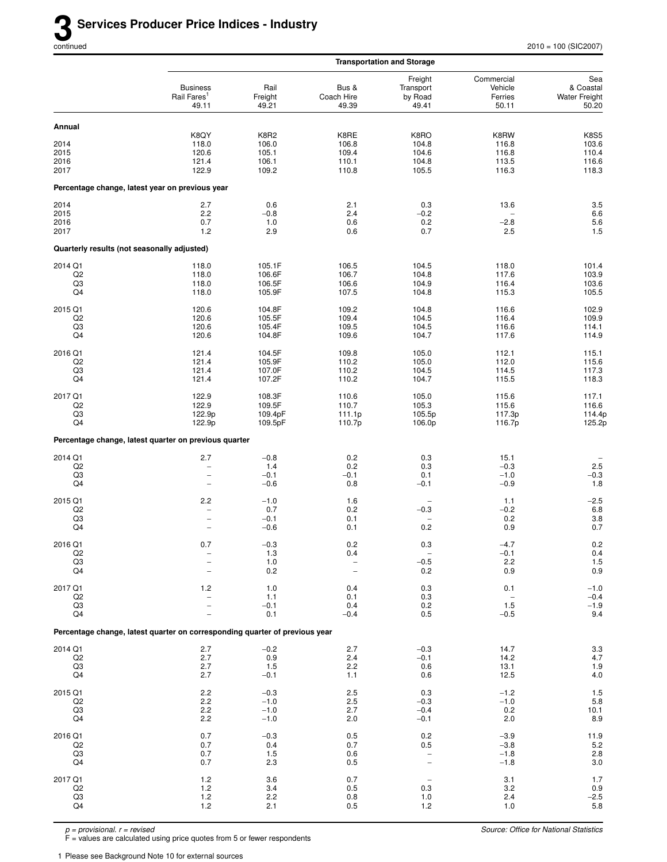|                                                   |                                                                               |                                          |                                                                    | <b>Transportation and Storage</b>                           |                                                  |                                                   |
|---------------------------------------------------|-------------------------------------------------------------------------------|------------------------------------------|--------------------------------------------------------------------|-------------------------------------------------------------|--------------------------------------------------|---------------------------------------------------|
|                                                   | <b>Business</b><br>Rail Fares <sup>1</sup><br>49.11                           | Rail<br>Freight<br>49.21                 | Bus &<br>Coach Hire<br>49.39                                       | Freight<br>Transport<br>by Road<br>49.41                    | Commercial<br>Vehicle<br>Ferries<br>50.11        | Sea<br>& Coastal<br><b>Water Freight</b><br>50.20 |
| Annual                                            |                                                                               |                                          |                                                                    |                                                             |                                                  |                                                   |
| 2014<br>2015<br>2016<br>2017                      | K8QY<br>118.0<br>120.6<br>121.4<br>122.9                                      | K8R2<br>106.0<br>105.1<br>106.1<br>109.2 | K8RE<br>106.8<br>109.4<br>110.1<br>110.8                           | K8RO<br>104.8<br>104.6<br>104.8<br>105.5                    | K8RW<br>116.8<br>116.8<br>113.5<br>116.3         | <b>K8S5</b><br>103.6<br>110.4<br>116.6<br>118.3   |
|                                                   | Percentage change, latest year on previous year                               |                                          |                                                                    |                                                             |                                                  |                                                   |
| 2014<br>2015<br>2016<br>2017                      | 2.7<br>2.2<br>0.7<br>1.2                                                      | 0.6<br>$-0.8$<br>$1.0$<br>2.9            | 2.1<br>2.4<br>0.6<br>0.6                                           | 0.3<br>$-0.2$<br>0.2<br>0.7                                 | 13.6<br>$-2.8$<br>2.5                            | 3.5<br>6.6<br>5.6<br>$1.5\,$                      |
| Quarterly results (not seasonally adjusted)       |                                                                               |                                          |                                                                    |                                                             |                                                  |                                                   |
| 2014 Q1<br>Q <sub>2</sub><br>Q <sub>3</sub><br>Q4 | 118.0<br>118.0<br>118.0<br>118.0                                              | 105.1F<br>106.6F<br>106.5F<br>105.9F     | 106.5<br>106.7<br>106.6<br>107.5                                   | 104.5<br>104.8<br>104.9<br>104.8                            | 118.0<br>117.6<br>116.4<br>115.3                 | 101.4<br>103.9<br>103.6<br>105.5                  |
| 2015 Q1<br>Q2<br>Q3<br>Q4                         | 120.6<br>120.6<br>120.6<br>120.6                                              | 104.8F<br>105.5F<br>105.4F<br>104.8F     | 109.2<br>109.4<br>109.5<br>109.6                                   | 104.8<br>104.5<br>104.5<br>104.7                            | 116.6<br>116.4<br>116.6<br>117.6                 | 102.9<br>109.9<br>114.1<br>114.9                  |
| 2016 Q1<br>Q2<br>Q3<br>Q4                         | 121.4<br>121.4<br>121.4<br>121.4                                              | 104.5F<br>105.9F<br>107.0F<br>107.2F     | 109.8<br>110.2<br>110.2<br>110.2                                   | 105.0<br>105.0<br>104.5<br>104.7                            | 112.1<br>112.0<br>114.5<br>115.5                 | 115.1<br>115.6<br>117.3<br>118.3                  |
| 2017 Q1<br>Q <sub>2</sub><br>Q3<br>Q4             | 122.9<br>122.9<br>122.9p<br>122.9p                                            | 108.3F<br>109.5F<br>109.4pF<br>109.5pF   | 110.6<br>110.7<br>111.1p<br>110.7p                                 | 105.0<br>105.3<br>105.5p<br>106.0p                          | 115.6<br>115.6<br>117.3p<br>116.7p               | 117.1<br>116.6<br>114.4p<br>125.2p                |
|                                                   | Percentage change, latest quarter on previous quarter                         |                                          |                                                                    |                                                             |                                                  |                                                   |
| 2014 Q1<br>Q2<br>Q3<br>Q4                         | 2.7<br>$\overline{\phantom{0}}$<br>-<br>$\overline{\phantom{0}}$              | $-0.8$<br>1.4<br>$-0.1$<br>$-0.6$        | 0.2<br>0.2<br>$-0.1$<br>0.8                                        | 0.3<br>0.3<br>0.1<br>$-0.1$                                 | 15.1<br>$-0.3$<br>$-1.0$<br>$-0.9$               | 2.5<br>$-0.3$<br>$1.8$                            |
| 2015 Q1<br>Q <sub>2</sub><br>Q3<br>Q4             | 2.2<br>$\overline{\phantom{0}}$<br>$\overline{a}$<br>$\overline{\phantom{0}}$ | $-1.0$<br>0.7<br>$-0.1$<br>$-0.6$        | 1.6<br>0.2<br>0.1<br>0.1                                           | $\overline{a}$<br>$-0.3$<br>$\overline{\phantom{0}}$<br>0.2 | 1.1<br>$-0.2$<br>0.2<br>0.9                      | $-2.5$<br>$6.8\,$<br>$3.8\,$<br>0.7               |
| 2016 Q1<br>$_{\rm Q2}$<br>Q3<br>Q4                | 0.7                                                                           | $-0.3$<br>1.3<br>$1.0$<br>$0.2\,$        | 0.2<br>0.4<br>$\overline{\phantom{0}}$<br>$\overline{\phantom{0}}$ | 0.3<br>$-0.5$<br>$0.2\,$                                    | $-4.7$<br>$-0.1$<br>2.2<br>$0.9\,$               | $0.2\,$<br>$0.4$<br>$1.5$<br>$0.9$                |
| 2017 Q1<br>Q <sub>2</sub><br>Q3<br>Q4             | $1.2$<br>$\overline{\phantom{0}}$<br>$\overline{\phantom{0}}$                 | 1.0<br>1.1<br>$-0.1$<br>0.1              | 0.4<br>0.1<br>0.4<br>$-0.4$                                        | 0.3<br>0.3<br>0.2<br>0.5                                    | 0.1<br>$\overline{\phantom{a}}$<br>1.5<br>$-0.5$ | $-1.0$<br>$-0.4$<br>$-1.9$<br>9.4                 |
|                                                   | Percentage change, latest quarter on corresponding quarter of previous year   |                                          |                                                                    |                                                             |                                                  |                                                   |
| 2014 Q1<br>Q2<br>Q3<br>Q4                         | 2.7<br>2.7<br>2.7<br>2.7                                                      | $-0.2$<br>0.9<br>1.5<br>$-0.1$           | 2.7<br>2.4<br>2.2<br>1.1                                           | $-0.3$<br>$-0.1$<br>0.6<br>0.6                              | 14.7<br>14.2<br>13.1<br>12.5                     | $3.3\,$<br>$4.7\,$<br>1.9<br>$4.0\,$              |
| 2015 Q1<br>Q2<br>Q3<br>Q4                         | 2.2<br>$2.2\,$<br>2.2<br>2.2                                                  | $-0.3$<br>$-1.0$<br>$-1.0$<br>$-1.0$     | 2.5<br>2.5<br>2.7<br>2.0                                           | 0.3<br>$-0.3$<br>$-0.4$<br>$-0.1$                           | $-1.2$<br>$-1.0$<br>0.2<br>2.0                   | $1.5$<br>5.8<br>10.1<br>$_{\rm 8.9}$              |
| 2016 Q1<br>Q2<br>Q3<br>Q4                         | 0.7<br>0.7<br>0.7<br>0.7                                                      | $-0.3$<br>0.4<br>1.5<br>2.3              | 0.5<br>0.7<br>0.6<br>0.5                                           | 0.2<br>0.5<br>$\qquad \qquad -$<br>$\qquad \qquad -$        | $-3.9$<br>$-3.8$<br>$-1.8$<br>$-1.8$             | 11.9<br>$5.2\,$<br>$2.8\,$<br>$3.0\,$             |
| 2017 Q1<br>Q2<br>Q3<br>Q4                         | 1.2<br>1.2<br>$1.2$<br>1.2                                                    | 3.6<br>3.4<br>2.2<br>2.1                 | 0.7<br>0.5<br>0.8<br>0.5                                           | 0.3<br>1.0<br>1.2                                           | 3.1<br>3.2<br>2.4<br>1.0                         | 1.7<br>$0.9\,$<br>$-2.5$<br>5.8                   |

F = values are calculated using price quotes from 5 or fewer respondents

1 Please see Background Note 10 for external sources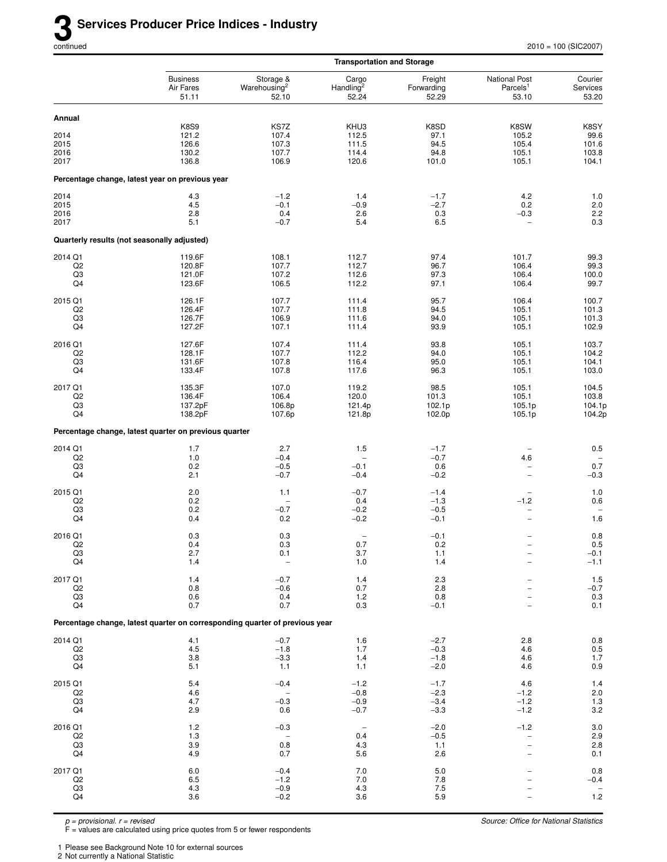|                           |                                                                             |                                                | <b>Transportation and Storage</b>       |                                |                                                       |                                           |
|---------------------------|-----------------------------------------------------------------------------|------------------------------------------------|-----------------------------------------|--------------------------------|-------------------------------------------------------|-------------------------------------------|
|                           | <b>Business</b><br>Air Fares<br>51.11                                       | Storage &<br>Warehousing <sup>2</sup><br>52.10 | Cargo<br>Handling <sup>2</sup><br>52.24 | Freight<br>Forwarding<br>52.29 | <b>National Post</b><br>Parcels <sup>1</sup><br>53.10 | Courier<br>Services<br>53.20              |
| Annual                    |                                                                             |                                                |                                         |                                |                                                       |                                           |
|                           | <b>K8S9</b>                                                                 | KS7Z                                           | KHU3                                    | K8SD                           | K8SW                                                  | K8SY                                      |
| 2014                      | 121.2                                                                       | 107.4                                          | 112.5                                   | 97.1                           | 105.2                                                 | 99.6                                      |
| 2015<br>2016              | 126.6<br>130.2                                                              | 107.3<br>107.7                                 | 111.5<br>114.4                          | 94.5<br>94.8                   | 105.4<br>105.1                                        | 101.6<br>103.8                            |
| 2017                      | 136.8                                                                       | 106.9                                          | 120.6                                   | 101.0                          | 105.1                                                 | 104.1                                     |
|                           | Percentage change, latest year on previous year                             |                                                |                                         |                                |                                                       |                                           |
| 2014                      | 4.3                                                                         | $-1.2$                                         | 1.4                                     | $-1.7$                         | 4.2                                                   | 1.0                                       |
| 2015                      | 4.5                                                                         | $-0.1$                                         | $-0.9$                                  | $-2.7$                         | 0.2                                                   | $2.0\,$                                   |
| 2016<br>2017              | 2.8<br>5.1                                                                  | 0.4<br>$-0.7$                                  | 2.6<br>5.4                              | 0.3<br>6.5                     | $-0.3$<br>$\overline{\phantom{0}}$                    | 2.2<br>0.3                                |
|                           | Quarterly results (not seasonally adjusted)                                 |                                                |                                         |                                |                                                       |                                           |
| 2014 Q1                   | 119.6F                                                                      | 108.1                                          | 112.7                                   | 97.4                           | 101.7                                                 | 99.3                                      |
| Q <sub>2</sub>            | 120.8F                                                                      | 107.7                                          | 112.7                                   | 96.7                           | 106.4                                                 | 99.3                                      |
| Q3                        | 121.0F                                                                      | 107.2                                          | 112.6                                   | 97.3                           | 106.4                                                 | 100.0                                     |
| Q4                        | 123.6F                                                                      | 106.5                                          | 112.2                                   | 97.1                           | 106.4                                                 | 99.7                                      |
| 2015 Q1                   | 126.1F                                                                      | 107.7                                          | 111.4                                   | 95.7                           | 106.4                                                 | 100.7                                     |
| Q2<br>Q3                  | 126.4F<br>126.7F                                                            | 107.7<br>106.9                                 | 111.8<br>111.6                          | 94.5<br>94.0                   | 105.1<br>105.1                                        | 101.3<br>101.3                            |
| Q4                        | 127.2F                                                                      | 107.1                                          | 111.4                                   | 93.9                           | 105.1                                                 | 102.9                                     |
| 2016 Q1                   | 127.6F                                                                      | 107.4                                          | 111.4                                   | 93.8                           | 105.1                                                 | 103.7                                     |
| Q <sub>2</sub>            | 128.1F                                                                      | 107.7                                          | 112.2                                   | 94.0                           | 105.1                                                 | 104.2                                     |
| Q3<br>Q4                  | 131.6F<br>133.4F                                                            | 107.8<br>107.8                                 | 116.4<br>117.6                          | 95.0<br>96.3                   | 105.1<br>105.1                                        | 104.1<br>103.0                            |
|                           |                                                                             |                                                |                                         |                                |                                                       |                                           |
| 2017 Q1<br>Q <sub>2</sub> | 135.3F<br>136.4F                                                            | 107.0<br>106.4                                 | 119.2<br>120.0                          | 98.5<br>101.3                  | 105.1<br>105.1                                        | 104.5<br>103.8                            |
| Q3                        | 137.2pF                                                                     | 106.8p                                         | 121.4p                                  | 102.1p                         | 105.1p                                                | 104.1p                                    |
| Q4                        | 138.2pF                                                                     | 107.6p                                         | 121.8p                                  | 102.0p                         | 105.1p                                                | 104.2p                                    |
|                           | Percentage change, latest quarter on previous quarter                       |                                                |                                         |                                |                                                       |                                           |
| 2014 Q1                   | 1.7                                                                         | 2.7                                            | 1.5                                     | $-1.7$                         |                                                       | $0.5\,$                                   |
| Q <sub>2</sub><br>Q3      | 1.0<br>0.2                                                                  | $-0.4$<br>$-0.5$                               | $\overline{\phantom{0}}$<br>$-0.1$      | $-0.7$<br>0.6                  | 4.6<br>-                                              | 0.7                                       |
| Q4                        | 2.1                                                                         | $-0.7$                                         | $-0.4$                                  | $-0.2$                         | $\overline{\phantom{0}}$                              | $-0.3$                                    |
| 2015 Q1                   | 2.0                                                                         | 1.1                                            | $-0.7$                                  | $-1.4$                         | $\overline{\phantom{0}}$                              | $1.0$                                     |
| Q <sub>2</sub>            | 0.2                                                                         |                                                | 0.4                                     | $-1.3$                         | $-1.2$                                                | 0.6                                       |
| Q3                        | 0.2                                                                         | $-0.7$                                         | $-0.2$                                  | $-0.5$                         | $\qquad \qquad -$                                     |                                           |
| Q4                        | 0.4                                                                         | 0.2                                            | $-0.2$                                  | $-0.1$                         | $\overline{a}$                                        | 1.6                                       |
| 2016 Q1                   | 0.3<br>0.4                                                                  | 0.3                                            | $\qquad \qquad -$<br>0.7                | $-0.1$                         | $\overline{\phantom{0}}$                              | 0.8                                       |
| Q <sub>2</sub><br>Q3      | 2.7                                                                         | 0.3<br>0.1                                     | 3.7                                     | 0.2<br>1.1                     |                                                       | $0.5\,$<br>$-0.1$                         |
| Q4                        | 1.4                                                                         | $\overline{\phantom{a}}$                       | 1.0                                     | 1.4                            |                                                       | $-1.1$                                    |
| 2017 Q1                   | 1.4                                                                         | $-0.7$                                         | 1.4                                     | 2.3                            |                                                       | $1.5$                                     |
| Q <sub>2</sub>            | 0.8                                                                         | $-0.6$                                         | 0.7                                     | 2.8                            |                                                       | $-0.7$                                    |
| Q3<br>Q4                  | 0.6<br>0.7                                                                  | 0.4<br>0.7                                     | 1.2<br>0.3                              | 0.8<br>$-0.1$                  |                                                       | $0.3\,$<br>0.1                            |
|                           | Percentage change, latest quarter on corresponding quarter of previous year |                                                |                                         |                                |                                                       |                                           |
| 2014 Q1                   | 4.1                                                                         | $-0.7$                                         | 1.6                                     | $-2.7$                         | 2.8                                                   | $\begin{array}{c} 0.8 \\ 0.5 \end{array}$ |
| Q2                        | 4.5                                                                         | $-1.8$                                         | 1.7                                     | $-0.3$                         | 4.6                                                   |                                           |
| Q <sub>3</sub><br>Q4      | 3.8<br>5.1                                                                  | $-3.3$<br>1.1                                  | 1.4<br>1.1                              | $-1.8$<br>$-2.0$               | 4.6<br>4.6                                            | 1.7<br>0.9                                |
| 2015 Q1                   | 5.4                                                                         | $-0.4$                                         | $-1.2$                                  | $-1.7$                         | 4.6                                                   | 1.4                                       |
| Q <sub>2</sub>            | 4.6                                                                         |                                                | $-0.8$                                  | $-2.3$                         | $-1.2$                                                |                                           |
| Q3                        | 4.7                                                                         | $-0.3$                                         | $-0.9$                                  | $-3.4$                         | $-1.2$                                                | $2.0$<br>1.3                              |
| Q4                        | 2.9                                                                         | 0.6                                            | $-0.7$                                  | $-3.3$                         | $-1.2$                                                | $3.2\,$                                   |
| 2016 Q1                   | 1.2                                                                         | $-0.3$                                         | $\overline{\phantom{0}}$                | $-2.0$                         | $-1.2$                                                | $3.0\,$                                   |
| Q <sub>2</sub><br>Q3      | 1.3<br>3.9                                                                  | 0.8                                            | 0.4<br>4.3                              | $-0.5$<br>$1.1$                | $\overline{\phantom{0}}$                              | $\frac{2.9}{2.8}$                         |
| Q4                        | 4.9                                                                         | 0.7                                            | 5.6                                     | 2.6                            | $\overline{\phantom{0}}$                              | 0.1                                       |
| 2017 Q1                   | $6.0\,$                                                                     | $-0.4$                                         | 7.0                                     | 5.0                            |                                                       | $0.8\,$                                   |
| Q2                        | 6.5                                                                         | $-1.2$                                         | 7.0                                     | 7.8                            |                                                       | $-0.4$                                    |
| Q3                        | 4.3                                                                         | $-0.9$                                         | 4.3                                     | 7.5                            |                                                       |                                           |
| Q4                        | 3.6                                                                         | $-0.2$                                         | 3.6                                     | 5.9                            |                                                       | $1.2$                                     |

F = values are calculated using price quotes from 5 or fewer respondents

1 Please see Background Note 10 for external sources

2 Not currently a National Statistic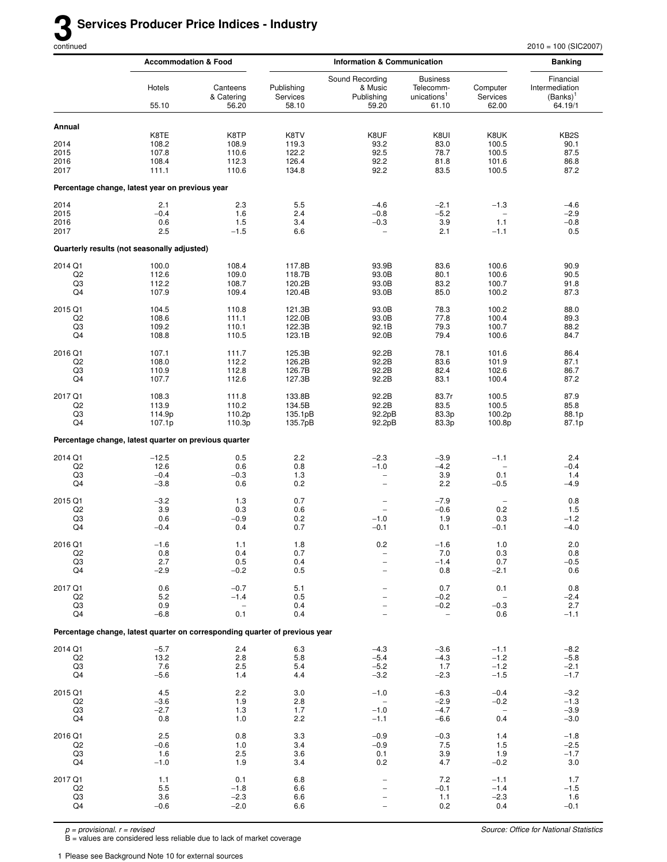|                              | <b>Accommodation &amp; Food</b>                                             |                                 | <b>Information &amp; Communication</b> |                                                        |                                                                  | <b>Banking</b>                    |                                                       |
|------------------------------|-----------------------------------------------------------------------------|---------------------------------|----------------------------------------|--------------------------------------------------------|------------------------------------------------------------------|-----------------------------------|-------------------------------------------------------|
|                              | Hotels<br>55.10                                                             | Canteens<br>& Catering<br>56.20 | Publishing<br>Services<br>58.10        | Sound Recording<br>& Music<br>Publishing<br>59.20      | <b>Business</b><br>Telecomm-<br>unications <sup>1</sup><br>61.10 | Computer<br>Services<br>62.00     | Financial<br>Intermediation<br>$(Banks)^1$<br>64.19/1 |
| Annual                       | K8TE                                                                        | K8TP                            | K8TV                                   | K8UF                                                   | K8UI                                                             | K8UK                              | KB <sub>2</sub> S                                     |
| 2014                         | 108.2                                                                       | 108.9                           | 119.3                                  | 93.2                                                   | 83.0                                                             | 100.5                             | 90.1                                                  |
| 2015                         | 107.8                                                                       | 110.6                           | 122.2                                  | 92.5                                                   | 78.7                                                             | 100.5                             | 87.5                                                  |
| 2016                         | 108.4                                                                       | 112.3                           | 126.4                                  | 92.2                                                   | 81.8                                                             | 101.6                             | 86.8                                                  |
| 2017                         | 111.1                                                                       | 110.6                           | 134.8                                  | 92.2                                                   | 83.5                                                             | 100.5                             | 87.2                                                  |
|                              | Percentage change, latest year on previous year                             |                                 |                                        |                                                        |                                                                  |                                   |                                                       |
| 2014<br>2015<br>2016<br>2017 | 2.1<br>$-0.4$<br>0.6<br>2.5                                                 | 2.3<br>1.6<br>1.5<br>$-1.5$     | 5.5<br>2.4<br>3.4<br>6.6               | $-4.6$<br>$-0.8$<br>$-0.3$<br>$\overline{\phantom{a}}$ | $-2.1$<br>$-5.2$<br>3.9<br>2.1                                   | $-1.3$<br>1.1<br>$-1.1$           | $-4.6$<br>$-2.9$<br>$-0.8$<br>0.5                     |
|                              | Quarterly results (not seasonally adjusted)                                 |                                 |                                        |                                                        |                                                                  |                                   |                                                       |
| 2014 Q1                      | 100.0                                                                       | 108.4                           | 117.8B                                 | 93.9B                                                  | 83.6                                                             | 100.6                             | 90.9                                                  |
| Q <sub>2</sub>               | 112.6                                                                       | 109.0                           | 118.7B                                 | 93.0B                                                  | 80.1                                                             | 100.6                             | 90.5                                                  |
| Q3                           | 112.2                                                                       | 108.7                           | 120.2B                                 | 93.0B                                                  | 83.2                                                             | 100.7                             | 91.8                                                  |
| Q4                           | 107.9                                                                       | 109.4                           | 120.4B                                 | 93.0B                                                  | 85.0                                                             | 100.2                             | 87.3                                                  |
| 2015 Q1                      | 104.5                                                                       | 110.8                           | 121.3B                                 | 93.0B                                                  | 78.3                                                             | 100.2                             | 88.0                                                  |
| Q <sub>2</sub>               | 108.6                                                                       | 111.1                           | 122.0B                                 | 93.0B                                                  | 77.8                                                             | 100.4                             | 89.3                                                  |
| Q3                           | 109.2                                                                       | 110.1                           | 122.3B                                 | 92.1B                                                  | 79.3                                                             | 100.7                             | 88.2                                                  |
| Q4                           | 108.8                                                                       | 110.5                           | 123.1B                                 | 92.0B                                                  | 79.4                                                             | 100.6                             | 84.7                                                  |
| 2016 Q1                      | 107.1                                                                       | 111.7                           | 125.3B                                 | 92.2B                                                  | 78.1                                                             | 101.6                             | 86.4                                                  |
| Q <sub>2</sub>               | 108.0                                                                       | 112.2                           | 126.2B                                 | 92.2B                                                  | 83.6                                                             | 101.9                             | 87.1                                                  |
| Q3                           | 110.9                                                                       | 112.8                           | 126.7B                                 | 92.2B                                                  | 82.4                                                             | 102.6                             | 86.7                                                  |
| Q4                           | 107.7                                                                       | 112.6                           | 127.3B                                 | 92.2B                                                  | 83.1                                                             | 100.4                             | 87.2                                                  |
| 2017 Q1                      | 108.3                                                                       | 111.8                           | 133.8B                                 | 92.2B                                                  | 83.7r                                                            | 100.5                             | 87.9                                                  |
| Q <sub>2</sub>               | 113.9                                                                       | 110.2                           | 134.5B                                 | 92.2B                                                  | 83.5                                                             | 100.5                             | 85.8                                                  |
| Q3                           | 114.9p                                                                      | 110.2p                          | 135.1pB                                | 92.2pB                                                 | 83.3p                                                            | 100.2p                            | 88.1p                                                 |
| Q4                           | 107.1p                                                                      | 110.3p                          | 135.7pB                                | 92.2pB                                                 | 83.3p                                                            | 100.8p                            | 87.1p                                                 |
|                              | Percentage change, latest quarter on previous quarter                       |                                 |                                        |                                                        |                                                                  |                                   |                                                       |
| 2014 Q1                      | $-12.5$                                                                     | 0.5                             | 2.2                                    | $-2.3$                                                 | -3.9                                                             | $-1.1$                            | 2.4                                                   |
| Q <sub>2</sub>               | 12.6                                                                        | 0.6                             | 0.8                                    | $-1.0$                                                 | $-4.2$                                                           | $\overline{\phantom{a}}$          | $-0.4$                                                |
| Q3                           | $-0.4$                                                                      | $-0.3$                          | 1.3                                    | $\qquad \qquad -$                                      | 3.9                                                              | 0.1                               | 1.4                                                   |
| Q4                           | $-3.8$                                                                      | 0.6                             | 0.2                                    | $\overline{\phantom{0}}$                               | 2.2                                                              | $-0.5$                            | $-4.9$                                                |
| 2015 Q1                      | $-3.2$                                                                      | 1.3                             | 0.7                                    | $\qquad \qquad -$                                      | $-7.9$                                                           | $\overline{\phantom{a}}$          | 0.8                                                   |
| Q <sub>2</sub>               | 3.9                                                                         | 0.3                             | 0.6                                    | $\overline{\phantom{0}}$                               | $-0.6$                                                           | 0.2                               | 1.5                                                   |
| Q3                           | 0.6                                                                         | $-0.9$                          | 0.2                                    | $-1.0$                                                 | 1.9                                                              | 0.3                               | $-1.2$                                                |
| Q4                           | $-0.4$                                                                      | 0.4                             | 0.7                                    | $-0.1$                                                 | 0.1                                                              | $-0.1$                            | $-4.0$                                                |
| 2016 Q1                      | $-1.6$                                                                      | $1.1$                           | 1.8                                    | $0.2\,$                                                | $-1.6$                                                           | $1.0$                             | $2.0\,$                                               |
| Q <sub>2</sub>               | 0.8                                                                         | 0.4                             | 0.7                                    | $\overline{\phantom{0}}$                               | 7.0                                                              | 0.3                               | 0.8                                                   |
| Q3                           | 2.7                                                                         | 0.5                             | 0.4                                    | $\overline{\phantom{0}}$                               | $-1.4$                                                           | 0.7                               | $-0.5$                                                |
| Q4                           | $-2.9$                                                                      | $-0.2$                          | 0.5                                    | $\overline{\phantom{0}}$                               | 0.8                                                              | $-2.1$                            | 0.6                                                   |
| 2017 Q1                      | 0.6                                                                         | $-0.7$                          | 5.1                                    |                                                        | 0.7                                                              | 0.1                               | 0.8                                                   |
| Q <sub>2</sub>               | 5.2                                                                         | $-1.4$                          | 0.5                                    |                                                        | $-0.2$                                                           | $\overline{\phantom{0}}$          | $-2.4$                                                |
| Q3                           | 0.9                                                                         | $\overline{\phantom{a}}$        | 0.4                                    |                                                        | $-0.2$                                                           | $-0.3$                            | 2.7                                                   |
| Q4                           | $-6.8$                                                                      | 0.1                             | 0.4                                    |                                                        | $\qquad \qquad -$                                                | 0.6                               | $-1.1$                                                |
|                              | Percentage change, latest quarter on corresponding quarter of previous year |                                 |                                        |                                                        |                                                                  |                                   |                                                       |
| 2014 Q1                      | $-5.7$                                                                      | 2.4                             | 6.3                                    | $-4.3$                                                 | $-3.6$                                                           | $-1.1$                            | $-8.2$                                                |
| Q <sub>2</sub>               | 13.2                                                                        | 2.8                             | 5.8                                    | $-5.4$                                                 | $-4.3$                                                           | $-1.2$                            | $-5.8$                                                |
| Q3                           | 7.6                                                                         | 2.5                             | 5.4                                    | $-5.2$                                                 | 1.7                                                              | $-1.2$                            | $-2.1$                                                |
| Q4                           | $-5.6$                                                                      | 1.4                             | 4.4                                    | $-3.2$                                                 | $-2.3$                                                           | $-1.5$                            | $-1.7$                                                |
| 2015 Q1                      | 4.5                                                                         | 2.2                             | 3.0                                    | $-1.0$                                                 | $-6.3$                                                           | $-0.4$                            | $-3.2$                                                |
| Q <sub>2</sub>               | $-3.6$                                                                      | 1.9                             | 2.8                                    | $\qquad \qquad -$                                      | $-2.9$                                                           | $-0.2$                            | $-1.3$                                                |
| Q3                           | $-2.7$                                                                      | 1.3                             | 1.7                                    | $-1.0$                                                 | $-4.7$                                                           | $\hspace{1.0cm} - \hspace{1.0cm}$ | $-3.9$                                                |
| Q4                           | 0.8                                                                         | 1.0                             | 2.2                                    | $-1.1$                                                 | $-6.6$                                                           | 0.4                               | $-3.0$                                                |
| 2016 Q1                      | 2.5                                                                         | 0.8                             | 3.3                                    | $-0.9$                                                 | $-0.3$                                                           | 1.4                               | $-1.8$                                                |
| Q <sub>2</sub>               | $-0.6$                                                                      | 1.0                             | 3.4                                    | $-0.9$                                                 | 7.5                                                              | 1.5                               | $-2.5$                                                |
| Q3                           | 1.6                                                                         | 2.5                             | 3.6                                    | 0.1                                                    | 3.9                                                              | 1.9                               | $-1.7$                                                |
| Q4                           | $-1.0$                                                                      | 1.9                             | 3.4                                    | 0.2                                                    | 4.7                                                              | $-0.2$                            | 3.0                                                   |
| 2017 Q1                      | 1.1                                                                         | 0.1                             | 6.8                                    | $\qquad \qquad -$                                      | 7.2                                                              | $-1.1$                            | 1.7                                                   |
| Q2                           | 5.5                                                                         | $-1.8$                          | 6.6                                    |                                                        | $-0.1$                                                           | $-1.4$                            | $-1.5$                                                |
| Q3                           | 3.6                                                                         | $-2.3$                          | 6.6                                    |                                                        | 1.1                                                              | $-2.3$                            | 1.6                                                   |
| Q4                           | $-0.6$                                                                      | $-2.0$                          | 6.6                                    |                                                        | 0.2                                                              | 0.4                               | $-0.1$                                                |

B = values are considered less reliable due to lack of market coverage

1 Please see Background Note 10 for external sources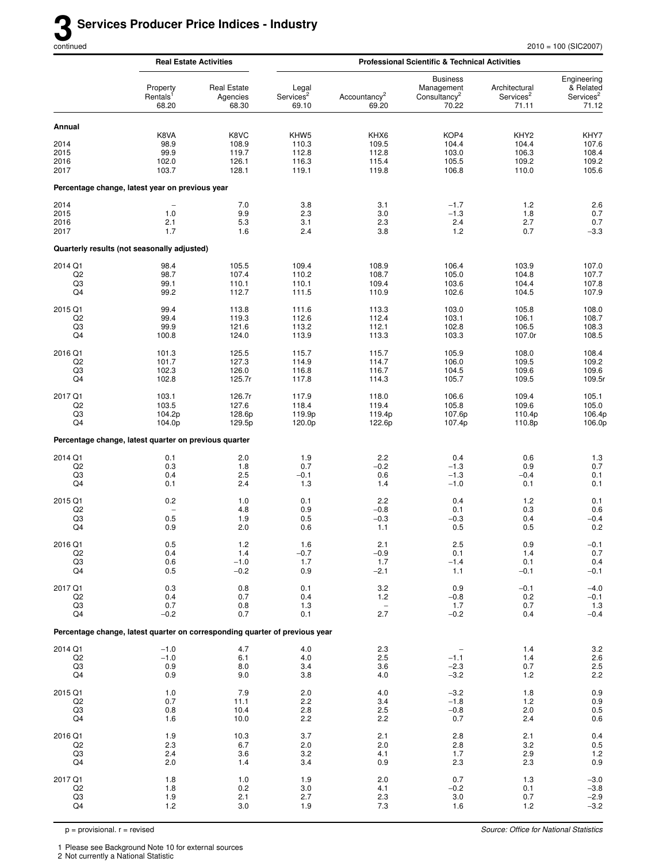|                   |                                                                             | <b>Real Estate Activities</b>           |                                         |                                   | <b>Professional Scientific &amp; Technical Activities</b>          |                                                 |                                                            |  |  |
|-------------------|-----------------------------------------------------------------------------|-----------------------------------------|-----------------------------------------|-----------------------------------|--------------------------------------------------------------------|-------------------------------------------------|------------------------------------------------------------|--|--|
|                   | Property<br>Rentals <sup>1</sup><br>68.20                                   | <b>Real Estate</b><br>Agencies<br>68.30 | Legal<br>Services <sup>2</sup><br>69.10 | Accountancy <sup>2</sup><br>69.20 | <b>Business</b><br>Management<br>Consultancy <sup>2</sup><br>70.22 | Architectural<br>Services <sup>2</sup><br>71.11 | Engineering<br>& Related<br>Services <sup>2</sup><br>71.12 |  |  |
| Annual            |                                                                             |                                         |                                         |                                   |                                                                    |                                                 |                                                            |  |  |
|                   | K8VA                                                                        | K8VC                                    | KHW <sub>5</sub>                        | KHX6                              | KOP4                                                               | KHY <sub>2</sub>                                | KHY7                                                       |  |  |
| 2014<br>2015      | 98.9<br>99.9                                                                | 108.9<br>119.7                          | 110.3<br>112.8                          | 109.5<br>112.8                    | 104.4<br>103.0                                                     | 104.4<br>106.3                                  | 107.6<br>108.4                                             |  |  |
| 2016              | 102.0                                                                       | 126.1                                   | 116.3                                   | 115.4                             | 105.5                                                              | 109.2                                           | 109.2                                                      |  |  |
| 2017              | 103.7                                                                       | 128.1                                   | 119.1                                   | 119.8                             | 106.8                                                              | 110.0                                           | 105.6                                                      |  |  |
|                   | Percentage change, latest year on previous year                             |                                         |                                         |                                   |                                                                    |                                                 |                                                            |  |  |
| 2014              |                                                                             | 7.0                                     | 3.8                                     | 3.1                               | $-1.7$                                                             | 1.2                                             | 2.6                                                        |  |  |
| 2015<br>2016      | 1.0<br>2.1                                                                  | 9.9<br>5.3                              | 2.3<br>3.1                              | 3.0<br>2.3                        | $-1.3$<br>2.4                                                      | 1.8<br>2.7                                      | 0.7<br>0.7                                                 |  |  |
| 2017              | 1.7                                                                         | 1.6                                     | 2.4                                     | 3.8                               | 1.2                                                                | 0.7                                             | $-3.3$                                                     |  |  |
|                   | Quarterly results (not seasonally adjusted)                                 |                                         |                                         |                                   |                                                                    |                                                 |                                                            |  |  |
| 2014 Q1           | 98.4                                                                        | 105.5                                   | 109.4                                   | 108.9                             | 106.4                                                              | 103.9                                           | 107.0                                                      |  |  |
| Q2<br>Q3          | 98.7                                                                        | 107.4                                   | 110.2                                   | 108.7<br>109.4                    | 105.0                                                              | 104.8<br>104.4                                  | 107.7                                                      |  |  |
| Q4                | 99.1<br>99.2                                                                | 110.1<br>112.7                          | 110.1<br>111.5                          | 110.9                             | 103.6<br>102.6                                                     | 104.5                                           | 107.8<br>107.9                                             |  |  |
| 2015 Q1           | 99.4                                                                        | 113.8                                   | 111.6                                   | 113.3                             | 103.0                                                              | 105.8                                           | 108.0                                                      |  |  |
| Q2                | 99.4                                                                        | 119.3                                   | 112.6                                   | 112.4                             | 103.1                                                              | 106.1                                           | 108.7                                                      |  |  |
| Q3<br>Q4          | 99.9<br>100.8                                                               | 121.6<br>124.0                          | 113.2<br>113.9                          | 112.1<br>113.3                    | 102.8<br>103.3                                                     | 106.5<br>107.0r                                 | 108.3<br>108.5                                             |  |  |
| 2016 Q1           | 101.3                                                                       | 125.5                                   | 115.7                                   | 115.7                             | 105.9                                                              | 108.0                                           | 108.4                                                      |  |  |
| Q2                | 101.7                                                                       | 127.3                                   | 114.9                                   | 114.7                             | 106.0                                                              | 109.5                                           | 109.2                                                      |  |  |
| Q3<br>Q4          | 102.3<br>102.8                                                              | 126.0<br>125.7r                         | 116.8<br>117.8                          | 116.7<br>114.3                    | 104.5<br>105.7                                                     | 109.6<br>109.5                                  | 109.6<br>109.5r                                            |  |  |
| 2017 Q1           | 103.1                                                                       | 126.7r                                  | 117.9                                   | 118.0                             | 106.6                                                              | 109.4                                           | 105.1                                                      |  |  |
| Q2                | 103.5                                                                       | 127.6                                   | 118.4                                   | 119.4                             | 105.8                                                              | 109.6                                           | 105.0                                                      |  |  |
| Q3<br>Q4          | 104.2p<br>104.0p                                                            | 128.6p<br>129.5p                        | 119.9p<br>120.0p                        | 119.4p<br>122.6p                  | 107.6p<br>107.4p                                                   | 110.4p<br>110.8p                                | 106.4p<br>106.0p                                           |  |  |
|                   | Percentage change, latest quarter on previous quarter                       |                                         |                                         |                                   |                                                                    |                                                 |                                                            |  |  |
| 2014 Q1           | 0.1                                                                         | 2.0                                     | 1.9                                     | 2.2                               | 0.4                                                                | 0.6                                             |                                                            |  |  |
| Q2                | 0.3                                                                         | 1.8                                     | 0.7                                     | $-0.2$                            | $-1.3$                                                             | 0.9                                             | $\frac{1.3}{0.7}$                                          |  |  |
| Q3<br>Q4          | 0.4<br>0.1                                                                  | 2.5<br>2.4                              | $-0.1$<br>1.3                           | 0.6<br>1.4                        | $-1.3$<br>$-1.0$                                                   | $-0.4$<br>0.1                                   | 0.1<br>0.1                                                 |  |  |
| 2015 Q1           | 0.2                                                                         | 1.0                                     | 0.1                                     | 2.2                               | 0.4                                                                | 1.2                                             | 0.1                                                        |  |  |
| Q2                | $\overline{a}$                                                              | 4.8                                     | 0.9                                     | $-0.8$                            | 0.1                                                                | 0.3                                             | 0.6                                                        |  |  |
| Q3<br>Q4          | 0.5<br>0.9                                                                  | 1.9<br>2.0                              | 0.5<br>0.6                              | $-0.3$<br>1.1                     | $-0.3$<br>0.5                                                      | 0.4<br>0.5                                      | $-0.4$<br>0.2                                              |  |  |
| 2016 Q1           | 0.5                                                                         | $1.2$                                   | 1.6                                     | 2.1                               | 2.5                                                                | 0.9                                             | $-0.1$                                                     |  |  |
| Q2                | 0.4                                                                         | 1.4                                     | $-0.7$                                  | $-0.9$                            | 0.1                                                                | 1.4                                             | 0.7                                                        |  |  |
| Q3<br>Q4          | 0.6<br>0.5                                                                  | $-1.0$<br>$-0.2$                        | 1.7<br>0.9                              | 1.7<br>$-2.1$                     | $-1.4$<br>1.1                                                      | 0.1<br>$-0.1$                                   | 0.4<br>$-0.1$                                              |  |  |
| 2017 Q1           | 0.3                                                                         | 0.8                                     | 0.1                                     | 3.2                               | 0.9                                                                | $-0.1$                                          | $-4.0$                                                     |  |  |
| Q2                | 0.4                                                                         | 0.7                                     | 0.4                                     | 1.2                               | $-0.8$                                                             | 0.2                                             | $-0.1$                                                     |  |  |
| $_{\rm Q3}$<br>Q4 | 0.7<br>$-0.2$                                                               | 0.8<br>0.7                              | 1.3<br>0.1                              | $\qquad \qquad -$<br>2.7          | 1.7<br>$-0.2$                                                      | 0.7<br>0.4                                      | $1.3$<br>$-0.4$                                            |  |  |
|                   | Percentage change, latest quarter on corresponding quarter of previous year |                                         |                                         |                                   |                                                                    |                                                 |                                                            |  |  |
| 2014 Q1           | $-1.0$                                                                      | 4.7                                     | 4.0                                     | 2.3                               |                                                                    | 1.4                                             | $3.2\,$                                                    |  |  |
| Q2                | $-1.0$                                                                      | 6.1                                     | $4.0$                                   | 2.5                               | $-1.1$                                                             | 1.4                                             | $2.6\,$                                                    |  |  |
| Q3<br>Q4          | 0.9<br>0.9                                                                  | 8.0<br>9.0                              | 3.4<br>3.8                              | 3.6<br>4.0                        | $-2.3$<br>$-3.2$                                                   | 0.7<br>1.2                                      | $2.5$<br>$2.2$                                             |  |  |
| 2015 Q1           | 1.0                                                                         | 7.9                                     | 2.0                                     | 4.0                               | $-3.2$                                                             | 1.8                                             |                                                            |  |  |
| Q2                | 0.7                                                                         | 11.1                                    | 2.2                                     | 3.4                               | $-1.8$                                                             | 1.2                                             | $\begin{array}{c} 0.9 \\ 0.9 \end{array}$                  |  |  |
| Q3<br>Q4          | 0.8<br>1.6                                                                  | 10.4<br>10.0                            | $2.8$<br>2.2                            | 2.5<br>2.2                        | $-0.8$<br>0.7                                                      | 2.0<br>2.4                                      | $0.5\,$<br>0.6                                             |  |  |
| 2016 Q1           | 1.9                                                                         | 10.3                                    | 3.7                                     | 2.1                               | 2.8                                                                | 2.1                                             | 0.4                                                        |  |  |
| Q2                | 2.3                                                                         | 6.7                                     | 2.0                                     | 2.0                               | 2.8                                                                | 3.2                                             |                                                            |  |  |
| Q3                | 2.4                                                                         | 3.6                                     | 3.2                                     | 4.1                               | 1.7                                                                | 2.9                                             | $0.5$<br>1.2                                               |  |  |
| Q4                | 2.0                                                                         | 1.4                                     | 3.4                                     | 0.9                               | 2.3                                                                | 2.3                                             | 0.9                                                        |  |  |
| 2017 Q1<br>Q2     | 1.8<br>1.8                                                                  | $1.0$<br>0.2                            | 1.9<br>3.0                              | 2.0<br>4.1                        | 0.7<br>$-0.2$                                                      | 1.3<br>0.1                                      | $-3.0$<br>$-3.8$                                           |  |  |
| Q3                | 1.9                                                                         | 2.1                                     | 2.7                                     | 2.3                               | 3.0                                                                | 0.7                                             | $-2.9$                                                     |  |  |
| Q4                | 1.2                                                                         | 3.0                                     | 1.9                                     | 7.3                               | 1.6                                                                | 1.2                                             | $-3.2$                                                     |  |  |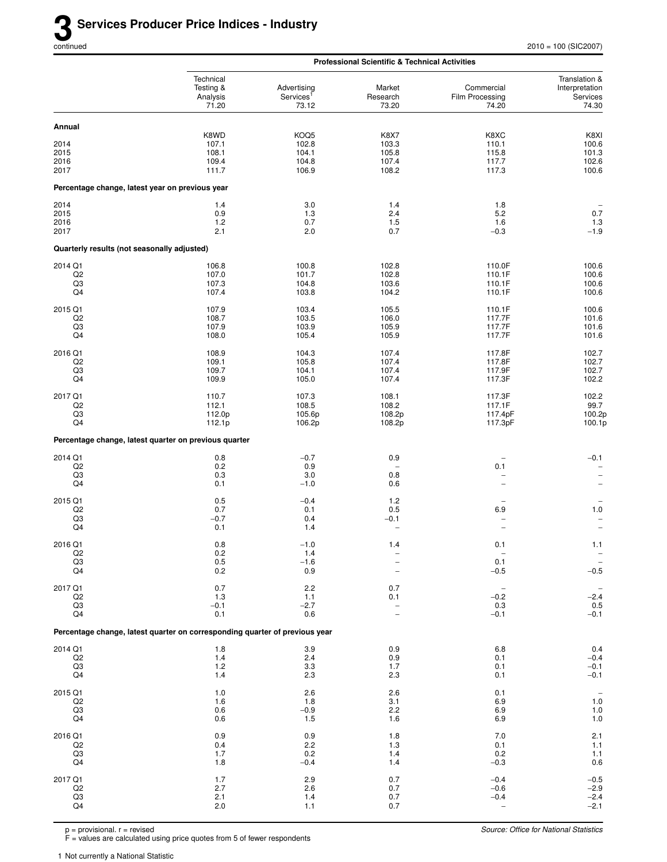|                                                 |                                                                             |                                               | <b>Professional Scientific &amp; Technical Activities</b> |                                        |                                                      |
|-------------------------------------------------|-----------------------------------------------------------------------------|-----------------------------------------------|-----------------------------------------------------------|----------------------------------------|------------------------------------------------------|
|                                                 | Technical<br>Testing &<br>Analysis<br>71.20                                 | Advertising<br>Services <sup>1</sup><br>73.12 | Market<br>Research<br>73.20                               | Commercial<br>Film Processing<br>74.20 | Translation &<br>Interpretation<br>Services<br>74.30 |
| Annual                                          |                                                                             |                                               |                                                           |                                        |                                                      |
|                                                 | K8WD                                                                        | KOQ5                                          | K8X7                                                      | K8XC                                   | K8XI                                                 |
| 2014<br>2015                                    | 107.1<br>108.1                                                              | 102.8<br>104.1                                | 103.3<br>105.8                                            | 110.1<br>115.8                         | 100.6<br>101.3                                       |
| 2016                                            | 109.4                                                                       | 104.8                                         | 107.4                                                     | 117.7                                  | 102.6                                                |
| 2017                                            | 111.7                                                                       | 106.9                                         | 108.2                                                     | 117.3                                  | 100.6                                                |
| Percentage change, latest year on previous year |                                                                             |                                               |                                                           |                                        |                                                      |
| 2014                                            | 1.4                                                                         | 3.0                                           | 1.4                                                       | 1.8                                    |                                                      |
| 2015                                            | 0.9                                                                         | 1.3                                           | 2.4                                                       | 5.2                                    | 0.7                                                  |
| 2016<br>2017                                    | 1.2<br>2.1                                                                  | 0.7<br>2.0                                    | 1.5<br>0.7                                                | 1.6<br>$-0.3$                          | 1.3<br>$-1.9$                                        |
| Quarterly results (not seasonally adjusted)     |                                                                             |                                               |                                                           |                                        |                                                      |
| 2014 Q1                                         | 106.8                                                                       | 100.8                                         | 102.8                                                     | 110.0F                                 | 100.6                                                |
| Q <sub>2</sub>                                  | 107.0                                                                       | 101.7                                         | 102.8                                                     | 110.1F                                 | 100.6                                                |
| Q3<br>Q4                                        | 107.3<br>107.4                                                              | 104.8<br>103.8                                | 103.6<br>104.2                                            | 110.1F<br>110.1F                       | 100.6<br>100.6                                       |
| 2015 Q1                                         | 107.9                                                                       | 103.4                                         | 105.5                                                     | 110.1F                                 | 100.6                                                |
| Q <sub>2</sub>                                  | 108.7                                                                       | 103.5                                         | 106.0                                                     | 117.7F                                 | 101.6                                                |
| Q3<br>Q4                                        | 107.9<br>108.0                                                              | 103.9<br>105.4                                | 105.9<br>105.9                                            | 117.7F<br>117.7F                       | 101.6<br>101.6                                       |
| 2016 Q1                                         | 108.9                                                                       | 104.3                                         | 107.4                                                     | 117.8F                                 | 102.7                                                |
| Q <sub>2</sub>                                  | 109.1                                                                       | 105.8                                         | 107.4                                                     | 117.8F                                 | 102.7                                                |
| Q3<br>Q4                                        | 109.7<br>109.9                                                              | 104.1<br>105.0                                | 107.4<br>107.4                                            | 117.9F<br>117.3F                       | 102.7<br>102.2                                       |
| 2017 Q1                                         | 110.7                                                                       | 107.3                                         | 108.1                                                     | 117.3F                                 | 102.2                                                |
| Q <sub>2</sub>                                  | 112.1                                                                       | 108.5                                         | 108.2                                                     | 117.1F                                 | 99.7                                                 |
| Q3                                              | 112.0p                                                                      | 105.6p                                        | 108.2p                                                    | 117.4pF                                | 100.2p                                               |
| Q4                                              | 112.1p                                                                      | 106.2p                                        | 108.2p                                                    | 117.3pF                                | 100.1p                                               |
|                                                 | Percentage change, latest quarter on previous quarter                       |                                               |                                                           |                                        |                                                      |
| 2014 Q1<br>Q2                                   | 0.8<br>$0.2\,$                                                              | $-0.7$<br>0.9                                 | 0.9                                                       | 0.1                                    | $-0.1$<br>$\overline{\phantom{m}}$                   |
| Q3                                              | 0.3                                                                         | 3.0                                           | 0.8                                                       |                                        | $\qquad \qquad -$                                    |
| Q4                                              | 0.1                                                                         | $-1.0$                                        | 0.6                                                       |                                        | $\overline{\phantom{0}}$                             |
| 2015 Q1                                         | 0.5                                                                         | $-0.4$                                        | 1.2                                                       |                                        |                                                      |
| Q <sub>2</sub>                                  | 0.7                                                                         | 0.1                                           | 0.5                                                       | 6.9                                    | $1.0$                                                |
| Q3<br>Q4                                        | $-0.7$<br>0.1                                                               | 0.4<br>1.4                                    | $-0.1$                                                    | $\overline{\phantom{0}}$               | $\overline{\phantom{a}}$<br>$\overline{\phantom{0}}$ |
| 2016 Q1                                         | $0.8\,$                                                                     | $-1.0$                                        | 1.4                                                       | 0.1                                    | 1.1                                                  |
| Q2                                              | 0.2                                                                         | 1.4                                           |                                                           |                                        |                                                      |
| Q3<br>Q4                                        | 0.5<br>0.2                                                                  | $-1.6$<br>0.9                                 |                                                           | 0.1<br>$-0.5$                          | $\qquad \qquad -$<br>$-0.5$                          |
| 2017 Q1                                         | 0.7                                                                         | 2.2                                           | 0.7                                                       | $\overline{\phantom{a}}$               | $\overline{\phantom{a}}$                             |
| Q <sub>2</sub>                                  | 1.3                                                                         | 1.1                                           | 0.1                                                       | $-0.2$                                 | $-2.4$                                               |
| Q3<br>Q4                                        | $-0.1$<br>0.1                                                               | $-2.7$<br>0.6                                 | $\overline{\phantom{0}}$                                  | 0.3<br>$-0.1$                          | 0.5<br>$-0.1$                                        |
|                                                 | Percentage change, latest quarter on corresponding quarter of previous year |                                               |                                                           |                                        |                                                      |
| 2014 Q1                                         | 1.8                                                                         | 3.9                                           | 0.9                                                       | 6.8                                    | 0.4                                                  |
| Q2                                              | 1.4                                                                         | 2.4                                           | 0.9                                                       | 0.1                                    | $-0.4$                                               |
| Q3                                              | 1.2                                                                         | 3.3                                           | 1.7                                                       | 0.1                                    | $-0.1$                                               |
| Q4                                              | 1.4                                                                         | 2.3                                           | 2.3                                                       | 0.1                                    | $-0.1$                                               |
| 2015 Q1<br>Q <sub>2</sub>                       | 1.0<br>1.6                                                                  | 2.6<br>1.8                                    | 2.6<br>3.1                                                | 0.1<br>6.9                             | $\overline{\phantom{a}}$<br>$1.0\,$                  |
| Q <sub>3</sub>                                  | 0.6                                                                         | $-0.9$                                        | 2.2                                                       | 6.9                                    | $1.0\,$                                              |
| Q4                                              | 0.6                                                                         | 1.5                                           | 1.6                                                       | 6.9                                    | $1.0$                                                |
| 2016 Q1                                         | 0.9                                                                         | 0.9                                           | 1.8                                                       | 7.0                                    | 2.1                                                  |
| Q2<br>Q3                                        | 0.4<br>1.7                                                                  | 2.2<br>0.2                                    | 1.3<br>1.4                                                | 0.1<br>0.2                             | $1.1$                                                |
| Q4                                              | 1.8                                                                         | $-0.4$                                        | 1.4                                                       | $-0.3$                                 | $\begin{array}{c} 1.1 \\ 0.6 \end{array}$            |
| 2017 Q1                                         | 1.7                                                                         | 2.9                                           | 0.7                                                       | $-0.4$                                 | $-0.5$                                               |
| Q <sub>2</sub><br>Q3                            | 2.7<br>2.1                                                                  | 2.6<br>1.4                                    | 0.7<br>0.7                                                | $-0.6$<br>$-0.4$                       | $-2.9$<br>$-2.4$                                     |
| Q4                                              | 2.0                                                                         | 1.1                                           | 0.7                                                       | $\overline{\phantom{m}}$               | $-2.1$                                               |

F = values are calculated using price quotes from 5 of fewer respondents

1 Not currently a National Statistic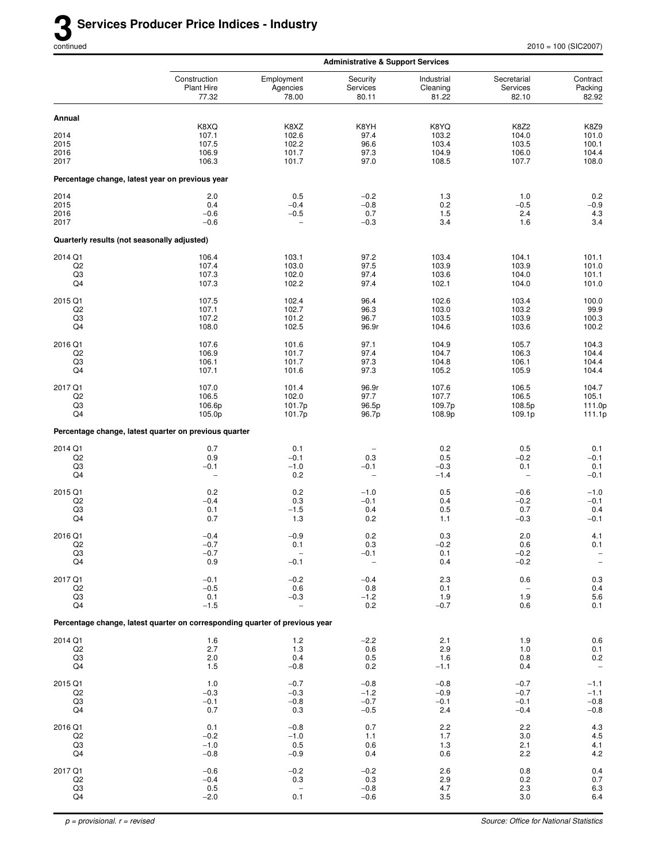|                                                   |                                                                             |                                                           | <b>Administrative &amp; Support Services</b>     |                                          |                                                 |                                                                    |
|---------------------------------------------------|-----------------------------------------------------------------------------|-----------------------------------------------------------|--------------------------------------------------|------------------------------------------|-------------------------------------------------|--------------------------------------------------------------------|
|                                                   | Construction<br><b>Plant Hire</b><br>77.32                                  | Employment<br>Agencies<br>78.00                           | Security<br>Services<br>80.11                    | Industrial<br>Cleaning<br>81.22          | Secretarial<br>Services<br>82.10                | Contract<br>Packing<br>82.92                                       |
| Annual                                            |                                                                             |                                                           |                                                  |                                          |                                                 |                                                                    |
| 2014<br>2015<br>2016<br>2017                      | K8XQ<br>107.1<br>107.5<br>106.9<br>106.3                                    | K8XZ<br>102.6<br>102.2<br>101.7<br>101.7                  | K8YH<br>97.4<br>96.6<br>97.3<br>97.0             | K8YQ<br>103.2<br>103.4<br>104.9<br>108.5 | <b>K8Z2</b><br>104.0<br>103.5<br>106.0<br>107.7 | K8Z9<br>101.0<br>100.1<br>104.4<br>108.0                           |
|                                                   | Percentage change, latest year on previous year                             |                                                           |                                                  |                                          |                                                 |                                                                    |
| 2014<br>2015<br>2016<br>2017                      | 2.0<br>0.4<br>$-0.6$<br>$-0.6$                                              | 0.5<br>$-0.4$<br>$-0.5$<br>$\overline{\phantom{0}}$       | $-0.2$<br>$-0.8$<br>0.7<br>$-0.3$                | 1.3<br>0.2<br>1.5<br>3.4                 | 1.0<br>$-0.5$<br>2.4<br>1.6                     | 0.2<br>$-0.9$<br>$4.3\,$<br>3.4                                    |
| Quarterly results (not seasonally adjusted)       |                                                                             |                                                           |                                                  |                                          |                                                 |                                                                    |
| 2014 Q1<br>Q2<br>Q3<br>Q4                         | 106.4<br>107.4<br>107.3<br>107.3                                            | 103.1<br>103.0<br>102.0<br>102.2                          | 97.2<br>97.5<br>97.4<br>97.4                     | 103.4<br>103.9<br>103.6<br>102.1         | 104.1<br>103.9<br>104.0<br>104.0                | 101.1<br>101.0<br>101.1<br>101.0                                   |
| 2015 Q1<br>Q <sub>2</sub><br>Q3<br>Q4             | 107.5<br>107.1<br>107.2<br>108.0                                            | 102.4<br>102.7<br>101.2<br>102.5                          | 96.4<br>96.3<br>96.7<br>96.9r                    | 102.6<br>103.0<br>103.5<br>104.6         | 103.4<br>103.2<br>103.9<br>103.6                | 100.0<br>99.9<br>100.3<br>100.2                                    |
| 2016 Q1<br>Q <sub>2</sub><br>Q3<br>Q4             | 107.6<br>106.9<br>106.1<br>107.1                                            | 101.6<br>101.7<br>101.7<br>101.6                          | 97.1<br>97.4<br>97.3<br>97.3                     | 104.9<br>104.7<br>104.8<br>105.2         | 105.7<br>106.3<br>106.1<br>105.9                | 104.3<br>104.4<br>104.4<br>104.4                                   |
| 2017 Q1<br>Q <sub>2</sub><br>Q3<br>Q4             | 107.0<br>106.5<br>106.6p<br>105.0p                                          | 101.4<br>102.0<br>101.7p<br>101.7p                        | 96.9r<br>97.7<br>96.5p<br>96.7p                  | 107.6<br>107.7<br>109.7p<br>108.9p       | 106.5<br>106.5<br>108.5p<br>109.1p              | 104.7<br>105.1<br>111.0p<br>111.1p                                 |
|                                                   | Percentage change, latest quarter on previous quarter                       |                                                           |                                                  |                                          |                                                 |                                                                    |
| 2014 Q1<br>Q <sub>2</sub><br>Q3<br>Q4             | 0.7<br>0.9<br>$-0.1$<br>$\overline{\phantom{a}}$                            | 0.1<br>$-0.1$<br>$-1.0$<br>0.2                            | 0.3<br>$-0.1$<br>$\overline{\phantom{0}}$        | 0.2<br>0.5<br>$-0.3$<br>$-1.4$           | 0.5<br>$-0.2$<br>0.1<br>$\qquad \qquad -$       | 0.1<br>$-0.1$<br>0.1<br>$-0.1$                                     |
| 2015 Q1<br>Q <sub>2</sub><br>Q3<br>Q4             | 0.2<br>$-0.4$<br>0.1<br>0.7                                                 | 0.2<br>0.3<br>$-1.5$<br>1.3                               | $-1.0$<br>$-0.1$<br>0.4<br>0.2                   | 0.5<br>0.4<br>0.5<br>1.1                 | $-0.6$<br>$-0.2$<br>0.7<br>$-0.3$               | $-1.0$<br>$-0.1$<br>0.4<br>$-0.1$                                  |
| 2016 Q1<br>Q2<br>Q3<br>$\mathsf{Q4}$              | $-0.4$<br>$-0.7$<br>$-0.7$<br>0.9                                           | $-0.9$<br>0.1<br>$-0.1$                                   | 0.2<br>0.3<br>$-0.1$<br>$\overline{\phantom{0}}$ | 0.3<br>$-0.2$<br>0.1<br>0.4              | 2.0<br>0.6<br>$-0.2$<br>$-0.2$                  | 4.1<br>0.1<br>$\overline{\phantom{a}}$<br>$\overline{\phantom{0}}$ |
| 2017 Q1<br>Q2<br>Q3<br>Q4                         | $-0.1$<br>$-0.5$<br>0.1<br>$-1.5$                                           | $-0.2$<br>0.6<br>$-0.3$                                   | $-0.4$<br>0.8<br>$-1.2$<br>0.2                   | $2.3\,$<br>0.1<br>1.9<br>$-0.7$          | 0.6<br>1.9<br>0.6                               | $\begin{array}{c} 0.3 \\ 0.4 \\ 5.6 \end{array}$<br>0.1            |
|                                                   | Percentage change, latest quarter on corresponding quarter of previous year |                                                           |                                                  |                                          |                                                 |                                                                    |
| 2014 Q1<br>Q2<br>Q <sub>3</sub><br>Q4             | 1.6<br>2.7<br>2.0<br>1.5                                                    | $1.2$<br>1.3<br>0.4<br>$-0.8$                             | $-2.2$<br>0.6<br>0.5<br>0.2                      | 2.1<br>2.9<br>1.6<br>$-1.1$              | 1.9<br>1.0<br>0.8<br>0.4                        | $0.6\,$<br>$\begin{array}{c} 0.1 \\ 0.2 \end{array}$               |
| 2015 Q1<br>Q2<br>Q <sub>3</sub><br>Q4             | 1.0<br>$-0.3$<br>$-0.1$<br>0.7                                              | $-0.7$<br>$-0.3$<br>$-0.8$<br>0.3                         | $-0.8$<br>$-1.2$<br>$-0.7$<br>$-0.5$             | $-0.8$<br>$-0.9$<br>$-0.1$<br>2.4        | $-0.7$<br>$-0.7$<br>$-0.1$<br>$-0.4$            | $-1.1$<br>$-1.1$<br>$-0.8$<br>$-0.8$                               |
| 2016 Q1<br>Q <sub>2</sub><br>Q <sub>3</sub><br>Q4 | 0.1<br>$-0.2$<br>$-1.0$<br>$-0.8$                                           | $-0.8$<br>$-1.0$<br>0.5<br>$-0.9$                         | 0.7<br>1.1<br>0.6<br>0.4                         | 2.2<br>1.7<br>1.3<br>0.6                 | 2.2<br>3.0<br>2.1<br>2.2                        | $4.3\,$<br>4.5<br>$^{4.1}_{4.2}$                                   |
| 2017 Q1<br>Q2<br>Q3<br>Q4                         | $-0.6$<br>$-0.4$<br>0.5<br>$-2.0$                                           | $-0.2$<br>0.3<br>$\hspace{1.0cm} - \hspace{1.0cm}$<br>0.1 | $-0.2$<br>0.3<br>$-0.8$<br>$-0.6$                | 2.6<br>$2.9\,$<br>4.7<br>3.5             | 0.8<br>0.2<br>2.3<br>3.0                        | 0.4<br>$0.7\,$<br>$6.3\,$<br>6.4                                   |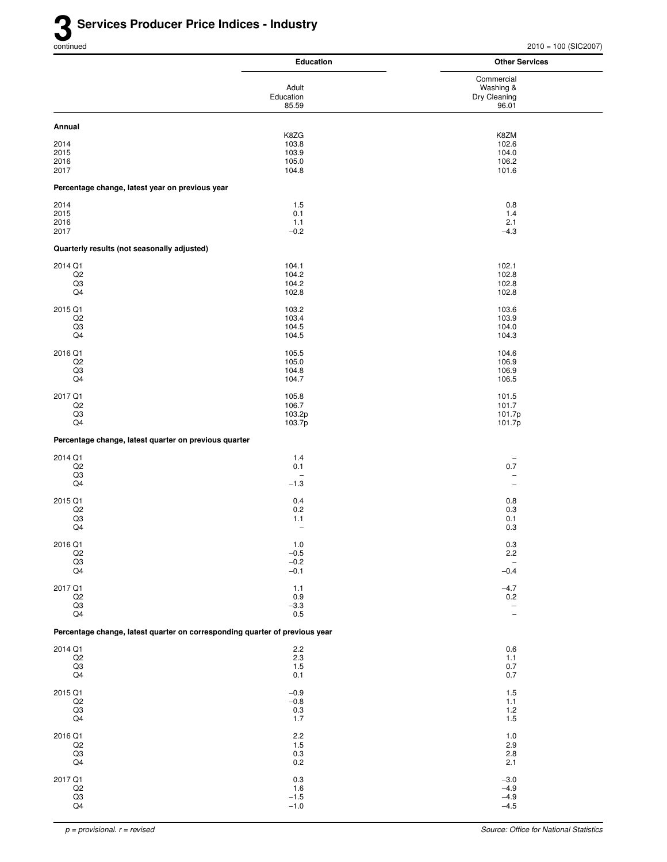|                                                       | <b>Education</b>                                                            | <b>Other Services</b>              |
|-------------------------------------------------------|-----------------------------------------------------------------------------|------------------------------------|
|                                                       |                                                                             | Commercial                         |
|                                                       | Adult<br>Education                                                          | Washing &<br>Dry Cleaning          |
|                                                       | 85.59                                                                       | 96.01                              |
| Annual                                                |                                                                             |                                    |
|                                                       | K8ZG                                                                        | K8ZM                               |
| 2014<br>2015                                          | 103.8<br>103.9                                                              | 102.6<br>104.0                     |
| 2016                                                  | 105.0                                                                       | 106.2                              |
| 2017                                                  | 104.8                                                                       | 101.6                              |
| Percentage change, latest year on previous year       |                                                                             |                                    |
| 2014                                                  | 1.5                                                                         | 0.8                                |
| 2015                                                  | 0.1                                                                         | 1.4                                |
| 2016<br>2017                                          | 1.1<br>$-0.2$                                                               | 2.1<br>$-4.3$                      |
| Quarterly results (not seasonally adjusted)           |                                                                             |                                    |
| 2014 Q1                                               | 104.1                                                                       | 102.1                              |
| Q2                                                    | 104.2                                                                       | 102.8                              |
| Q3<br>Q4                                              | 104.2<br>102.8                                                              | 102.8<br>102.8                     |
| 2015 Q1                                               | 103.2                                                                       | 103.6                              |
| Q <sub>2</sub>                                        | 103.4                                                                       | 103.9                              |
| Q <sub>3</sub>                                        | 104.5                                                                       | 104.0                              |
| Q4                                                    | 104.5                                                                       | 104.3                              |
| 2016 Q1                                               | 105.5                                                                       | 104.6                              |
| Q2<br>Q3                                              | 105.0<br>104.8                                                              | 106.9<br>106.9                     |
| Q4                                                    | 104.7                                                                       | 106.5                              |
| 2017 Q1                                               | 105.8                                                                       | 101.5                              |
| Q2                                                    | 106.7                                                                       | 101.7                              |
| Q3<br>Q4                                              | 103.2p<br>103.7p                                                            | 101.7p<br>101.7p                   |
| Percentage change, latest quarter on previous quarter |                                                                             |                                    |
|                                                       |                                                                             |                                    |
| 2014 Q1<br>Q2                                         | 1.4<br>0.1                                                                  | $\overline{\phantom{a}}$<br>0.7    |
| Q3                                                    |                                                                             | $\overline{\phantom{a}}$           |
| Q4                                                    | $-1.3$                                                                      | $\overline{\phantom{m}}$           |
| 2015 Q1                                               | 0.4                                                                         | 0.8                                |
| Q <sub>2</sub><br>Q3                                  | $0.2\,$<br>1.1                                                              | 0.3<br>0.1                         |
| Q4                                                    | $\overline{\phantom{0}}$                                                    | 0.3                                |
| 2016 Q1                                               | 1.0                                                                         | 0.3                                |
| $_{\mathsf{Q2}}$                                      | $-0.5$                                                                      | 2.2                                |
| $_{\mathsf{Q4}}^{\mathsf{Q3}}$                        | $-0.2$<br>$-0.1$                                                            | $\overline{\phantom{a}}$<br>$-0.4$ |
| 2017 Q1                                               | 1.1                                                                         | $-4.7$                             |
| $_{\mathsf{Q2}}$                                      | 0.9                                                                         | 0.2                                |
| $\mathsf{Q3}$                                         | $-3.3$                                                                      | $\overline{\phantom{a}}$           |
| Q4                                                    | $0.5\,$                                                                     | $\overline{\phantom{a}}$           |
|                                                       | Percentage change, latest quarter on corresponding quarter of previous year |                                    |
| 2014 Q1                                               | 2.2                                                                         | 0.6                                |
| $_{\mathsf{Q2}}$<br>$\mathsf{Q3}$                     | 2.3<br>$1.5$                                                                | $1.1$<br>0.7                       |
| Q4                                                    | 0.1                                                                         | 0.7                                |
| 2015 Q1                                               | $-0.9$                                                                      | 1.5                                |
| Q2<br>Q3                                              | $-0.8$<br>$0.3\,$                                                           | 1.1<br>1.2                         |
| Q4                                                    | 1.7                                                                         | 1.5                                |
| 2016 Q1                                               | $2.2\,$                                                                     | 1.0                                |
| Q2                                                    | $1.5$                                                                       | 2.9                                |
| $_{\rm Q3}$<br>Q4                                     | $0.3\,$<br>$0.2\,$                                                          | 2.8<br>2.1                         |
| 2017 Q1                                               | $0.3\,$                                                                     | $-3.0$                             |
| $_{\mathsf{Q2}}$                                      | 1.6                                                                         | $-4.9$                             |
| $\frac{Q3}{Q4}$                                       | $-1.5$<br>$-1.0$                                                            | $-4.9$<br>$-4.5$                   |
|                                                       |                                                                             |                                    |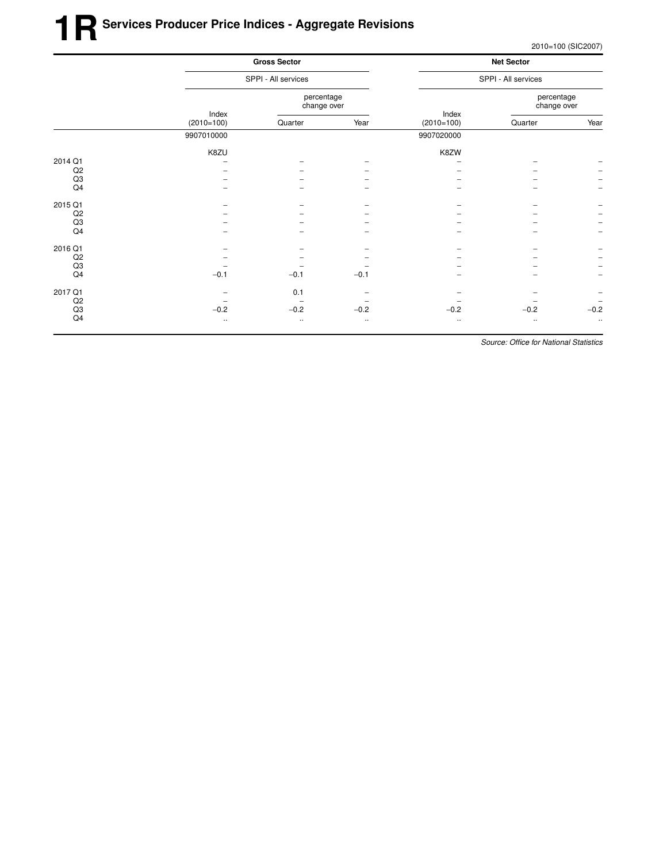2010=100 (SIC2007)

|         |                       | <b>Gross Sector</b><br>SPPI - All services |           |              | <b>Net Sector</b><br>SPPI - All services |                          |  |
|---------|-----------------------|--------------------------------------------|-----------|--------------|------------------------------------------|--------------------------|--|
|         |                       |                                            |           |              |                                          |                          |  |
|         |                       | percentage<br>change over                  |           | Index        | percentage<br>change over                |                          |  |
|         | Index<br>$(2010=100)$ | Quarter                                    | Year      | $(2010=100)$ | Quarter                                  | Year                     |  |
|         | 9907010000            |                                            |           | 9907020000   |                                          |                          |  |
|         | K8ZU                  |                                            |           | K8ZW         |                                          |                          |  |
| 2014 Q1 |                       |                                            |           |              |                                          |                          |  |
| Q2      |                       |                                            |           |              |                                          |                          |  |
| Q3      |                       |                                            |           |              |                                          |                          |  |
| Q4      |                       |                                            |           |              |                                          |                          |  |
| 2015 Q1 |                       |                                            |           |              |                                          |                          |  |
| Q2      |                       |                                            |           |              |                                          |                          |  |
| Q3      |                       |                                            |           |              |                                          |                          |  |
| Q4      |                       |                                            |           |              |                                          | $\overline{\phantom{m}}$ |  |
| 2016 Q1 |                       |                                            |           |              |                                          |                          |  |
| Q2      |                       |                                            |           |              |                                          | $\qquad \qquad -$        |  |
| Q3      |                       |                                            |           |              |                                          | $\qquad \qquad -$        |  |
| Q4      | $-0.1$                | $-0.1$                                     | $-0.1$    |              |                                          | $\overline{\phantom{a}}$ |  |
| 2017 Q1 |                       | 0.1                                        |           |              |                                          |                          |  |
| Q2      |                       |                                            |           |              |                                          | $\overline{\phantom{a}}$ |  |
| Q3      | $-0.2$                | $-0.2$                                     | $-0.2$    | $-0.2$       | $-0.2$                                   | $-0.2$                   |  |
| Q4      | $\ddotsc$             | $\ddotsc$                                  | $\ddotsc$ | $\ldots$     | $\ddotsc$                                | $\ldots$                 |  |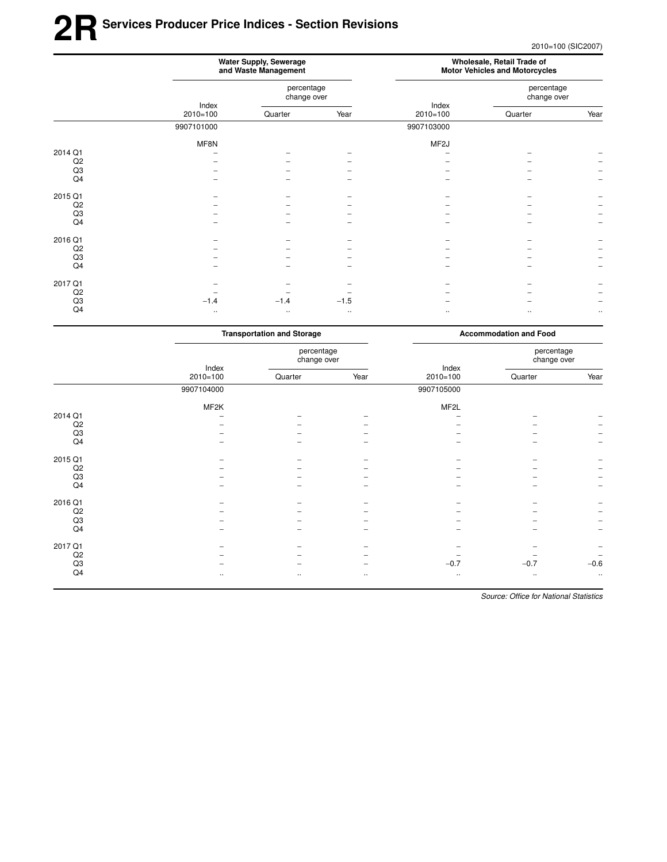## **2RSer vices Producer Price Indices - Section Revisions**

2010=100 (SIC2007)

|         | Water Supply, Sewerage<br>and Waste Management |                           |           | Wholesale, Retail Trade of<br><b>Motor Vehicles and Motorcycles</b> |                           |          |
|---------|------------------------------------------------|---------------------------|-----------|---------------------------------------------------------------------|---------------------------|----------|
|         | Index<br>$2010 = 100$                          | percentage<br>change over |           |                                                                     | percentage<br>change over |          |
|         |                                                | Quarter                   | Year      | Index<br>$2010 = 100$                                               | Quarter                   | Year     |
|         | 9907101000                                     |                           |           | 9907103000                                                          |                           |          |
|         | MF8N                                           |                           |           | MF <sub>2</sub> J                                                   |                           |          |
| 2014 Q1 |                                                |                           |           |                                                                     |                           |          |
| Q2      |                                                |                           |           |                                                                     |                           |          |
| Q3      |                                                |                           |           |                                                                     |                           |          |
| Q4      |                                                |                           |           |                                                                     |                           |          |
| 2015 Q1 |                                                |                           |           |                                                                     |                           |          |
| Q2      |                                                |                           |           |                                                                     |                           |          |
| Q3      |                                                |                           |           |                                                                     |                           |          |
| Q4      |                                                |                           |           |                                                                     |                           |          |
| 2016 Q1 |                                                |                           |           |                                                                     |                           |          |
| Q2      |                                                |                           |           |                                                                     |                           |          |
| Q3      |                                                |                           |           |                                                                     |                           |          |
| Q4      |                                                |                           |           |                                                                     |                           |          |
| 2017 Q1 |                                                |                           |           |                                                                     |                           |          |
| Q2      |                                                |                           |           |                                                                     |                           |          |
| Q3      | $-1.4$                                         | $-1.4$                    | $-1.5$    |                                                                     |                           |          |
| Q4      | $\cdot\cdot$                                   | $\bullet$ .               | $\cdot$ . |                                                                     | $\cdot$ .                 | $\ldots$ |
|         |                                                |                           |           |                                                                     |                           |          |

|             | <b>Transportation and Storage</b> |                           |                          | <b>Accommodation and Food</b> |                           |           |
|-------------|-----------------------------------|---------------------------|--------------------------|-------------------------------|---------------------------|-----------|
|             | Index<br>$2010 = 100$             | percentage<br>change over |                          |                               | percentage<br>change over |           |
|             |                                   | Quarter                   | Year                     | Index<br>$2010=100$           | Quarter                   | Year      |
|             | 9907104000                        |                           |                          | 9907105000                    |                           |           |
|             | MF2K                              |                           |                          | MF2L                          |                           |           |
| 2014 Q1     |                                   |                           |                          |                               |                           |           |
| Q2          |                                   |                           |                          |                               |                           |           |
| Q3          |                                   |                           |                          |                               |                           |           |
| Q4          |                                   |                           | -                        |                               |                           |           |
| 2015 Q1     |                                   |                           |                          |                               |                           |           |
| Q2          |                                   |                           |                          |                               |                           |           |
| Q3          |                                   |                           |                          |                               |                           |           |
| Q4          |                                   |                           |                          |                               |                           |           |
| 2016 Q1     |                                   |                           |                          |                               |                           |           |
| Q2          |                                   |                           |                          |                               |                           |           |
| Q3          |                                   |                           |                          |                               |                           |           |
| Q4          |                                   |                           |                          |                               |                           |           |
| 2017 Q1     |                                   |                           |                          |                               |                           |           |
| Q2          |                                   |                           |                          |                               |                           |           |
| $_{\rm Q3}$ |                                   |                           | $\overline{\phantom{0}}$ | $-0.7$                        | $-0.7$                    | $-0.6$    |
| Q4          | $\ldots$                          | $\cdot$ .                 | $\cdot\cdot$             | $\cdot\cdot$                  | $\cdot\cdot$              | $\cdot$ . |
|             |                                   |                           |                          |                               |                           |           |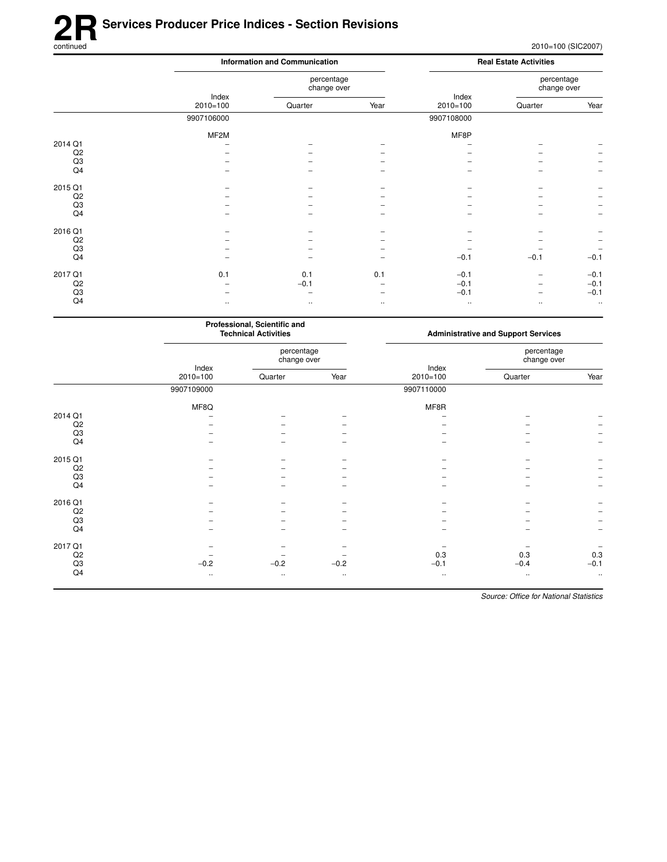# **2R** Services Producer Price Indices - Section Revisions<br>
continued

|                | <b>Information and Communication</b> |                           | <b>Real Estate Activities</b> |                       |                           |                          |
|----------------|--------------------------------------|---------------------------|-------------------------------|-----------------------|---------------------------|--------------------------|
|                | Index<br>$2010=100$                  | percentage<br>change over |                               |                       | percentage<br>change over |                          |
|                |                                      | Quarter                   | Year                          | Index<br>$2010 = 100$ | Quarter                   | Year                     |
|                | 9907106000                           |                           |                               | 9907108000            |                           |                          |
|                | MF <sub>2</sub> M                    |                           |                               | MF8P                  |                           |                          |
| 2014 Q1        |                                      |                           |                               |                       |                           |                          |
| Q2             |                                      |                           |                               |                       |                           |                          |
| Q3             |                                      |                           |                               |                       |                           |                          |
| Q4             |                                      |                           |                               |                       |                           |                          |
| 2015 Q1        |                                      |                           |                               |                       |                           |                          |
| Q <sub>2</sub> |                                      |                           |                               |                       |                           |                          |
| Q3             |                                      |                           |                               |                       |                           |                          |
| Q4             |                                      |                           |                               |                       |                           | $\overline{\phantom{m}}$ |
| 2016 Q1        |                                      |                           |                               |                       |                           |                          |
| Q <sub>2</sub> |                                      |                           |                               |                       |                           |                          |
| Q3             |                                      |                           |                               |                       |                           |                          |
| Q4             |                                      |                           |                               | $-0.1$                | $-0.1$                    | $-0.1$                   |
| 2017 Q1        | 0.1                                  | 0.1                       | 0.1                           | $-0.1$                |                           | $-0.1$                   |
| Q2             |                                      | $-0.1$                    |                               | $-0.1$                |                           | $-0.1$                   |
| Q3             |                                      |                           |                               | $-0.1$                |                           | $-0.1$                   |
| Q4             | $\ldots$                             | $\ldots$                  | $\ldots$                      | $\ldots$              | $\ldots$                  | $\ldots$                 |

|             |                       | Professional, Scientific and<br><b>Technical Activities</b> |           | <b>Administrative and Support Services</b> |                           |           |
|-------------|-----------------------|-------------------------------------------------------------|-----------|--------------------------------------------|---------------------------|-----------|
|             | Index<br>$2010 = 100$ | percentage<br>change over                                   |           | Index                                      | percentage<br>change over |           |
|             |                       | Quarter                                                     | Year      | $2010 = 100$                               | Quarter                   | Year      |
|             | 9907109000            |                                                             |           | 9907110000                                 |                           |           |
|             | MF8Q                  |                                                             |           | MF8R                                       |                           |           |
| 2014 Q1     |                       |                                                             |           |                                            |                           |           |
| Q2          |                       |                                                             |           |                                            |                           |           |
| Q3          |                       |                                                             |           |                                            |                           |           |
| Q4          |                       |                                                             |           |                                            |                           |           |
| 2015 Q1     |                       |                                                             |           |                                            |                           |           |
| Q2          |                       |                                                             |           |                                            |                           |           |
| Q3          |                       |                                                             |           |                                            |                           |           |
| Q4          |                       |                                                             | -         |                                            |                           | -         |
| 2016 Q1     |                       |                                                             |           |                                            |                           |           |
| Q2          |                       |                                                             |           |                                            |                           |           |
| Q3          |                       |                                                             |           |                                            |                           |           |
| Q4          |                       |                                                             |           |                                            |                           |           |
| 2017 Q1     |                       |                                                             |           |                                            |                           |           |
| Q2          |                       |                                                             |           | 0.3                                        | 0.3                       | 0.3       |
| $_{\rm Q3}$ | $-0.2$                | $-0.2$                                                      | $-0.2$    | $-0.1$                                     | $-0.4$                    | $-0.1$    |
| Q4          | $\ldots$              | $\ldots$                                                    | $\ddotsc$ | $\ldots$                                   | $\ddotsc$                 | $\ddotsc$ |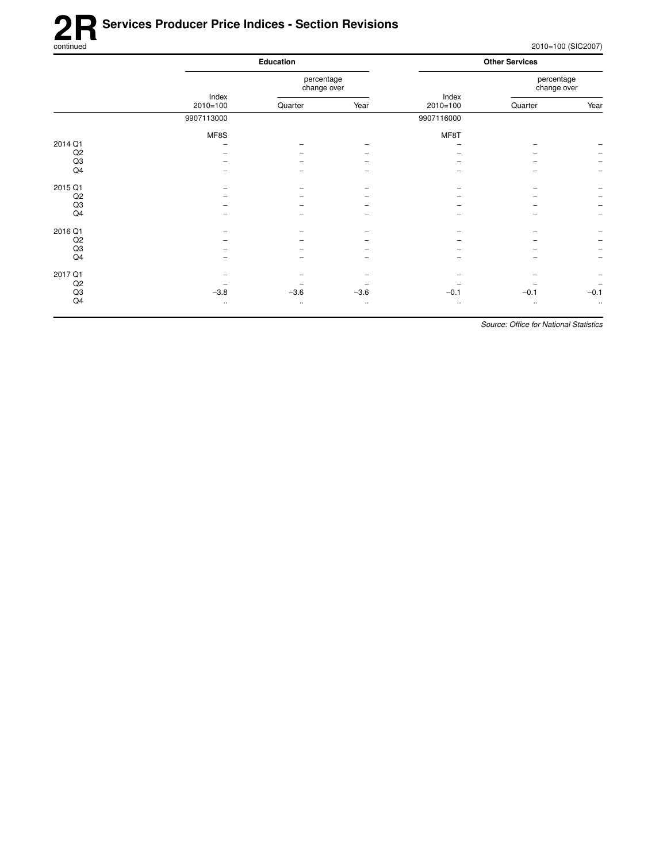## **2R** Services Producer Price Indices - Section Revisions<br>
continued

2010=100 (SIC2007)

|         |                       | <b>Education</b>          |           |            | <b>Other Services</b>     |                          |  |
|---------|-----------------------|---------------------------|-----------|------------|---------------------------|--------------------------|--|
|         |                       | percentage<br>change over |           | Index      | percentage<br>change over |                          |  |
|         | Index<br>$2010 = 100$ | Quarter                   | Year      | $2010=100$ | Quarter                   | Year                     |  |
|         | 9907113000            |                           |           | 9907116000 |                           |                          |  |
|         | MF8S                  |                           |           | MF8T       |                           |                          |  |
| 2014 Q1 |                       |                           |           |            |                           |                          |  |
| Q2      |                       |                           |           |            |                           |                          |  |
| Q3      |                       |                           |           |            |                           | $\overline{\phantom{a}}$ |  |
| Q4      |                       |                           |           |            |                           | $\overline{\phantom{0}}$ |  |
| 2015 Q1 |                       |                           |           |            | $\overline{\phantom{0}}$  |                          |  |
| Q2      |                       |                           |           |            |                           | $\overline{\phantom{m}}$ |  |
| Q3      |                       |                           |           |            |                           | $\qquad \qquad -$        |  |
| Q4      |                       |                           |           |            |                           | $\overline{\phantom{m}}$ |  |
| 2016 Q1 |                       |                           |           |            |                           |                          |  |
| Q2      |                       |                           |           |            |                           | $\overline{\phantom{a}}$ |  |
| Q3      |                       |                           |           |            |                           | $\overline{\phantom{a}}$ |  |
| Q4      |                       |                           |           |            | -                         | $\qquad \qquad -$        |  |
| 2017 Q1 |                       |                           |           |            |                           | $\overline{\phantom{0}}$ |  |
| Q2      |                       |                           |           |            |                           | $\overline{\phantom{m}}$ |  |
| Q3      | $-3.8$                | $-3.6$                    | $-3.6$    | $-0.1$     | $-0.1$                    | $-0.1$                   |  |
| Q4      |                       |                           |           |            |                           | $\ddotsc$                |  |
|         | $\ldots$              | $\cdot$ .                 | $\ddotsc$ | $\cdots$   | $\cdot$ .                 |                          |  |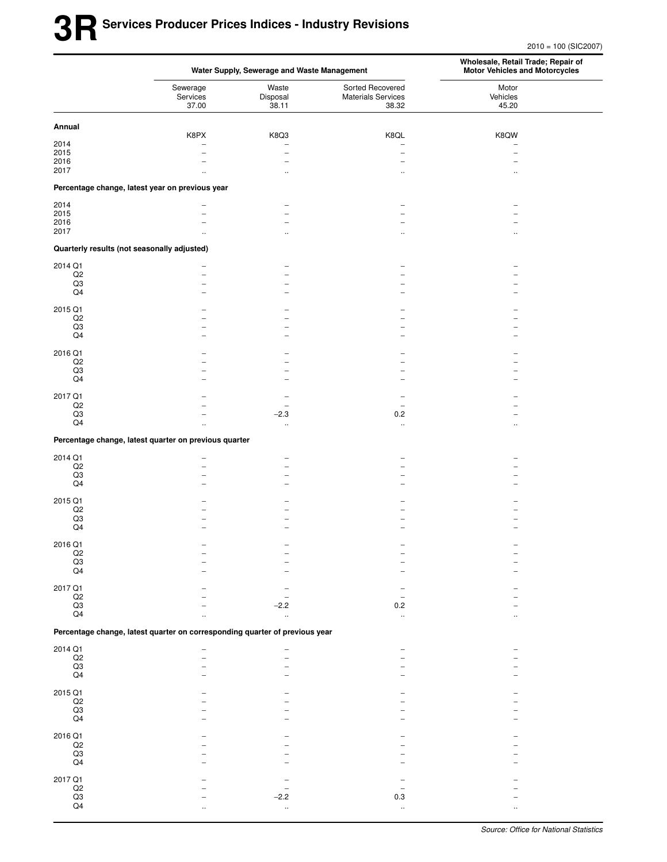2010 = 100 (SIC2007)

|                       | Water Supply, Sewerage and Waste Management                                 |                            |                                                        | Wholesale, Retail Trade; Repair of<br><b>Motor Vehicles and Motorcycles</b> |  |  |
|-----------------------|-----------------------------------------------------------------------------|----------------------------|--------------------------------------------------------|-----------------------------------------------------------------------------|--|--|
|                       | Sewerage<br>Services<br>37.00                                               | Waste<br>Disposal<br>38.11 | Sorted Recovered<br><b>Materials Services</b><br>38.32 | Motor<br>Vehicles<br>45.20                                                  |  |  |
| Annual                |                                                                             |                            |                                                        |                                                                             |  |  |
|                       | K8PX                                                                        | K8Q3                       | K8QL                                                   | K8QW                                                                        |  |  |
| 2014<br>2015          | $\overline{\phantom{0}}$                                                    | $\overline{a}$             | $\overline{\phantom{0}}$                               |                                                                             |  |  |
| 2016                  |                                                                             | L.                         |                                                        |                                                                             |  |  |
| 2017                  | $\ddot{\phantom{a}}$                                                        | $\ddotsc$                  | $\ddotsc$                                              |                                                                             |  |  |
|                       | Percentage change, latest year on previous year                             |                            |                                                        |                                                                             |  |  |
| 2014                  |                                                                             | $\overline{a}$             |                                                        |                                                                             |  |  |
| 2015                  |                                                                             | L.                         |                                                        |                                                                             |  |  |
| 2016                  |                                                                             | $\overline{\phantom{0}}$   |                                                        |                                                                             |  |  |
| 2017                  | $\ddot{\phantom{a}}$                                                        | $\ddotsc$                  | $\ddot{\phantom{a}}$                                   | ٠.                                                                          |  |  |
|                       | Quarterly results (not seasonally adjusted)                                 |                            |                                                        |                                                                             |  |  |
| 2014 Q1               |                                                                             |                            |                                                        |                                                                             |  |  |
| $_{\mathsf{Q2}}$      |                                                                             | $\overline{\phantom{0}}$   |                                                        |                                                                             |  |  |
| Q3                    |                                                                             | $\overline{\phantom{0}}$   |                                                        |                                                                             |  |  |
| $\mathsf{Q4}$         |                                                                             | $\overline{\phantom{0}}$   |                                                        |                                                                             |  |  |
| 2015 Q1               |                                                                             |                            |                                                        |                                                                             |  |  |
| $_{\mathsf{Q2}}$      |                                                                             |                            |                                                        |                                                                             |  |  |
| $_{\rm Q3}$           |                                                                             |                            |                                                        |                                                                             |  |  |
| Q4                    |                                                                             |                            |                                                        |                                                                             |  |  |
| 2016 Q1               |                                                                             |                            |                                                        |                                                                             |  |  |
| Q2                    |                                                                             |                            |                                                        |                                                                             |  |  |
| Q3                    |                                                                             |                            |                                                        |                                                                             |  |  |
| Q4                    |                                                                             |                            |                                                        |                                                                             |  |  |
| 2017 Q1               |                                                                             |                            |                                                        |                                                                             |  |  |
| $_{\mathsf{Q2}}$      |                                                                             |                            | $\overline{\phantom{m}}$                               |                                                                             |  |  |
| $_{\rm Q3}$           |                                                                             | $-2.3$                     | 0.2                                                    |                                                                             |  |  |
| Q <sub>4</sub>        | ٠.                                                                          | $\ldots$                   | $\cdot$ .                                              |                                                                             |  |  |
|                       | Percentage change, latest quarter on previous quarter                       |                            |                                                        |                                                                             |  |  |
| 2014 Q1               | $\overline{\phantom{0}}$                                                    |                            |                                                        |                                                                             |  |  |
| Q2                    | ▃                                                                           |                            |                                                        |                                                                             |  |  |
| Q3                    |                                                                             |                            |                                                        |                                                                             |  |  |
| Q4                    |                                                                             | $\overline{\phantom{0}}$   |                                                        |                                                                             |  |  |
| 2015 Q1               |                                                                             |                            |                                                        |                                                                             |  |  |
| Q2                    |                                                                             |                            |                                                        |                                                                             |  |  |
| $_{\rm Q3}$           |                                                                             |                            |                                                        |                                                                             |  |  |
| Q4                    |                                                                             |                            |                                                        |                                                                             |  |  |
| 2016 Q1               |                                                                             |                            |                                                        |                                                                             |  |  |
| Q2                    |                                                                             |                            |                                                        |                                                                             |  |  |
| $\frac{1}{\sqrt{23}}$ |                                                                             |                            |                                                        |                                                                             |  |  |
|                       |                                                                             |                            |                                                        |                                                                             |  |  |
| 2017 Q1               |                                                                             |                            |                                                        |                                                                             |  |  |
| $_{\mathsf{Q2}}$      |                                                                             |                            | $\overline{\phantom{0}}$                               |                                                                             |  |  |
| $_{\rm Q3}$           |                                                                             | $-2.2$                     | $0.2\,$                                                |                                                                             |  |  |
| Q4                    |                                                                             | $\ddot{\phantom{1}}$       | ä,                                                     |                                                                             |  |  |
|                       | Percentage change, latest quarter on corresponding quarter of previous year |                            |                                                        |                                                                             |  |  |
| 2014 Q1               |                                                                             |                            |                                                        |                                                                             |  |  |
| $_{\rm Q2}$           |                                                                             |                            |                                                        |                                                                             |  |  |
| $\frac{Q3}{Q4}$       |                                                                             |                            |                                                        |                                                                             |  |  |
|                       |                                                                             |                            |                                                        |                                                                             |  |  |
| 2015 Q1               |                                                                             |                            |                                                        |                                                                             |  |  |
| $_{\mathsf{Q2}}$      |                                                                             |                            |                                                        |                                                                             |  |  |
| $_{\rm Q3}$           |                                                                             |                            |                                                        |                                                                             |  |  |
| Q4                    |                                                                             |                            |                                                        |                                                                             |  |  |
| 2016 Q1               |                                                                             |                            |                                                        |                                                                             |  |  |
| $_{\mathsf{Q2}}$      |                                                                             |                            |                                                        |                                                                             |  |  |
| Q3                    |                                                                             |                            |                                                        |                                                                             |  |  |
| Q4                    |                                                                             |                            |                                                        |                                                                             |  |  |
| 2017 Q1               |                                                                             |                            |                                                        |                                                                             |  |  |
| $\mathsf{Q2}$         |                                                                             |                            |                                                        |                                                                             |  |  |
| $\frac{Q3}{Q4}$       |                                                                             | $-2.2$                     | $0.3\,$                                                |                                                                             |  |  |
|                       |                                                                             | $\ddotsc$                  | $\mathcal{L}_{\mathcal{A}}$                            |                                                                             |  |  |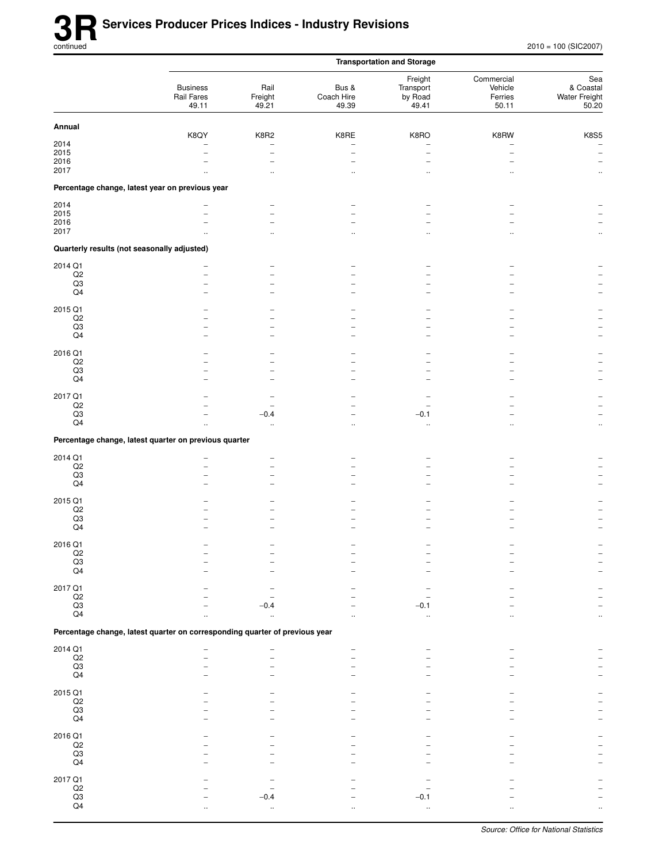|                                             |                                                                             |                                  |                              | <b>Transportation and Storage</b>        |                                           |                                            |
|---------------------------------------------|-----------------------------------------------------------------------------|----------------------------------|------------------------------|------------------------------------------|-------------------------------------------|--------------------------------------------|
|                                             | <b>Business</b><br>Rail Fares<br>49.11                                      | Rail<br>Freight<br>49.21         | Bus &<br>Coach Hire<br>49.39 | Freight<br>Transport<br>by Road<br>49.41 | Commercial<br>Vehicle<br>Ferries<br>50.11 | Sea<br>& Coastal<br>Water Freight<br>50.20 |
| Annual                                      |                                                                             |                                  |                              |                                          |                                           |                                            |
| 2014                                        | K8QY                                                                        | K8R2<br>$\overline{\phantom{a}}$ | K8RE                         | K8RO                                     | K8RW                                      | <b>K8S5</b><br>$\overline{\phantom{a}}$    |
| 2015                                        | $\overline{\phantom{0}}$                                                    | $\overline{\phantom{0}}$         |                              | $\overline{a}$                           |                                           | $\overline{\phantom{a}}$                   |
| 2016                                        |                                                                             |                                  |                              |                                          |                                           | $\qquad \qquad -$                          |
| 2017                                        |                                                                             |                                  |                              |                                          |                                           | $\ddot{\phantom{1}}$                       |
|                                             | Percentage change, latest year on previous year                             |                                  |                              |                                          |                                           |                                            |
| 2014                                        |                                                                             | $\qquad \qquad$                  |                              |                                          |                                           |                                            |
| 2015                                        |                                                                             | $\overline{\phantom{a}}$         |                              |                                          |                                           |                                            |
| 2016<br>2017                                |                                                                             |                                  |                              |                                          |                                           |                                            |
|                                             |                                                                             | $\ddot{\phantom{a}}$             | $\ddot{\phantom{a}}$         | $\ddotsc$                                |                                           | $\ddotsc$                                  |
| Quarterly results (not seasonally adjusted) |                                                                             |                                  |                              |                                          |                                           |                                            |
| 2014 Q1                                     |                                                                             |                                  |                              |                                          |                                           |                                            |
| $_{\mathsf{Q2}}$<br>Q3                      |                                                                             |                                  |                              |                                          |                                           |                                            |
| Q4                                          |                                                                             | $\overline{\phantom{a}}$         |                              |                                          |                                           |                                            |
|                                             |                                                                             |                                  |                              |                                          |                                           |                                            |
| 2015 Q1<br>Q2                               |                                                                             |                                  |                              |                                          |                                           |                                            |
| $_{\rm Q3}$                                 |                                                                             |                                  |                              |                                          |                                           |                                            |
| Q4                                          |                                                                             |                                  |                              |                                          |                                           |                                            |
| 2016 Q1                                     |                                                                             |                                  |                              |                                          |                                           |                                            |
| $_{\mathsf{Q2}}$                            |                                                                             |                                  |                              |                                          |                                           |                                            |
| Q3                                          |                                                                             |                                  |                              |                                          |                                           |                                            |
| $\mathsf{Q4}$                               |                                                                             |                                  |                              |                                          |                                           |                                            |
| 2017 Q1                                     |                                                                             |                                  |                              |                                          |                                           |                                            |
| $_{\mathsf{Q2}}$                            |                                                                             |                                  |                              |                                          |                                           |                                            |
| Q3                                          |                                                                             | $-0.4$                           |                              | $-0.1$                                   |                                           | $\overline{\phantom{0}}$                   |
| Q4                                          |                                                                             | $\ddotsc$                        | $\ddot{\phantom{a}}$         | $\ddotsc$                                | $\ddot{\phantom{a}}$                      | $\ldots$                                   |
|                                             | Percentage change, latest quarter on previous quarter                       |                                  |                              |                                          |                                           |                                            |
| 2014 Q1                                     |                                                                             |                                  |                              |                                          |                                           |                                            |
| $_{\mathsf{Q2}}$                            |                                                                             | -                                |                              |                                          |                                           |                                            |
| Q3                                          |                                                                             | $\equiv$                         |                              |                                          |                                           |                                            |
| $\mathsf{Q4}$                               |                                                                             |                                  |                              |                                          |                                           |                                            |
| 2015 Q1                                     |                                                                             |                                  |                              |                                          |                                           |                                            |
| $_{\mathsf{Q2}}$                            |                                                                             |                                  |                              |                                          |                                           |                                            |
| $_{\rm Q3}$                                 |                                                                             | $\overline{\phantom{0}}$         |                              |                                          |                                           |                                            |
| Q4                                          |                                                                             |                                  |                              |                                          |                                           |                                            |
| 2016 Q1                                     |                                                                             |                                  |                              |                                          |                                           |                                            |
| $_{\rm Q3}^{\rm Q2}$                        |                                                                             |                                  |                              |                                          |                                           |                                            |
| Q4                                          |                                                                             |                                  |                              |                                          |                                           |                                            |
|                                             |                                                                             |                                  |                              |                                          |                                           |                                            |
| 2017 Q1                                     |                                                                             |                                  |                              |                                          |                                           |                                            |
| $_{\mathsf{Q2}}$                            |                                                                             |                                  |                              |                                          |                                           |                                            |
| $\mathsf{Q3}$<br>$\mathsf{Q4}$              |                                                                             | -0.4                             |                              | $-0.1$<br>$\ddotsc$                      |                                           |                                            |
|                                             | Percentage change, latest quarter on corresponding quarter of previous year |                                  |                              |                                          |                                           |                                            |
|                                             |                                                                             |                                  |                              |                                          |                                           |                                            |
| 2014 Q1                                     |                                                                             |                                  |                              |                                          |                                           |                                            |
| $_{\rm Q3}^{\rm Q2}$                        |                                                                             |                                  |                              |                                          |                                           |                                            |
| Q4                                          |                                                                             |                                  |                              |                                          |                                           |                                            |
|                                             |                                                                             |                                  |                              |                                          |                                           |                                            |
| 2015 Q1<br>$_{\mathsf{Q2}}$                 |                                                                             |                                  |                              |                                          |                                           |                                            |
| $_{\rm Q3}$                                 |                                                                             |                                  |                              |                                          |                                           |                                            |
| Q4                                          |                                                                             |                                  |                              |                                          |                                           |                                            |
| 2016 Q1                                     |                                                                             |                                  |                              |                                          |                                           |                                            |
| $_{\mathsf{Q2}}$                            |                                                                             |                                  |                              |                                          |                                           |                                            |
| $\mathsf{Q3}$                               |                                                                             |                                  |                              |                                          |                                           |                                            |
| Q4                                          |                                                                             |                                  |                              |                                          |                                           |                                            |
| 2017 Q1                                     |                                                                             |                                  |                              |                                          |                                           |                                            |
| $\frac{Q2}{Q3}$                             |                                                                             |                                  |                              |                                          |                                           |                                            |
|                                             |                                                                             | -0.4                             |                              | $-0.1$                                   |                                           |                                            |
| $\mathsf{Q4}$                               |                                                                             |                                  |                              | ä.                                       |                                           |                                            |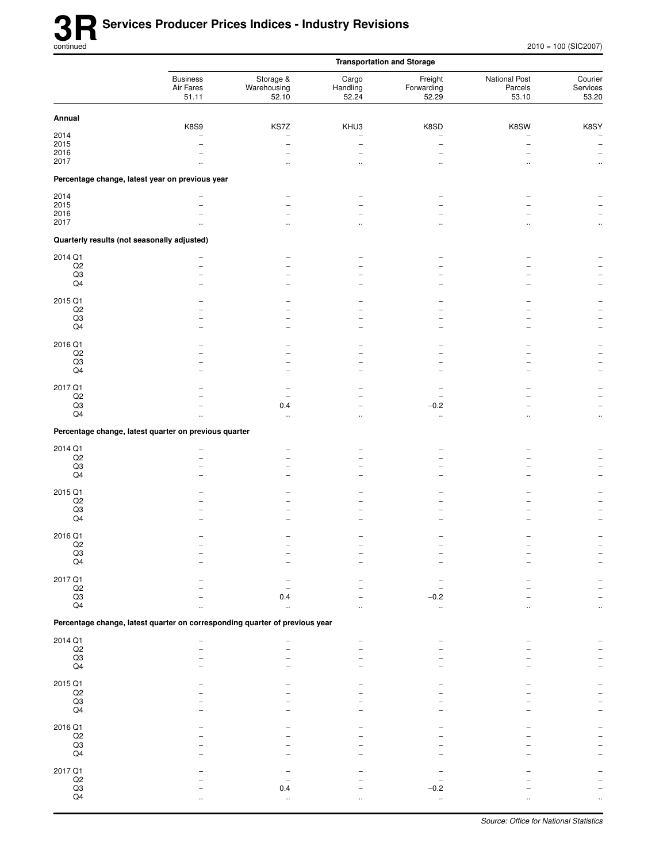|                                             |                                                                             |                                   |                                       | <b>Transportation and Storage</b> |                                   |                              |
|---------------------------------------------|-----------------------------------------------------------------------------|-----------------------------------|---------------------------------------|-----------------------------------|-----------------------------------|------------------------------|
|                                             | <b>Business</b><br>Air Fares<br>51.11                                       | Storage &<br>Warehousing<br>52.10 | Cargo<br>Handling<br>52.24            | Freight<br>Forwarding<br>52.29    | National Post<br>Parcels<br>53.10 | Courier<br>Services<br>53.20 |
| Annual                                      |                                                                             |                                   |                                       |                                   |                                   |                              |
| 2014                                        | K8S9                                                                        | KS7Z<br>$\overline{\phantom{0}}$  | KHU3                                  | K8SD                              | K8SW                              | K8SY                         |
| 2015                                        |                                                                             | -                                 |                                       |                                   |                                   | $\overline{\phantom{a}}$     |
| 2016                                        |                                                                             |                                   |                                       |                                   |                                   | $\overline{\phantom{a}}$     |
| 2017                                        |                                                                             |                                   | $\ddotsc$                             |                                   |                                   | $\ddotsc$                    |
|                                             | Percentage change, latest year on previous year                             |                                   |                                       |                                   |                                   |                              |
| 2014                                        |                                                                             |                                   |                                       |                                   |                                   |                              |
| 2015<br>2016                                | $\overline{\phantom{0}}$                                                    |                                   |                                       |                                   |                                   |                              |
| 2017                                        |                                                                             | $\ddot{\phantom{a}}$              | $\ddotsc$                             |                                   |                                   | $\ddotsc$                    |
| Quarterly results (not seasonally adjusted) |                                                                             |                                   |                                       |                                   |                                   |                              |
| 2014 Q1                                     |                                                                             |                                   |                                       |                                   |                                   |                              |
| $_{\mathsf{Q2}}$                            | $\overline{\phantom{0}}$                                                    |                                   |                                       |                                   |                                   |                              |
| $\mathsf{Q3}$                               | $\overline{\phantom{0}}$                                                    |                                   |                                       |                                   |                                   |                              |
| Q4                                          | $\overline{\phantom{0}}$                                                    |                                   |                                       |                                   |                                   |                              |
| 2015 Q1                                     |                                                                             |                                   |                                       |                                   |                                   |                              |
| $_{\mathsf{Q2}}$<br>$\mathsf{Q3}$           |                                                                             |                                   |                                       |                                   |                                   |                              |
| Q4                                          |                                                                             |                                   |                                       |                                   |                                   |                              |
|                                             |                                                                             |                                   |                                       |                                   |                                   |                              |
| 2016 Q1<br>Q2                               |                                                                             |                                   |                                       |                                   |                                   |                              |
| $_{\rm Q3}$                                 |                                                                             |                                   |                                       |                                   |                                   |                              |
| Q4                                          |                                                                             |                                   | -                                     |                                   |                                   |                              |
| 2017 Q1                                     |                                                                             |                                   |                                       |                                   |                                   |                              |
| $_{\mathsf{Q2}}$                            |                                                                             |                                   |                                       |                                   |                                   |                              |
| $_{\rm Q3}$<br>Q4                           | Ω.                                                                          | 0.4<br>$\mathbf{r}$               | $\overline{\phantom{0}}$<br>$\ddotsc$ | $-0.2$<br>$\ddotsc$               |                                   | $\ddot{\phantom{0}}$         |
|                                             | Percentage change, latest quarter on previous quarter                       |                                   |                                       |                                   |                                   |                              |
|                                             |                                                                             |                                   |                                       |                                   |                                   |                              |
| 2014 Q1<br>Q2                               | -<br>$\overline{\phantom{0}}$                                               | $\overline{\phantom{0}}$<br>-     |                                       |                                   |                                   |                              |
| $_{\rm Q3}$                                 |                                                                             |                                   |                                       |                                   |                                   |                              |
| Q4                                          |                                                                             |                                   | $\overline{\phantom{0}}$              |                                   |                                   |                              |
| 2015 Q1                                     |                                                                             |                                   |                                       |                                   |                                   |                              |
| $_{\mathsf{Q2}}$                            |                                                                             |                                   |                                       |                                   |                                   |                              |
| Q3<br>Q4                                    |                                                                             |                                   |                                       |                                   |                                   |                              |
|                                             |                                                                             |                                   |                                       |                                   |                                   |                              |
| 2016 Q1                                     |                                                                             |                                   |                                       |                                   |                                   |                              |
| Q2                                          |                                                                             |                                   |                                       |                                   |                                   |                              |
| $_{\mathsf{Q4}}^{\mathsf{Q3}}$              |                                                                             |                                   |                                       |                                   |                                   |                              |
| 2017 Q1                                     |                                                                             |                                   |                                       |                                   |                                   |                              |
| $\frac{Q2}{Q3}$                             |                                                                             |                                   |                                       |                                   |                                   |                              |
| Q4                                          |                                                                             | 0.4                               |                                       | $-0.2$                            |                                   |                              |
|                                             |                                                                             |                                   |                                       |                                   |                                   |                              |
|                                             | Percentage change, latest quarter on corresponding quarter of previous year |                                   |                                       |                                   |                                   |                              |
| 2014 Q1                                     |                                                                             |                                   |                                       |                                   |                                   |                              |
| $_{\rm Q3}^{\rm Q2}$                        |                                                                             |                                   |                                       |                                   |                                   |                              |
| $\mathsf{Q4}$                               |                                                                             |                                   |                                       |                                   |                                   |                              |
| 2015 Q1                                     |                                                                             |                                   |                                       |                                   |                                   |                              |
| $\mathsf{Q2}$                               |                                                                             |                                   |                                       |                                   |                                   |                              |
| $\overline{Q3}$                             |                                                                             |                                   |                                       |                                   |                                   |                              |
| Q4                                          |                                                                             |                                   |                                       |                                   |                                   |                              |
| 2016 Q1                                     |                                                                             |                                   |                                       |                                   |                                   |                              |
| $_{\rm Q2}$                                 |                                                                             |                                   |                                       |                                   |                                   |                              |
| $_{\mathsf{Q4}}^{\mathsf{Q3}}$              |                                                                             |                                   |                                       |                                   |                                   |                              |
|                                             |                                                                             |                                   |                                       |                                   |                                   |                              |
| 2017 Q1                                     |                                                                             |                                   |                                       |                                   |                                   |                              |
| $\frac{Q2}{Q3}$                             |                                                                             | 0.4                               |                                       | $-0.2$                            |                                   |                              |
| $\mathsf{Q4}$                               |                                                                             |                                   |                                       | $\ddot{\phantom{1}}$              |                                   |                              |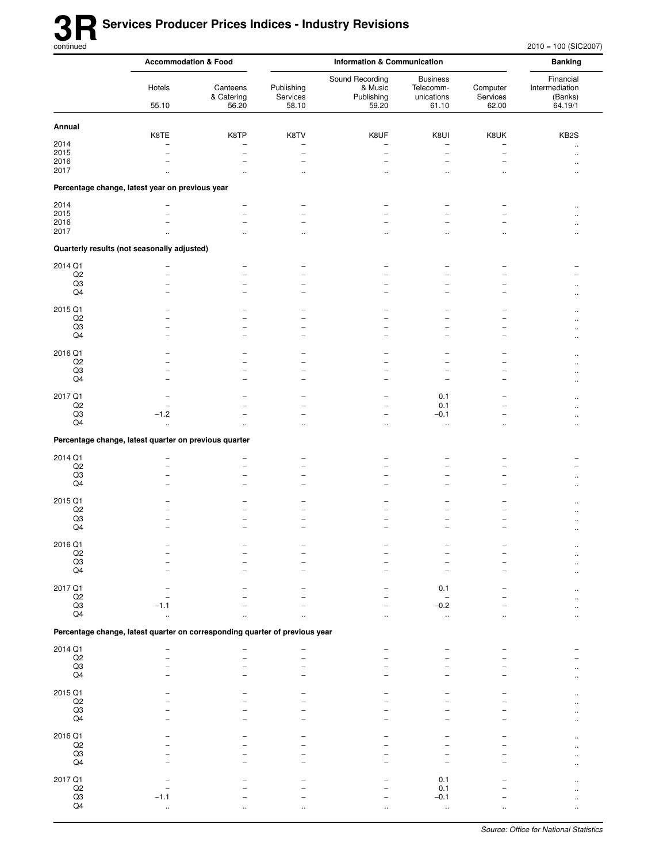|                             |                                                                             | <b>Accommodation &amp; Food</b> | <b>Information &amp; Communication</b>               |                                                   |                                                      | <b>Banking</b>                                       |                                                   |
|-----------------------------|-----------------------------------------------------------------------------|---------------------------------|------------------------------------------------------|---------------------------------------------------|------------------------------------------------------|------------------------------------------------------|---------------------------------------------------|
|                             | Hotels<br>55.10                                                             | Canteens<br>& Catering<br>56.20 | Publishing<br>Services<br>58.10                      | Sound Recording<br>& Music<br>Publishing<br>59.20 | <b>Business</b><br>Telecomm-<br>unications<br>61.10  | Computer<br>Services<br>62.00                        | Financial<br>Intermediation<br>(Banks)<br>64.19/1 |
| Annual                      |                                                                             |                                 |                                                      |                                                   |                                                      |                                                      |                                                   |
|                             | K8TE                                                                        | K8TP                            | K8TV                                                 | K8UF                                              | K8UI                                                 | K8UK                                                 | KB <sub>2</sub> S                                 |
| 2014                        | $\overline{\phantom{0}}$                                                    |                                 |                                                      |                                                   | $\overline{\phantom{0}}$                             | -                                                    | $\ddot{\phantom{a}}$                              |
| 2015<br>2016                |                                                                             | $\overline{\phantom{0}}$        | $\overline{\phantom{0}}$                             | $\overline{\phantom{0}}$<br>-                     | $\overline{\phantom{0}}$<br>$\overline{\phantom{0}}$ | $\overline{\phantom{0}}$<br>$\overline{\phantom{0}}$ |                                                   |
| 2017                        | $\ddot{\phantom{a}}$                                                        | $\ddot{\phantom{a}}$            | $\ddotsc$                                            | $\ddot{\phantom{a}}$                              | $\ddot{\phantom{a}}$                                 | $\ddot{\phantom{a}}$                                 | $\ddot{\phantom{a}}$<br>$\ddot{\phantom{a}}$      |
|                             | Percentage change, latest year on previous year                             |                                 |                                                      |                                                   |                                                      |                                                      |                                                   |
| 2014                        |                                                                             |                                 |                                                      |                                                   | $\overline{a}$                                       |                                                      |                                                   |
| 2015                        |                                                                             | $\overline{\phantom{0}}$        | $\overline{\phantom{0}}$                             |                                                   | $\overline{\phantom{0}}$                             | $\overline{\phantom{0}}$                             | $\ddot{\phantom{a}}$                              |
| 2016                        |                                                                             | $\overline{\phantom{0}}$        | $\overline{\phantom{0}}$                             |                                                   | ۰                                                    | L.                                                   |                                                   |
| 2017                        |                                                                             | $\ddot{\phantom{0}}$            | $\ddot{\phantom{0}}$                                 |                                                   |                                                      | $\ddotsc$                                            |                                                   |
|                             | Quarterly results (not seasonally adjusted)                                 |                                 |                                                      |                                                   |                                                      |                                                      |                                                   |
| 2014 Q1                     |                                                                             |                                 |                                                      |                                                   |                                                      |                                                      |                                                   |
| Q2<br>Q3                    | ۳                                                                           | $\overline{\phantom{0}}$<br>-   | $\overline{\phantom{0}}$<br>-                        |                                                   | $\overline{\phantom{0}}$<br>$\overline{a}$           |                                                      |                                                   |
| Q <sub>4</sub>              | $\overline{\phantom{0}}$                                                    | $\overline{\phantom{0}}$        | $\overline{\phantom{0}}$                             |                                                   | $\overline{\phantom{0}}$                             | $\overline{\phantom{0}}$                             |                                                   |
| 2015 Q1                     |                                                                             |                                 |                                                      |                                                   |                                                      |                                                      |                                                   |
| Q2                          |                                                                             |                                 | $\overline{\phantom{0}}$                             | -                                                 | -<br>$\overline{\phantom{0}}$                        | $\overline{\phantom{0}}$                             |                                                   |
| Q3                          |                                                                             | $\overline{\phantom{0}}$        | $\overline{\phantom{0}}$                             |                                                   | L.                                                   | $\overline{\phantom{0}}$                             |                                                   |
| Q4                          |                                                                             | $\overline{\phantom{0}}$        | -                                                    |                                                   | $\overline{a}$                                       | $\overline{a}$                                       |                                                   |
| 2016 Q1                     |                                                                             |                                 |                                                      |                                                   |                                                      |                                                      |                                                   |
| $_{\mathsf{Q2}}$            |                                                                             |                                 | -                                                    |                                                   | -                                                    |                                                      |                                                   |
| Q3<br>Q4                    | $\overline{\phantom{0}}$                                                    | $\overline{\phantom{0}}$        | $\overline{\phantom{0}}$<br>$\overline{\phantom{0}}$ | -                                                 | $\overline{\phantom{0}}$<br>-                        | $\overline{\phantom{0}}$<br>-                        |                                                   |
|                             |                                                                             |                                 |                                                      |                                                   |                                                      |                                                      | $\ddot{\phantom{a}}$                              |
| 2017 Q1                     |                                                                             |                                 | $\overline{\phantom{0}}$                             | -                                                 | 0.1                                                  | $\overline{\phantom{0}}$                             | $\ddot{\phantom{a}}$                              |
| Q2<br>$_{\rm Q3}$           | $-1.2$                                                                      |                                 | $\overline{\phantom{0}}$<br>$\overline{\phantom{0}}$ |                                                   | 0.1<br>$-0.1$                                        |                                                      | $\sim$                                            |
| Q4                          | .,                                                                          |                                 | $\ddotsc$                                            | $\ddotsc$                                         | $\ddotsc$                                            | $\ddotsc$                                            | $\ddot{\phantom{a}}$                              |
|                             | Percentage change, latest quarter on previous quarter                       |                                 |                                                      |                                                   |                                                      |                                                      |                                                   |
| 2014 Q1                     |                                                                             |                                 |                                                      |                                                   |                                                      |                                                      |                                                   |
| $\mathsf{Q2}$               |                                                                             |                                 | ÷                                                    |                                                   |                                                      |                                                      |                                                   |
| Q3                          |                                                                             | $\overline{\phantom{0}}$        | $\overline{\phantom{0}}$                             |                                                   | $\overline{\phantom{0}}$                             |                                                      |                                                   |
| Q4                          |                                                                             |                                 | $\overline{\phantom{0}}$                             |                                                   | $\overline{\phantom{0}}$                             |                                                      |                                                   |
| 2015 Q1                     |                                                                             |                                 |                                                      |                                                   |                                                      |                                                      |                                                   |
| Q2                          |                                                                             |                                 |                                                      |                                                   | L.                                                   |                                                      |                                                   |
| Q3<br>Q4                    |                                                                             |                                 | -                                                    |                                                   | $\overline{a}$                                       | -                                                    | $\ddotsc$                                         |
|                             |                                                                             |                                 |                                                      |                                                   |                                                      |                                                      |                                                   |
| 2016 Q1                     |                                                                             |                                 |                                                      |                                                   |                                                      |                                                      |                                                   |
| $\frac{Q2}{Q3}$             |                                                                             |                                 |                                                      |                                                   |                                                      |                                                      |                                                   |
| Q4                          |                                                                             |                                 |                                                      |                                                   |                                                      |                                                      |                                                   |
| 2017 Q1                     |                                                                             |                                 |                                                      |                                                   | 0.1                                                  |                                                      |                                                   |
| $_{\mathsf{Q2}}$            |                                                                             |                                 |                                                      |                                                   |                                                      |                                                      |                                                   |
| $\mathsf{Q}3$               | $-1.1$                                                                      |                                 |                                                      |                                                   | $-0.2$                                               |                                                      |                                                   |
| Q4                          | μ.                                                                          |                                 |                                                      |                                                   | $\ddot{\phantom{1}}$                                 |                                                      |                                                   |
|                             | Percentage change, latest quarter on corresponding quarter of previous year |                                 |                                                      |                                                   |                                                      |                                                      |                                                   |
| 2014 Q1                     |                                                                             |                                 |                                                      |                                                   |                                                      |                                                      |                                                   |
| $_{\rm Q3}^{\rm Q2}$        |                                                                             |                                 |                                                      |                                                   |                                                      |                                                      |                                                   |
| Q4                          |                                                                             |                                 |                                                      |                                                   |                                                      |                                                      |                                                   |
|                             |                                                                             |                                 |                                                      |                                                   |                                                      |                                                      |                                                   |
| 2015 Q1<br>$_{\mathsf{Q2}}$ |                                                                             |                                 |                                                      |                                                   |                                                      |                                                      |                                                   |
| Q3                          |                                                                             |                                 |                                                      |                                                   |                                                      |                                                      |                                                   |
| Q4                          |                                                                             |                                 |                                                      |                                                   |                                                      |                                                      |                                                   |
| 2016 Q1                     |                                                                             |                                 |                                                      |                                                   |                                                      |                                                      |                                                   |
| $_{\mathsf{Q2}}$            |                                                                             |                                 |                                                      |                                                   |                                                      |                                                      |                                                   |
| Q3                          |                                                                             |                                 |                                                      |                                                   |                                                      |                                                      |                                                   |
| Q4                          |                                                                             |                                 |                                                      |                                                   |                                                      |                                                      |                                                   |
| 2017 Q1                     |                                                                             |                                 |                                                      |                                                   | 0.1                                                  |                                                      |                                                   |
| $\frac{Q2}{Q3}$             |                                                                             |                                 |                                                      |                                                   | 0.1                                                  |                                                      |                                                   |
| Q4                          | $-1.1$                                                                      |                                 |                                                      |                                                   | $-0.1$                                               |                                                      |                                                   |
|                             |                                                                             |                                 |                                                      |                                                   |                                                      |                                                      |                                                   |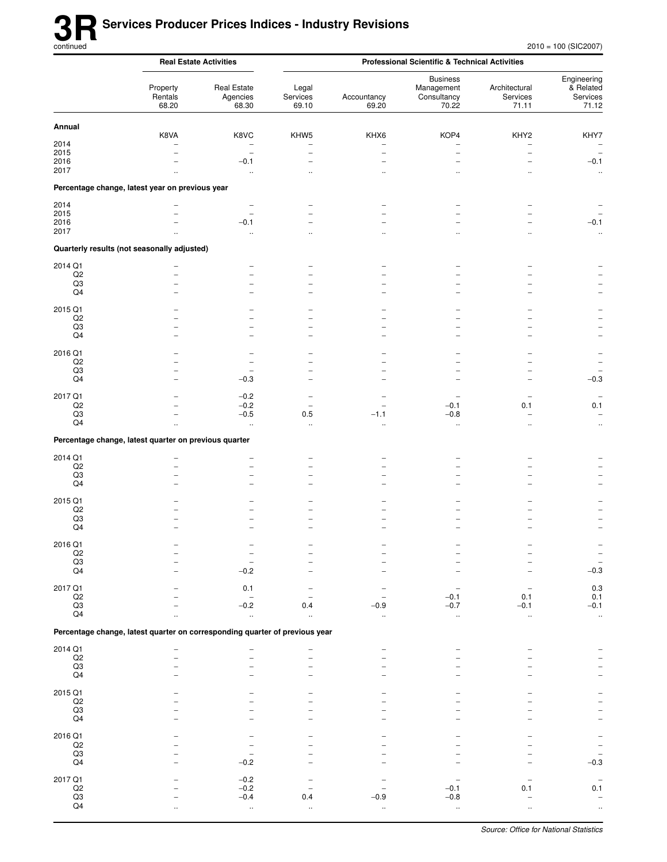|                               |                                                                             | <b>Real Estate Activities</b>                        |                                              | <b>Professional Scientific &amp; Technical Activities</b> |                                                       |                                    |                                                      |  |  |
|-------------------------------|-----------------------------------------------------------------------------|------------------------------------------------------|----------------------------------------------|-----------------------------------------------------------|-------------------------------------------------------|------------------------------------|------------------------------------------------------|--|--|
|                               | Property<br>Rentals<br>68.20                                                | <b>Real Estate</b><br>Agencies<br>68.30              | Legal<br>Services<br>69.10                   | Accountancy<br>69.20                                      | <b>Business</b><br>Management<br>Consultancy<br>70.22 | Architectural<br>Services<br>71.11 | Engineering<br>& Related<br>Services<br>71.12        |  |  |
| Annual                        |                                                                             |                                                      |                                              |                                                           |                                                       |                                    |                                                      |  |  |
| 2014                          | K8VA                                                                        | K8VC<br>$\overline{\phantom{0}}$                     | KHW <sub>5</sub><br>$\overline{\phantom{0}}$ | KHX6                                                      | KOP4                                                  | KHY2<br>$\overline{a}$             | KHY7<br>$\overline{\phantom{a}}$                     |  |  |
| 2015                          |                                                                             | $\qquad \qquad -$                                    | $\overline{\phantom{0}}$                     | $\overline{\phantom{0}}$                                  | $\overline{\phantom{0}}$                              | $\overline{\phantom{0}}$           | $\overline{\phantom{a}}$                             |  |  |
| 2016<br>2017                  |                                                                             | $-0.1$<br>$\ddotsc$                                  | $\equiv$                                     | $\overline{\phantom{0}}$<br>                              | $\equiv$<br>$\ddotsc$                                 | L.<br>$\ddotsc$                    | $-0.1$<br>$\ddot{\phantom{1}}$                       |  |  |
|                               | Percentage change, latest year on previous year                             |                                                      |                                              |                                                           |                                                       |                                    |                                                      |  |  |
|                               |                                                                             |                                                      |                                              |                                                           |                                                       |                                    |                                                      |  |  |
| 2014<br>2015                  |                                                                             | $\overline{\phantom{0}}$<br>$\overline{\phantom{0}}$ |                                              |                                                           |                                                       |                                    |                                                      |  |  |
| 2016                          |                                                                             | $-0.1$                                               |                                              |                                                           |                                                       |                                    | $-0.1$                                               |  |  |
| 2017                          |                                                                             | ä,                                                   |                                              |                                                           |                                                       | ٠.                                 | $\ddotsc$                                            |  |  |
|                               | Quarterly results (not seasonally adjusted)                                 |                                                      |                                              |                                                           |                                                       |                                    |                                                      |  |  |
| 2014 Q1                       |                                                                             |                                                      |                                              |                                                           |                                                       |                                    |                                                      |  |  |
| Q2<br>Q3                      |                                                                             | -                                                    | -                                            |                                                           |                                                       |                                    |                                                      |  |  |
| Q4                            |                                                                             | $\overline{\phantom{0}}$                             |                                              |                                                           |                                                       |                                    |                                                      |  |  |
| 2015 Q1                       |                                                                             |                                                      |                                              |                                                           |                                                       |                                    |                                                      |  |  |
| Q2<br>Q3                      |                                                                             |                                                      |                                              |                                                           |                                                       |                                    |                                                      |  |  |
| Q4                            |                                                                             |                                                      | $\overline{\phantom{0}}$                     |                                                           |                                                       |                                    | L,                                                   |  |  |
| 2016 Q1                       |                                                                             |                                                      |                                              |                                                           |                                                       |                                    |                                                      |  |  |
| Q <sub>2</sub>                |                                                                             | $\overline{\phantom{0}}$                             | $\equiv$                                     |                                                           |                                                       |                                    |                                                      |  |  |
| Q3<br>Q4                      |                                                                             | $-0.3$                                               |                                              |                                                           |                                                       |                                    | $-0.3$                                               |  |  |
| 2017 Q1                       |                                                                             | $-0.2$                                               |                                              |                                                           |                                                       |                                    |                                                      |  |  |
| $_{\rm Q2}$                   |                                                                             | $-0.2$                                               | $\overline{\phantom{0}}$                     | $\overline{\phantom{0}}$                                  | $-0.1$                                                | 0.1                                | 0.1                                                  |  |  |
| Q3<br>Q4                      |                                                                             | $-0.5$<br>$\ddot{\phantom{a}}$                       | 0.5<br>$\ddotsc$                             | $-1.1$<br>$\ddot{\phantom{a}}$                            | $-0.8$<br>$\ldots$                                    | $\overline{a}$                     | $\qquad \qquad -$<br>$\ddot{\phantom{0}}$            |  |  |
|                               | Percentage change, latest quarter on previous quarter                       |                                                      |                                              |                                                           |                                                       |                                    |                                                      |  |  |
|                               |                                                                             |                                                      |                                              |                                                           |                                                       |                                    |                                                      |  |  |
| 2014 Q1<br>Q2                 |                                                                             | -                                                    | $\overline{\phantom{0}}$                     |                                                           |                                                       |                                    |                                                      |  |  |
| Q3                            |                                                                             |                                                      | $\overline{\phantom{0}}$                     |                                                           |                                                       |                                    |                                                      |  |  |
| Q4                            |                                                                             |                                                      |                                              |                                                           |                                                       |                                    |                                                      |  |  |
| 2015 Q1<br>Q2                 |                                                                             |                                                      |                                              |                                                           |                                                       |                                    |                                                      |  |  |
| Q3                            |                                                                             |                                                      |                                              |                                                           |                                                       |                                    |                                                      |  |  |
| Q4                            |                                                                             |                                                      |                                              |                                                           |                                                       |                                    |                                                      |  |  |
| 2016 Q1                       |                                                                             |                                                      |                                              |                                                           |                                                       |                                    |                                                      |  |  |
| $\mathsf{Q2}$<br>$_{\rm Q3}$  |                                                                             |                                                      |                                              |                                                           |                                                       |                                    | $\overline{\phantom{0}}$<br>$\overline{\phantom{0}}$ |  |  |
| Q <sub>4</sub>                |                                                                             | $-0.2$                                               |                                              |                                                           |                                                       |                                    | $-0.3$                                               |  |  |
| 2017 Q1                       |                                                                             | 0.1                                                  |                                              |                                                           |                                                       |                                    | $0.3\,$                                              |  |  |
| $_{\mathsf{Q2}}$              |                                                                             |                                                      |                                              | $\overline{\phantom{0}}$                                  | $-0.1$                                                | 0.1                                | 0.1                                                  |  |  |
| Q3<br>Q4                      |                                                                             | $-0.2$<br>$\ddot{\phantom{a}}$                       | 0.4<br>$\ddotsc$                             | $-0.9$<br>$\ddot{\phantom{1}}$                            | $-0.7$<br>$\ddot{\phantom{1}}$                        | $-0.1$<br>$\ddot{\phantom{1}}$     | $-0.1$<br>$\ddotsc$                                  |  |  |
|                               |                                                                             |                                                      |                                              |                                                           |                                                       |                                    |                                                      |  |  |
|                               | Percentage change, latest quarter on corresponding quarter of previous year |                                                      |                                              |                                                           |                                                       |                                    |                                                      |  |  |
| 2014 Q1<br>$\mathsf{Q2}$      |                                                                             |                                                      |                                              |                                                           |                                                       |                                    |                                                      |  |  |
| $_{\rm Q3}$                   |                                                                             |                                                      |                                              |                                                           |                                                       |                                    |                                                      |  |  |
| Q4                            |                                                                             |                                                      |                                              |                                                           |                                                       |                                    | $\qquad \qquad -$                                    |  |  |
| 2015 Q1                       |                                                                             |                                                      |                                              |                                                           |                                                       |                                    |                                                      |  |  |
| $_{\mathsf{Q2}}$<br>Q3        |                                                                             |                                                      |                                              |                                                           |                                                       |                                    | $\overline{a}$                                       |  |  |
| Q4                            |                                                                             |                                                      |                                              |                                                           |                                                       |                                    | $\overline{a}$                                       |  |  |
| 2016 Q1                       |                                                                             |                                                      |                                              |                                                           |                                                       |                                    | $\overline{a}$                                       |  |  |
| $_{\mathsf{Q2}}$<br>Q3        |                                                                             | $\overline{\phantom{0}}$                             |                                              |                                                           |                                                       |                                    | $\overline{\phantom{0}}$<br>$\overline{\phantom{a}}$ |  |  |
| Q4                            |                                                                             | $-0.2$                                               |                                              |                                                           |                                                       |                                    | $-0.3$                                               |  |  |
| 2017 Q1                       |                                                                             | $-0.2$                                               |                                              |                                                           |                                                       |                                    | $\qquad \qquad -$                                    |  |  |
| $\mathsf{Q2}$                 |                                                                             | $-0.2$                                               |                                              |                                                           | $-0.1$                                                | 0.1                                | 0.1                                                  |  |  |
| $_{\rm Q3}$<br>Q <sub>4</sub> |                                                                             | $-0.4$<br>$\ddotsc$                                  | 0.4<br>$\ddotsc$                             | $-0.9$<br>Ω,                                              | $-0.8$<br>$\ddot{\phantom{1}}$                        | $\ldots$                           | $\overline{\phantom{a}}$<br>$\ddotsc$                |  |  |
|                               |                                                                             |                                                      |                                              |                                                           |                                                       |                                    |                                                      |  |  |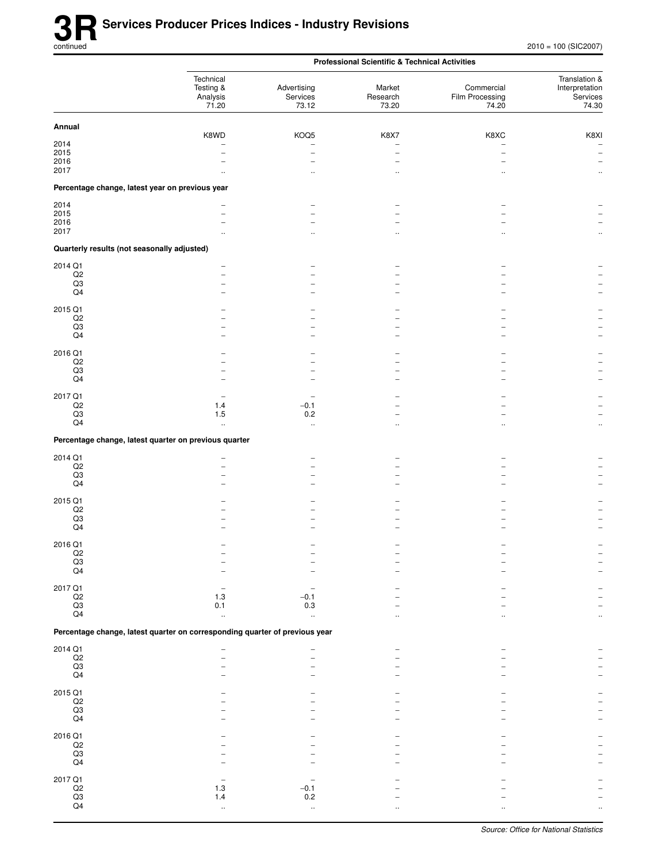|                                                 |                                                                             | <b>Professional Scientific &amp; Technical Activities</b> |                             |                                        |                                                      |  |
|-------------------------------------------------|-----------------------------------------------------------------------------|-----------------------------------------------------------|-----------------------------|----------------------------------------|------------------------------------------------------|--|
|                                                 | Technical<br>Testing &<br>Analysis<br>71.20                                 | Advertising<br>Services<br>73.12                          | Market<br>Research<br>73.20 | Commercial<br>Film Processing<br>74.20 | Translation &<br>Interpretation<br>Services<br>74.30 |  |
| Annual                                          |                                                                             |                                                           |                             |                                        |                                                      |  |
| 2014                                            | K8WD                                                                        | KOQ5                                                      | K8X7                        | K8XC<br>$\overline{\phantom{0}}$       | K8XI<br>$\qquad \qquad -$                            |  |
| 2015                                            |                                                                             | L.                                                        |                             | $\overline{\phantom{0}}$               | $\hspace{1.0cm} - \hspace{1.0cm}$                    |  |
| 2016<br>2017                                    |                                                                             |                                                           |                             |                                        |                                                      |  |
| Percentage change, latest year on previous year | $\ddot{\phantom{a}}$                                                        |                                                           |                             |                                        |                                                      |  |
| 2014                                            |                                                                             |                                                           |                             |                                        |                                                      |  |
| 2015                                            |                                                                             |                                                           |                             |                                        |                                                      |  |
| 2016                                            |                                                                             |                                                           |                             |                                        |                                                      |  |
| 2017                                            |                                                                             |                                                           |                             | $\ddot{\phantom{0}}$                   |                                                      |  |
| Quarterly results (not seasonally adjusted)     |                                                                             |                                                           |                             |                                        |                                                      |  |
| 2014 Q1<br>$_{\mathsf{Q2}}$                     |                                                                             |                                                           |                             |                                        |                                                      |  |
| Q3                                              |                                                                             |                                                           |                             | -                                      |                                                      |  |
| Q4                                              |                                                                             |                                                           |                             |                                        |                                                      |  |
| 2015 Q1                                         |                                                                             |                                                           |                             |                                        |                                                      |  |
| Q2<br>Q3                                        |                                                                             |                                                           |                             |                                        |                                                      |  |
| $\mathsf{Q4}$                                   |                                                                             |                                                           |                             | ۰                                      |                                                      |  |
|                                                 |                                                                             |                                                           |                             |                                        |                                                      |  |
| 2016 Q1<br>$_{\mathsf{Q2}}$                     |                                                                             |                                                           |                             |                                        |                                                      |  |
| Q3                                              |                                                                             |                                                           |                             |                                        |                                                      |  |
| $\mathsf{Q4}$                                   |                                                                             |                                                           |                             |                                        |                                                      |  |
| 2017 Q1                                         |                                                                             |                                                           |                             |                                        |                                                      |  |
| $_{\rm Q2}$<br>Q3                               | 1.4<br>$1.5$                                                                | $-0.1$<br>0.2                                             |                             |                                        |                                                      |  |
| Q4                                              | $\ddotsc$                                                                   | $\ddotsc$                                                 |                             | $\ddot{\phantom{a}}$                   | $\ddotsc$                                            |  |
|                                                 | Percentage change, latest quarter on previous quarter                       |                                                           |                             |                                        |                                                      |  |
| 2014 Q1                                         |                                                                             |                                                           |                             |                                        |                                                      |  |
| $_{\mathsf{Q2}}$                                | $\overline{\phantom{0}}$                                                    |                                                           |                             |                                        |                                                      |  |
| Q3<br>$\mathsf{Q4}$                             | ۰                                                                           |                                                           |                             |                                        |                                                      |  |
|                                                 |                                                                             |                                                           |                             |                                        |                                                      |  |
| 2015 Q1<br>$_{\mathsf{Q2}}$                     |                                                                             |                                                           |                             |                                        |                                                      |  |
| $_{\rm Q3}$                                     | $\overline{\phantom{0}}$                                                    | -                                                         |                             | $\overline{a}$                         |                                                      |  |
| Q4                                              |                                                                             |                                                           |                             |                                        |                                                      |  |
| 2016 Q1                                         |                                                                             |                                                           |                             |                                        |                                                      |  |
| $_{\rm Q2}$                                     |                                                                             |                                                           |                             |                                        |                                                      |  |
| $\frac{Q3}{Q4}$                                 |                                                                             |                                                           |                             |                                        |                                                      |  |
|                                                 |                                                                             |                                                           |                             |                                        |                                                      |  |
| 2017 Q1<br>$_{\mathsf{Q2}}$                     | $1.3$                                                                       | $-0.1$                                                    |                             |                                        |                                                      |  |
| $\mathsf{Q3}$                                   | 0.1                                                                         | 0.3                                                       |                             |                                        |                                                      |  |
| Q4                                              | $\ddotsc$                                                                   | $\ddotsc$                                                 |                             |                                        |                                                      |  |
|                                                 | Percentage change, latest quarter on corresponding quarter of previous year |                                                           |                             |                                        |                                                      |  |
| 2014 Q1                                         | $\overline{a}$                                                              |                                                           |                             |                                        |                                                      |  |
| $_{\mathsf{Q2}}$<br>$_{\rm Q3}$                 |                                                                             |                                                           |                             |                                        |                                                      |  |
| $\mathsf{Q4}$                                   |                                                                             |                                                           |                             |                                        |                                                      |  |
| 2015 Q1                                         |                                                                             |                                                           |                             |                                        |                                                      |  |
| $_{\mathsf{Q2}}$                                |                                                                             |                                                           |                             |                                        |                                                      |  |
| $_{\rm Q3}$<br>Q4                               |                                                                             |                                                           |                             |                                        |                                                      |  |
|                                                 |                                                                             |                                                           |                             |                                        |                                                      |  |
| 2016 Q1<br>$_{\mathsf{Q2}}$                     |                                                                             |                                                           |                             |                                        |                                                      |  |
| $_{\rm Q3}$                                     |                                                                             |                                                           |                             |                                        |                                                      |  |
| Q4                                              |                                                                             |                                                           |                             |                                        |                                                      |  |
| 2017 Q1                                         |                                                                             |                                                           |                             |                                        |                                                      |  |
| $_{\rm Q3}^{\rm Q2}$                            | 1.3<br>1.4                                                                  | $-0.1$<br>$0.2\,$                                         |                             |                                        |                                                      |  |
| $\mathsf{Q4}$                                   | $\ddotsc$                                                                   | $\ddotsc$                                                 |                             |                                        |                                                      |  |
|                                                 |                                                                             |                                                           |                             |                                        |                                                      |  |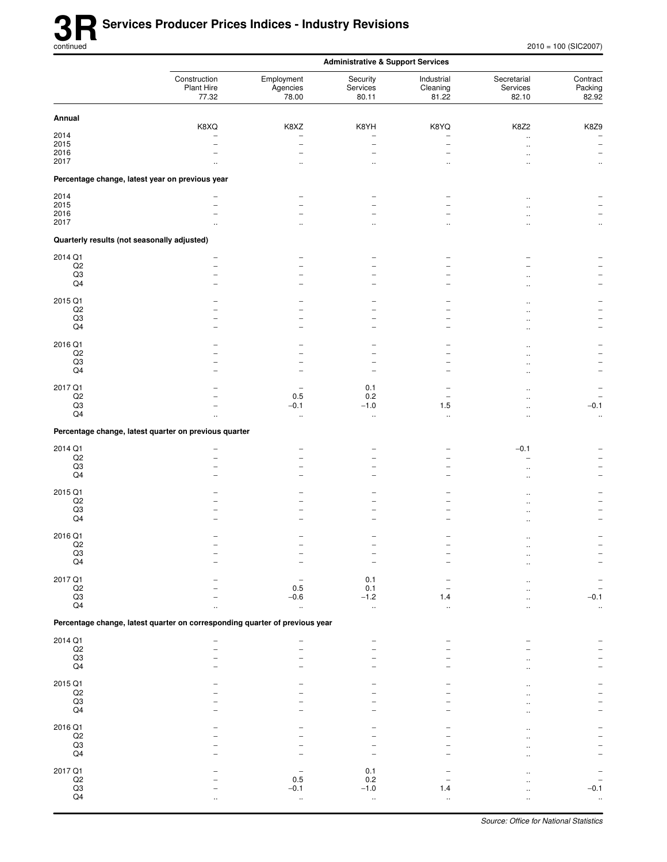|                                             |                                                                             | <b>Administrative &amp; Support Services</b> |                               |                                                      |                                  |                              |  |
|---------------------------------------------|-----------------------------------------------------------------------------|----------------------------------------------|-------------------------------|------------------------------------------------------|----------------------------------|------------------------------|--|
|                                             | Construction<br>Plant Hire<br>77.32                                         | Employment<br>Agencies<br>78.00              | Security<br>Services<br>80.11 | Industrial<br>Cleaning<br>81.22                      | Secretarial<br>Services<br>82.10 | Contract<br>Packing<br>82.92 |  |
| Annual                                      | K8XQ                                                                        | K8XZ                                         | K8YH                          | K8YQ                                                 | K8Z2                             | K8Z9                         |  |
| 2014                                        |                                                                             | $\overline{\phantom{0}}$                     | -                             | -                                                    | $\ddotsc$                        |                              |  |
| 2015                                        | ۰                                                                           | $\overline{\phantom{a}}$                     | ۳                             | $\overline{\phantom{0}}$                             |                                  | $\overline{\phantom{a}}$     |  |
| 2016<br>2017                                |                                                                             |                                              |                               |                                                      | 12                               |                              |  |
|                                             |                                                                             | $\ddotsc$                                    | $\ddot{\phantom{0}}$          | $\ddot{\phantom{0}}$                                 |                                  | $\ddotsc$                    |  |
|                                             | Percentage change, latest year on previous year                             |                                              |                               |                                                      |                                  |                              |  |
| 2014<br>2015                                | ۰                                                                           |                                              |                               |                                                      |                                  |                              |  |
| 2016                                        |                                                                             |                                              |                               | -                                                    |                                  |                              |  |
| 2017                                        |                                                                             | $\ddot{\phantom{a}}$                         | $\ddotsc$                     | $\ddotsc$                                            |                                  | $\ddotsc$                    |  |
| Quarterly results (not seasonally adjusted) |                                                                             |                                              |                               |                                                      |                                  |                              |  |
| 2014 Q1                                     |                                                                             |                                              |                               |                                                      |                                  |                              |  |
| $_{\mathsf{Q2}}$                            | $\overline{\phantom{0}}$                                                    |                                              |                               |                                                      |                                  |                              |  |
| Q3                                          | L.<br>۰                                                                     |                                              |                               |                                                      |                                  |                              |  |
| Q4                                          |                                                                             |                                              | -                             | ۰                                                    |                                  |                              |  |
| 2015 Q1                                     |                                                                             |                                              |                               |                                                      |                                  |                              |  |
| Q2                                          |                                                                             |                                              |                               |                                                      | $\sim$                           |                              |  |
| Q3<br>Q4                                    | ۳                                                                           |                                              | -<br>-                        | $\overline{\phantom{0}}$<br>$\overline{\phantom{0}}$ |                                  |                              |  |
|                                             |                                                                             |                                              |                               |                                                      | ٠.                               |                              |  |
| 2016 Q1                                     |                                                                             |                                              |                               |                                                      |                                  |                              |  |
| Q <sub>2</sub>                              |                                                                             |                                              |                               | -                                                    |                                  |                              |  |
| Q3<br>$\mathsf{Q4}$                         |                                                                             | $\overline{\phantom{0}}$                     | -                             | $\overline{\phantom{0}}$                             |                                  | $\overline{\phantom{a}}$     |  |
|                                             |                                                                             |                                              |                               |                                                      |                                  |                              |  |
| 2017 Q1                                     |                                                                             |                                              | 0.1                           |                                                      |                                  |                              |  |
| $_{\mathsf{Q2}}$<br>Q3                      | ۳                                                                           | 0.5<br>$-0.1$                                | 0.2<br>$-1.0$                 | $\overline{a}$<br>1.5                                |                                  | $-0.1$                       |  |
| Q4                                          | $\ddotsc$                                                                   | $\ldots$                                     | .,                            | $\ddot{\phantom{1}}$                                 |                                  | $\ddot{\phantom{1}}$         |  |
|                                             | Percentage change, latest quarter on previous quarter                       |                                              |                               |                                                      |                                  |                              |  |
| 2014 Q1                                     |                                                                             |                                              |                               |                                                      | $-0.1$                           |                              |  |
| Q <sub>2</sub>                              | -<br>L.                                                                     | $\qquad \qquad -$                            |                               | -                                                    |                                  |                              |  |
| $_{\rm Q3}$                                 |                                                                             | $\overline{\phantom{0}}$                     |                               |                                                      | $\ddot{\phantom{a}}$             |                              |  |
| $\mathsf{Q4}$                               |                                                                             | $\overline{\phantom{0}}$                     | $\overline{\phantom{0}}$      | $\overline{a}$                                       |                                  |                              |  |
| 2015 Q1                                     |                                                                             |                                              |                               |                                                      |                                  |                              |  |
| $_{\mathsf{Q2}}$                            |                                                                             |                                              |                               |                                                      |                                  |                              |  |
| Q3<br>Q4                                    |                                                                             |                                              |                               |                                                      |                                  |                              |  |
|                                             |                                                                             |                                              |                               |                                                      | $\ddot{\phantom{a}}$             |                              |  |
| 2016 Q1                                     |                                                                             |                                              |                               |                                                      | $\ddot{\phantom{a}}$             |                              |  |
| Q2                                          |                                                                             |                                              |                               |                                                      |                                  |                              |  |
| $_{\mathsf{Q4}}^{\mathsf{Q3}}$              |                                                                             |                                              |                               |                                                      |                                  |                              |  |
|                                             |                                                                             |                                              |                               |                                                      |                                  |                              |  |
| 2017 Q1                                     |                                                                             |                                              | 0.1                           |                                                      |                                  |                              |  |
| $\mathsf{Q2}$<br>$\overline{Q3}$            |                                                                             | $0.5\,$<br>$-0.6$                            | 0.1<br>$-1.2$                 | 1.4                                                  |                                  | $-0.1$                       |  |
| Q <sub>4</sub>                              |                                                                             | $\ddot{\phantom{a}}$                         | $\ddot{\phantom{a}}$          | $\ddot{\phantom{0}}$                                 |                                  | $\ddotsc$                    |  |
|                                             | Percentage change, latest quarter on corresponding quarter of previous year |                                              |                               |                                                      |                                  |                              |  |
| 2014 Q1                                     |                                                                             |                                              |                               |                                                      |                                  |                              |  |
| $_{\rm Q2}$                                 |                                                                             |                                              |                               |                                                      |                                  |                              |  |
| $\rm Q3$                                    |                                                                             |                                              |                               |                                                      |                                  |                              |  |
| Q4                                          |                                                                             |                                              |                               |                                                      |                                  |                              |  |
| 2015 Q1                                     |                                                                             |                                              |                               |                                                      |                                  |                              |  |
| $_{\mathsf{Q2}}$                            |                                                                             |                                              |                               |                                                      |                                  |                              |  |
| Q3<br>$\mathsf{Q4}$                         |                                                                             |                                              |                               |                                                      |                                  |                              |  |
|                                             |                                                                             |                                              |                               |                                                      |                                  |                              |  |
| 2016 Q1                                     |                                                                             |                                              |                               |                                                      |                                  |                              |  |
| $_{\mathsf{Q2}}$                            |                                                                             |                                              |                               |                                                      |                                  |                              |  |
| $\frac{Q3}{Q4}$                             |                                                                             |                                              |                               |                                                      |                                  |                              |  |
|                                             |                                                                             |                                              |                               |                                                      |                                  |                              |  |
| 2017 Q1                                     |                                                                             |                                              | 0.1                           |                                                      |                                  |                              |  |
| $\frac{Q2}{Q3}$                             |                                                                             | $0.5\,$<br>$-0.1$                            | $0.2\,$<br>$-1.0$             | 1.4                                                  |                                  | $-0.1$                       |  |
| $\mathsf{Q4}$                               |                                                                             | $\ddot{\phantom{1}}$                         | $\ddot{\phantom{a}}$          | $\ddotsc$                                            |                                  |                              |  |